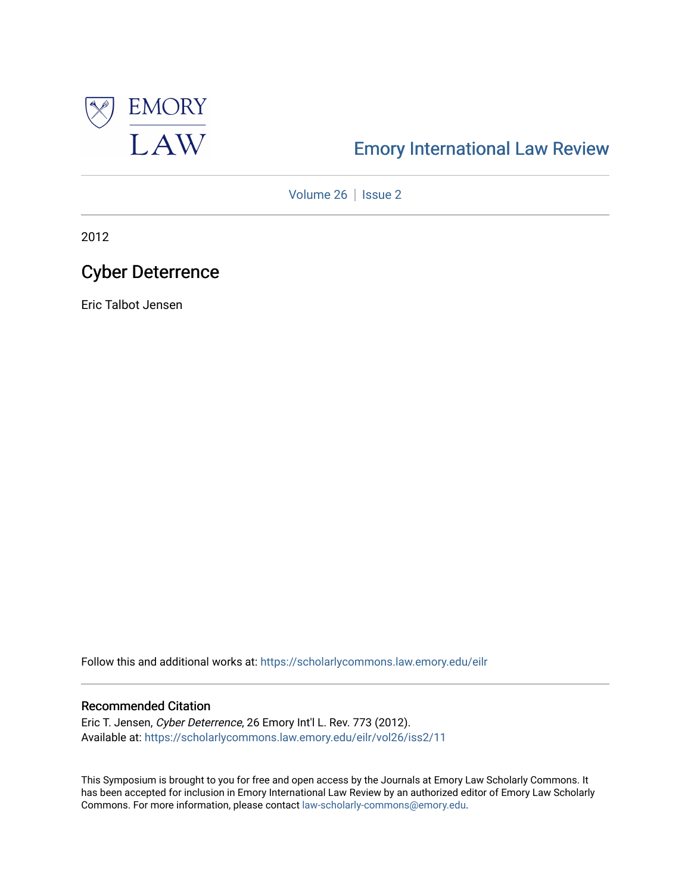

# [Emory International Law Review](https://scholarlycommons.law.emory.edu/eilr)

[Volume 26](https://scholarlycommons.law.emory.edu/eilr/vol26) | [Issue 2](https://scholarlycommons.law.emory.edu/eilr/vol26/iss2)

2012

# Cyber Deterrence

Eric Talbot Jensen

Follow this and additional works at: [https://scholarlycommons.law.emory.edu/eilr](https://scholarlycommons.law.emory.edu/eilr?utm_source=scholarlycommons.law.emory.edu%2Feilr%2Fvol26%2Fiss2%2F11&utm_medium=PDF&utm_campaign=PDFCoverPages)

# Recommended Citation

Eric T. Jensen, Cyber Deterrence, 26 Emory Int'l L. Rev. 773 (2012). Available at: [https://scholarlycommons.law.emory.edu/eilr/vol26/iss2/11](https://scholarlycommons.law.emory.edu/eilr/vol26/iss2/11?utm_source=scholarlycommons.law.emory.edu%2Feilr%2Fvol26%2Fiss2%2F11&utm_medium=PDF&utm_campaign=PDFCoverPages) 

This Symposium is brought to you for free and open access by the Journals at Emory Law Scholarly Commons. It has been accepted for inclusion in Emory International Law Review by an authorized editor of Emory Law Scholarly Commons. For more information, please contact [law-scholarly-commons@emory.edu](mailto:law-scholarly-commons@emory.edu).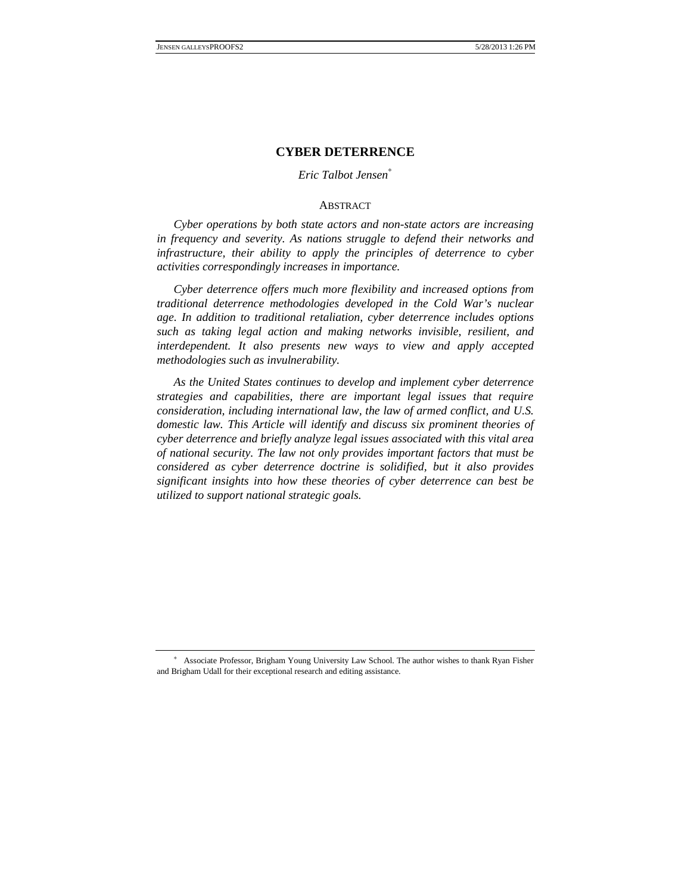# **CYBER DETERRENCE**

# *Eric Talbot Jensen*<sup>∗</sup>

#### **ABSTRACT**

*Cyber operations by both state actors and non-state actors are increasing in frequency and severity. As nations struggle to defend their networks and infrastructure, their ability to apply the principles of deterrence to cyber activities correspondingly increases in importance.*

*Cyber deterrence offers much more flexibility and increased options from traditional deterrence methodologies developed in the Cold War's nuclear age. In addition to traditional retaliation, cyber deterrence includes options such as taking legal action and making networks invisible, resilient, and interdependent. It also presents new ways to view and apply accepted methodologies such as invulnerability.*

*As the United States continues to develop and implement cyber deterrence strategies and capabilities, there are important legal issues that require consideration, including international law, the law of armed conflict, and U.S. domestic law. This Article will identify and discuss six prominent theories of cyber deterrence and briefly analyze legal issues associated with this vital area of national security. The law not only provides important factors that must be considered as cyber deterrence doctrine is solidified, but it also provides significant insights into how these theories of cyber deterrence can best be utilized to support national strategic goals.*

<sup>∗</sup> Associate Professor, Brigham Young University Law School. The author wishes to thank Ryan Fisher and Brigham Udall for their exceptional research and editing assistance.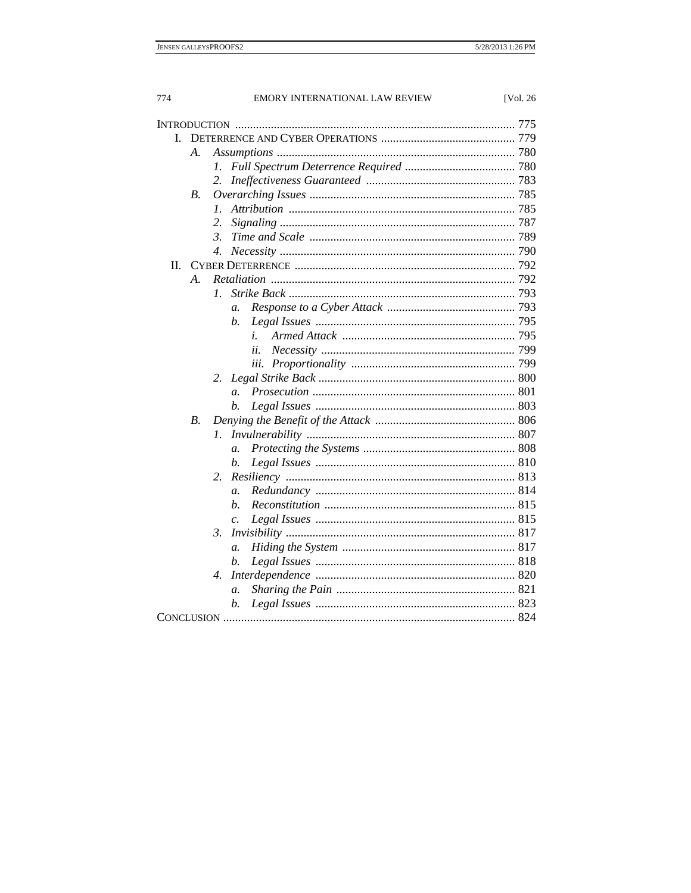| L  |                 |                  |
|----|-----------------|------------------|
|    | А.              |                  |
|    |                 | 1.               |
|    |                 | 2.               |
|    | <i>B</i> .      |                  |
|    |                 | $\mathcal{I}$ .  |
|    |                 | 2.               |
|    |                 | 3.               |
|    |                 | 4.               |
| П. |                 |                  |
|    | $\mathcal{A}$ . |                  |
|    |                 | Ι.               |
|    |                 | a.               |
|    |                 | b.               |
|    |                 | i.               |
|    |                 | ii.              |
|    |                 | iii.             |
|    |                 | 2.               |
|    |                 | $\overline{a}$ . |
|    |                 | b.               |
|    | <i>B</i> .      |                  |
|    |                 | 1.               |
|    |                 | $\overline{a}$ . |
|    |                 | b.               |
|    |                 | 2.               |
|    |                 | $\mathfrak{a}.$  |
|    |                 | h.               |
|    |                 | $\mathcal{C}$ .  |
|    |                 | $\beta$ .        |
|    |                 | $\mathfrak{a}.$  |
|    |                 | b.               |
|    |                 | 4.               |
|    |                 | $\mathfrak{a}.$  |
|    |                 | b.               |
|    |                 |                  |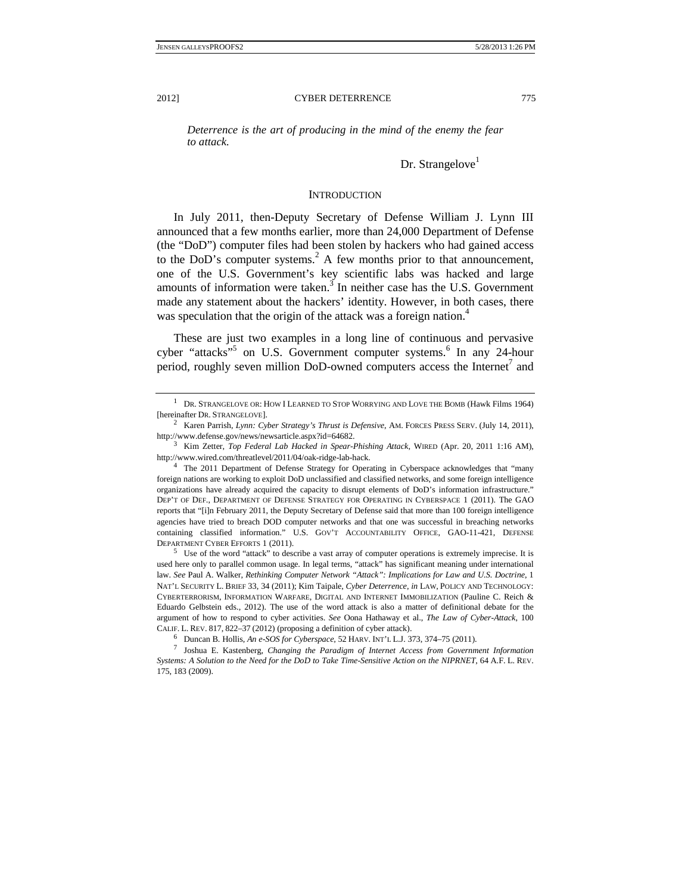*Deterrence is the art of producing in the mind of the enemy the fear to attack.* 

 $Dr.$  Strangelove $<sup>1</sup>$ </sup>

## **INTRODUCTION**

In July 2011, then-Deputy Secretary of Defense William J. Lynn III announced that a few months earlier, more than 24,000 Department of Defense (the "DoD") computer files had been stolen by hackers who had gained access to the DoD's computer systems. $^{2}$  A few months prior to that announcement, one of the U.S. Government's key scientific labs was hacked and large amounts of information were taken. $3$  In neither case has the U.S. Government made any statement about the hackers' identity. However, in both cases, there was speculation that the origin of the attack was a foreign nation.<sup>4</sup>

These are just two examples in a long line of continuous and pervasive cyber "attacks"<sup>5</sup> on U.S. Government computer systems.<sup>6</sup> In any 24-hour period, roughly seven million DoD-owned computers access the Internet<sup>7</sup> and

<sup>&</sup>lt;sup>1</sup> DR. STRANGELOVE OR: HOW I LEARNED TO STOP WORRYING AND LOVE THE BOMB (Hawk Films 1964) [hereinafter DR. STRANGELOVE].

Karen Parrish, *Lynn: Cyber Strategy's Thrust is Defensive*, AM. FORCES PRESS SERV. (July 14, 2011), http://www.defense.gov/news/newsarticle.aspx?id=64682.

<sup>&</sup>lt;sup>3</sup> Kim Zetter, *Top Federal Lab Hacked in Spear-Phishing Attack*, WIRED (Apr. 20, 2011 1:16 AM), http://www.wired.com/threatlevel/2011/04/oak-ridge-lab-hack. 4

<sup>&</sup>lt;sup>4</sup> The 2011 Department of Defense Strategy for Operating in Cyberspace acknowledges that "many foreign nations are working to exploit DoD unclassified and classified networks, and some foreign intelligence organizations have already acquired the capacity to disrupt elements of DoD's information infrastructure." DEP'T OF DEF., DEPARTMENT OF DEFENSE STRATEGY FOR OPERATING IN CYBERSPACE 1 (2011). The GAO reports that "[i]n February 2011, the Deputy Secretary of Defense said that more than 100 foreign intelligence agencies have tried to breach DOD computer networks and that one was successful in breaching networks containing classified information." U.S. GOV'T ACCOUNTABILITY OFFICE, GAO-11-421, DEFENSE DEPARTMENT CYBER EFFORTS 1 (2011).

<sup>&</sup>lt;sup>5</sup> Use of the word "attack" to describe a vast array of computer operations is extremely imprecise. It is used here only to parallel common usage. In legal terms, "attack" has significant meaning under international law. *See* Paul A. Walker, *Rethinking Computer Network "Attack": Implications for Law and U.S. Doctrine*, 1 NAT'L SECURITY L. BRIEF 33, 34 (2011); Kim Taipale, *Cyber Deterrence*, *in* LAW, POLICY AND TECHNOLOGY: CYBERTERRORISM, INFORMATION WARFARE, DIGITAL AND INTERNET IMMOBILIZATION (Pauline C. Reich & Eduardo Gelbstein eds., 2012). The use of the word attack is also a matter of definitional debate for the argument of how to respond to cyber activities. *See* Oona Hathaway et al., *The Law of Cyber-Attack*, 100 CALIF. L. REV. 817, 822–37 (2012) (proposing a definition of cyber attack).<br><sup>6</sup> Duncan B. Hollis, *An e-SOS for Cyberspace*, 52 HARV. INT'L L.J. 373, 374–75 (2011).

<sup>&</sup>lt;sup>6</sup> Duncan B. Hollis, *An e-SOS for Cyberspace, 52 HARV*. INT'L L.J. 373, 374–75 (2011).<br><sup>7</sup> Joshua E. Kastenberg, *Changing the Paradigm of Internet Access from Government Information Systems: A Solution to the Need for the DoD to Take Time-Sensitive Action on the NIPRNET*, 64 A.F. L. REV. 175, 183 (2009).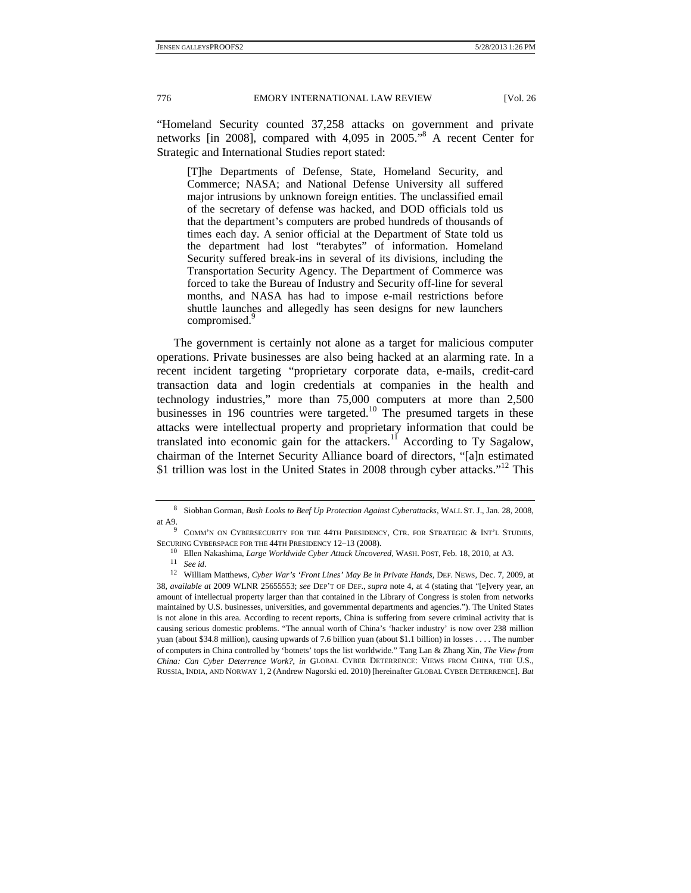"Homeland Security counted 37,258 attacks on government and private networks [in 2008], compared with 4,095 in 2005."8 A recent Center for Strategic and International Studies report stated:

[T]he Departments of Defense, State, Homeland Security, and Commerce; NASA; and National Defense University all suffered major intrusions by unknown foreign entities. The unclassified email of the secretary of defense was hacked, and DOD officials told us that the department's computers are probed hundreds of thousands of times each day. A senior official at the Department of State told us the department had lost "terabytes" of information. Homeland Security suffered break-ins in several of its divisions, including the Transportation Security Agency. The Department of Commerce was forced to take the Bureau of Industry and Security off-line for several months, and NASA has had to impose e-mail restrictions before shuttle launches and allegedly has seen designs for new launchers compromised.<sup>9</sup>

 The government is certainly not alone as a target for malicious computer operations. Private businesses are also being hacked at an alarming rate. In a recent incident targeting "proprietary corporate data, e-mails, credit-card transaction data and login credentials at companies in the health and technology industries," more than 75,000 computers at more than 2,500 businesses in 196 countries were targeted.<sup>10</sup> The presumed targets in these attacks were intellectual property and proprietary information that could be translated into economic gain for the attackers.<sup>11</sup> According to Ty Sagalow, chairman of the Internet Security Alliance board of directors, "[a]n estimated \$1 trillion was lost in the United States in 2008 through cyber attacks."12 This

<sup>8</sup> Siobhan Gorman, *Bush Looks to Beef Up Protection Against Cyberattacks*, WALL ST. J., Jan. 28, 2008, at A9.

 $9$  COMM'N ON CYBERSECURITY FOR THE 44TH PRESIDENCY, CTR. FOR STRATEGIC & INT'L STUDIES, SECURING CYBERSPACE FOR THE 44TH PRESIDENCY 12–13 (2008). <sup>10</sup> Ellen Nakashima, *Large Worldwide Cyber Attack Uncovered*, WASH. POST, Feb. 18, 2010, at A3. <sup>11</sup> *See id.* 

<sup>12</sup> William Matthews, *Cyber War's 'Front Lines' May Be in Private Hands*, DEF. NEWS, Dec. 7, 2009, at 38, *available at* 2009 WLNR 25655553; *see* DEP'T OF DEF., *supra* note 4, at 4 (stating that "[e]very year, an amount of intellectual property larger than that contained in the Library of Congress is stolen from networks maintained by U.S. businesses, universities, and governmental departments and agencies."). The United States is not alone in this area. According to recent reports, China is suffering from severe criminal activity that is causing serious domestic problems. "The annual worth of China's 'hacker industry' is now over 238 million yuan (about \$34.8 million), causing upwards of 7.6 billion yuan (about \$1.1 billion) in losses . . . . The number of computers in China controlled by 'botnets' tops the list worldwide." Tang Lan & Zhang Xin, *The View from China: Can Cyber Deterrence Work?*, *in* GLOBAL CYBER DETERRENCE: VIEWS FROM CHINA, THE U.S., RUSSIA, INDIA, AND NORWAY 1, 2 (Andrew Nagorski ed. 2010) [hereinafter GLOBAL CYBER DETERRENCE]. *But*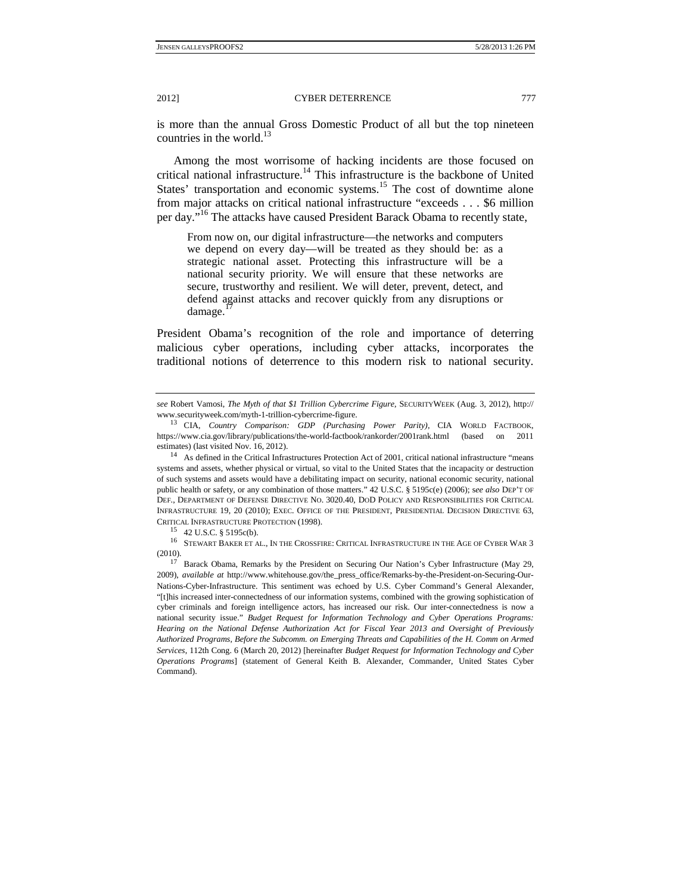is more than the annual Gross Domestic Product of all but the top nineteen countries in the world. $^{13}$ 

Among the most worrisome of hacking incidents are those focused on critical national infrastructure.14 This infrastructure is the backbone of United States' transportation and economic systems.<sup>15</sup> The cost of downtime alone from major attacks on critical national infrastructure "exceeds . . . \$6 million per day."<sup>16</sup> The attacks have caused President Barack Obama to recently state,

From now on, our digital infrastructure—the networks and computers we depend on every day—will be treated as they should be: as a strategic national asset. Protecting this infrastructure will be a national security priority. We will ensure that these networks are secure, trustworthy and resilient. We will deter, prevent, detect, and defend against attacks and recover quickly from any disruptions or  $d$ amage.<sup>1</sup>

President Obama's recognition of the role and importance of deterring malicious cyber operations, including cyber attacks, incorporates the traditional notions of deterrence to this modern risk to national security.

16 STEWART BAKER ET AL., IN THE CROSSFIRE: CRITICAL INFRASTRUCTURE IN THE AGE OF CYBER WAR 3 (2010). 17 Barack Obama, Remarks by the President on Securing Our Nation's Cyber Infrastructure (May 29,

2009), *available at* http://www.whitehouse.gov/the\_press\_office/Remarks-by-the-President-on-Securing-Our-Nations-Cyber-Infrastructure. This sentiment was echoed by U.S. Cyber Command's General Alexander, "[t]his increased inter-connectedness of our information systems, combined with the growing sophistication of cyber criminals and foreign intelligence actors, has increased our risk. Our inter-connectedness is now a national security issue." *Budget Request for Information Technology and Cyber Operations Programs: Hearing on the National Defense Authorization Act for Fiscal Year 2013 and Oversight of Previously Authorized Programs, Before the Subcomm. on Emerging Threats and Capabilities of the H. Comm on Armed Services*, 112th Cong. 6 (March 20, 2012) [hereinafter *Budget Request for Information Technology and Cyber Operations Programs*] (statement of General Keith B. Alexander, Commander, United States Cyber Command).

*see* Robert Vamosi, *The Myth of that \$1 Trillion Cybercrime Figure*, SECURITYWEEK (Aug. 3, 2012), http://

<sup>&</sup>lt;sup>13</sup> CIA, *Country Comparison: GDP (Purchasing Power Parity)*, CIA WORLD FACTBOOK, https://www.cia.gov/library/publications/the-world-factbook/rankorder/2001rank.html (based on 2011 estimates) (last visited Nov. 16, 2012).<br><sup>14</sup> As defined in the Critical Infrastructures Protection Act of 2001, critical national infrastructure "means

systems and assets, whether physical or virtual, so vital to the United States that the incapacity or destruction of such systems and assets would have a debilitating impact on security, national economic security, national public health or safety, or any combination of those matters." 42 U.S.C. § 5195c(e) (2006); s*ee also* DEP'T OF DEF., DEPARTMENT OF DEFENSE DIRECTIVE NO. 3020.40, DOD POLICY AND RESPONSIBILITIES FOR CRITICAL INFRASTRUCTURE 19, 20 (2010); EXEC. OFFICE OF THE PRESIDENT, PRESIDENTIAL DECISION DIRECTIVE 63, CRITICAL INFRASTRUCTURE PROTECTION (1998).<br><sup>15</sup> 42 U.S.C. § 5195c(b).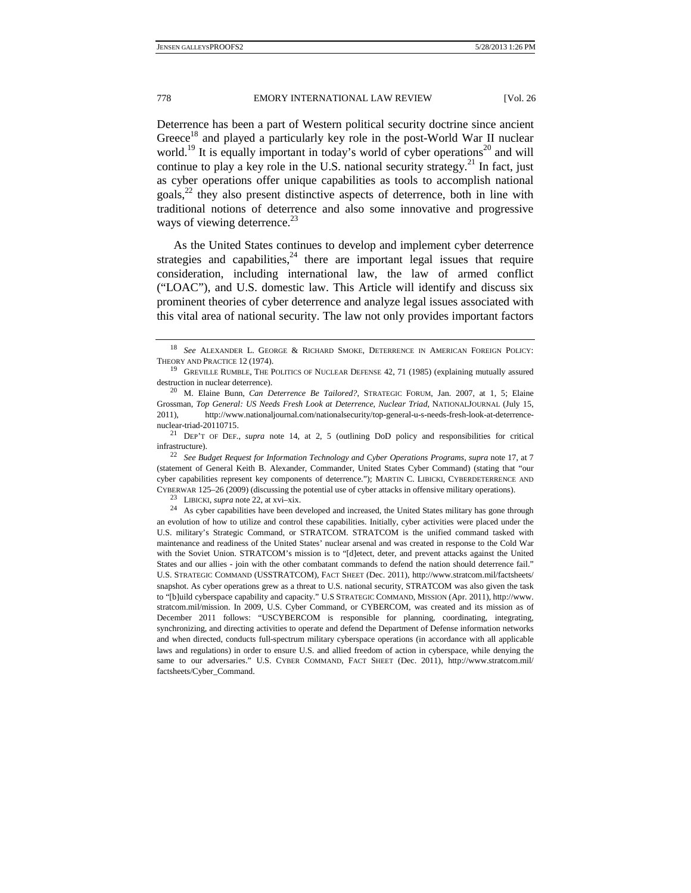Deterrence has been a part of Western political security doctrine since ancient Greece<sup>18</sup> and played a particularly key role in the post-World War II nuclear world.<sup>19</sup> It is equally important in today's world of cyber operations<sup>20</sup> and will continue to play a key role in the U.S. national security strategy.<sup>21</sup> In fact, just as cyber operations offer unique capabilities as tools to accomplish national goals, $^{22}$  they also present distinctive aspects of deterrence, both in line with traditional notions of deterrence and also some innovative and progressive ways of viewing deterrence.<sup>23</sup>

As the United States continues to develop and implement cyber deterrence strategies and capabilities, $24$  there are important legal issues that require consideration, including international law, the law of armed conflict ("LOAC"), and U.S. domestic law. This Article will identify and discuss six prominent theories of cyber deterrence and analyze legal issues associated with this vital area of national security. The law not only provides important factors

<sup>18</sup> *See* ALEXANDER L. GEORGE & RICHARD SMOKE, DETERRENCE IN AMERICAN FOREIGN POLICY: THEORY AND PRACTICE 12 (1974).<br><sup>19</sup> GREVILLE RUMBLE, THE POLITICS OF NUCLEAR DEFENSE 42, 71 (1985) (explaining mutually assured

destruction in nuclear deterrence). 20 M. Elaine Bunn, *Can Deterrence Be Tailored?*, STRATEGIC FORUM, Jan. 2007, at 1, 5; Elaine

Grossman, *Top General: US Needs Fresh Look at Deterrence, Nuclear Triad*, NATIONALJOURNAL (July 15, 2011), http://www.nationaljournal.com/nationalsecurity/top-general-u-s-needs-fresh-look-at-deterrencenuclear-triad-20110715. 21 DEP'T OF DEF., *supra* note 14, at 2, 5 (outlining DoD policy and responsibilities for critical

infrastructure). 22 *See Budget Request for Information Technology and Cyber Operations Programs*, *supra* note 17, at 7

<sup>(</sup>statement of General Keith B. Alexander, Commander, United States Cyber Command) (stating that "our cyber capabilities represent key components of deterrence."); MARTIN C. LIBICKI, CYBERDETERRENCE AND

CYBERWAR 125–26 (2009) (discussing the potential use of cyber attacks in offensive military operations).<br><sup>23</sup> LIBICKI, *supra* note 22, at xvi–xix.<br><sup>24</sup> As cyber capabilities have been developed and increased, the United an evolution of how to utilize and control these capabilities. Initially, cyber activities were placed under the U.S. military's Strategic Command, or STRATCOM. STRATCOM is the unified command tasked with maintenance and readiness of the United States' nuclear arsenal and was created in response to the Cold War with the Soviet Union. STRATCOM's mission is to "[d]etect, deter, and prevent attacks against the United States and our allies - join with the other combatant commands to defend the nation should deterrence fail." U.S. STRATEGIC COMMAND (USSTRATCOM), FACT SHEET (Dec. 2011), http://www.stratcom.mil/factsheets/ snapshot. As cyber operations grew as a threat to U.S. national security, STRATCOM was also given the task to "[b]uild cyberspace capability and capacity." U.S STRATEGIC COMMAND, MISSION (Apr. 2011), http://www. stratcom.mil/mission. In 2009, U.S. Cyber Command, or CYBERCOM, was created and its mission as of December 2011 follows: "USCYBERCOM is responsible for planning, coordinating, integrating, synchronizing, and directing activities to operate and defend the Department of Defense information networks and when directed, conducts full-spectrum military cyberspace operations (in accordance with all applicable laws and regulations) in order to ensure U.S. and allied freedom of action in cyberspace, while denying the same to our adversaries." U.S. CYBER COMMAND, FACT SHEET (Dec. 2011), http://www.stratcom.mil/ factsheets/Cyber\_Command.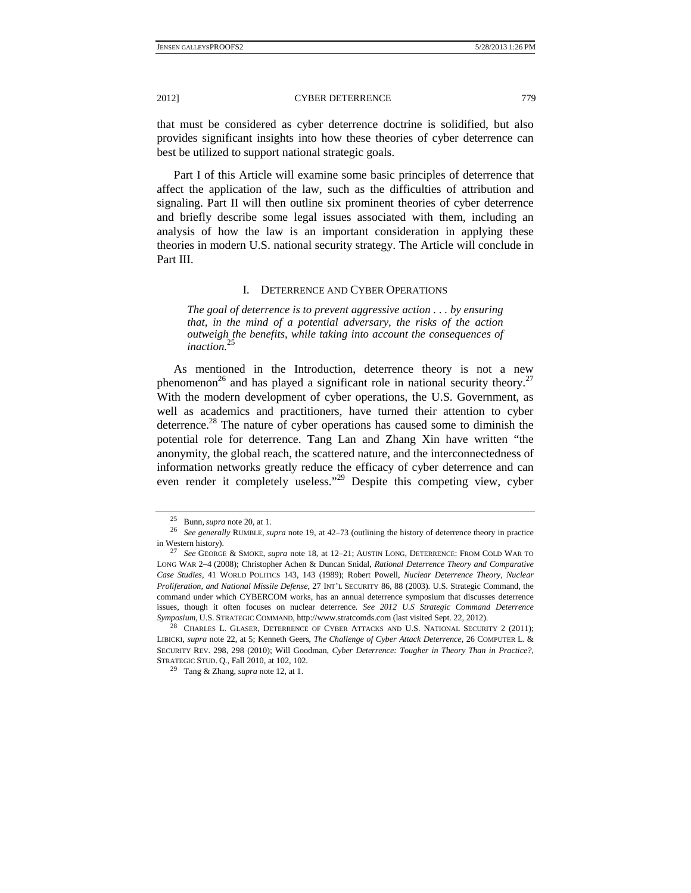that must be considered as cyber deterrence doctrine is solidified, but also provides significant insights into how these theories of cyber deterrence can best be utilized to support national strategic goals.

Part I of this Article will examine some basic principles of deterrence that affect the application of the law, such as the difficulties of attribution and signaling. Part II will then outline six prominent theories of cyber deterrence and briefly describe some legal issues associated with them, including an analysis of how the law is an important consideration in applying these theories in modern U.S. national security strategy. The Article will conclude in Part III.

# I. DETERRENCE AND CYBER OPERATIONS

*The goal of deterrence is to prevent aggressive action . . . by ensuring that, in the mind of a potential adversary, the risks of the action outweigh the benefits, while taking into account the consequences of inaction.*<sup>25</sup>

As mentioned in the Introduction, deterrence theory is not a new phenomenon<sup>26</sup> and has played a significant role in national security theory.<sup>27</sup> With the modern development of cyber operations, the U.S. Government, as well as academics and practitioners, have turned their attention to cyber deterrence.<sup>28</sup> The nature of cyber operations has caused some to diminish the potential role for deterrence. Tang Lan and Zhang Xin have written "the anonymity, the global reach, the scattered nature, and the interconnectedness of information networks greatly reduce the efficacy of cyber deterrence and can even render it completely useless."29 Despite this competing view, cyber

<sup>25</sup> Bunn, *supra* note 20, at 1. 26 *See generally* RUMBLE, *supra* note 19, at 42–73 (outlining the history of deterrence theory in practice in Western history). 27 *See* GEORGE & SMOKE, *supra* note 18, at 12–21; AUSTIN LONG, DETERRENCE: FROM COLD WAR TO

LONG WAR 2–4 (2008); Christopher Achen & Duncan Snidal, *Rational Deterrence Theory and Comparative Case Studies*, 41 WORLD POLITICS 143, 143 (1989); Robert Powell, *Nuclear Deterrence Theory, Nuclear Proliferation, and National Missile Defense*, 27 INT'L SECURITY 86, 88 (2003). U.S. Strategic Command, the command under which CYBERCOM works, has an annual deterrence symposium that discusses deterrence issues, though it often focuses on nuclear deterrence. *See 2012 U.S Strategic Command Deterrence Symposium*, U.S. STRATEGIC COMMAND, http://www.stratcomds.com (last visited Sept. 22, 2012).<br><sup>28</sup> CHARLES L. GLASER, DETERRENCE OF CYBER ATTACKS AND U.S. NATIONAL SECURITY 2 (2011);

LIBICKI, *supra* note 22, at 5; Kenneth Geers, *The Challenge of Cyber Attack Deterrence*, 26 COMPUTER L. & SECURITY REV. 298, 298 (2010); Will Goodman, *Cyber Deterrence: Tougher in Theory Than in Practice?*, STRATEGIC STUD. Q., Fall 2010, at 102, 102.

<sup>29</sup> Tang & Zhang, *supra* note 12, at 1.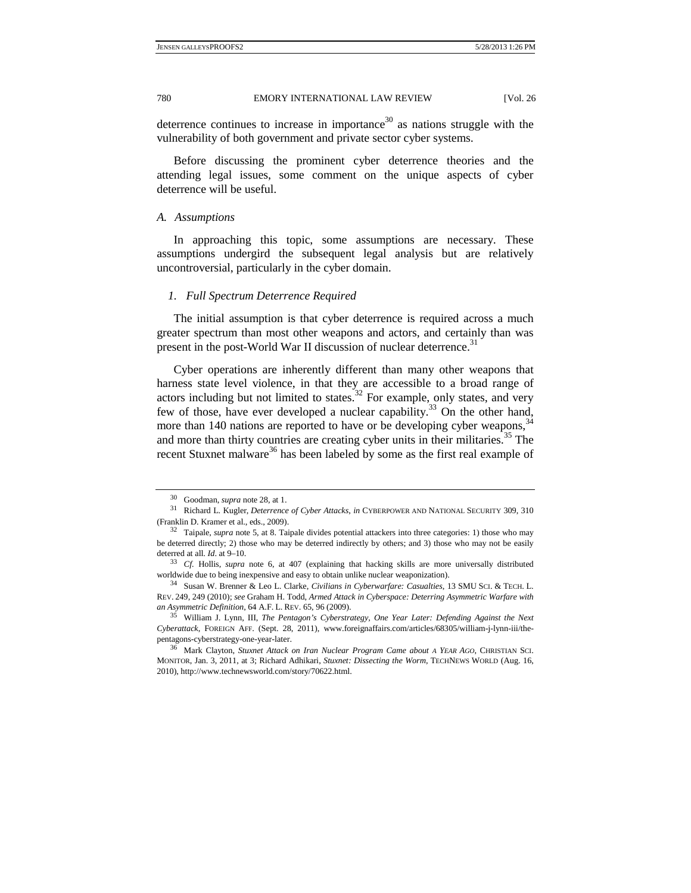deterrence continues to increase in importance<sup>30</sup> as nations struggle with the vulnerability of both government and private sector cyber systems.

Before discussing the prominent cyber deterrence theories and the attending legal issues, some comment on the unique aspects of cyber deterrence will be useful.

#### *A. Assumptions*

In approaching this topic, some assumptions are necessary. These assumptions undergird the subsequent legal analysis but are relatively uncontroversial, particularly in the cyber domain.

#### *1. Full Spectrum Deterrence Required*

The initial assumption is that cyber deterrence is required across a much greater spectrum than most other weapons and actors, and certainly than was present in the post-World War II discussion of nuclear deterrence.<sup>31</sup>

Cyber operations are inherently different than many other weapons that harness state level violence, in that they are accessible to a broad range of actors including but not limited to states.<sup>32</sup> For example, only states, and very few of those, have ever developed a nuclear capability.<sup>33</sup> On the other hand, more than 140 nations are reported to have or be developing cyber weapons,<sup>34</sup> and more than thirty countries are creating cyber units in their militaries.<sup>35</sup> The recent Stuxnet malware<sup>36</sup> has been labeled by some as the first real example of

<sup>&</sup>lt;sup>30</sup> Goodman, *supra* note 28, at 1.<br><sup>31</sup> Richard L. Kugler, *Deterrence of Cyber Attacks*, *in* CYBERPOWER AND NATIONAL SECURITY 309, 310 (Franklin D. Kramer et al., eds., 2009). 32 Taipale, *supra* note 5, at 8. Taipale divides potential attackers into three categories: 1) those who may

be deterred directly; 2) those who may be deterred indirectly by others; and 3) those who may not be easily deterred at all. *Id*. at 9–10.<br><sup>33</sup> *Cf.* Hollis, *supra* note 6, at 407 (explaining that hacking skills are more universally distributed

worldwide due to being inexpensive and easy to obtain unlike nuclear weaponization). 34 Susan W. Brenner & Leo L. Clarke, *Civilians in Cyberwarfare: Casualties*, 13 SMU SCI. & TECH. L.

REV. 249, 249 (2010); *see* Graham H. Todd, *Armed Attack in Cyberspace: Deterring Asymmetric Warfare with an Asymmetric Definition*, 64 A.F. L. REV. 65, 96 (2009). 35 William J. Lynn, III, *The Pentagon's Cyberstrategy, One Year Later: Defending Against the Next* 

*Cyberattack*, FOREIGN AFF. (Sept. 28, 2011), www.foreignaffairs.com/articles/68305/william-j-lynn-iii/the-

pentagons-cyberstrategy-one-year-later. 36 Mark Clayton, *Stuxnet Attack on Iran Nuclear Program Came about A YEAR AGO*, CHRISTIAN SCI. MONITOR, Jan. 3, 2011, at 3; Richard Adhikari, *Stuxnet: Dissecting the Worm*, TECHNEWS WORLD (Aug. 16, 2010), http://www.technewsworld.com/story/70622.html.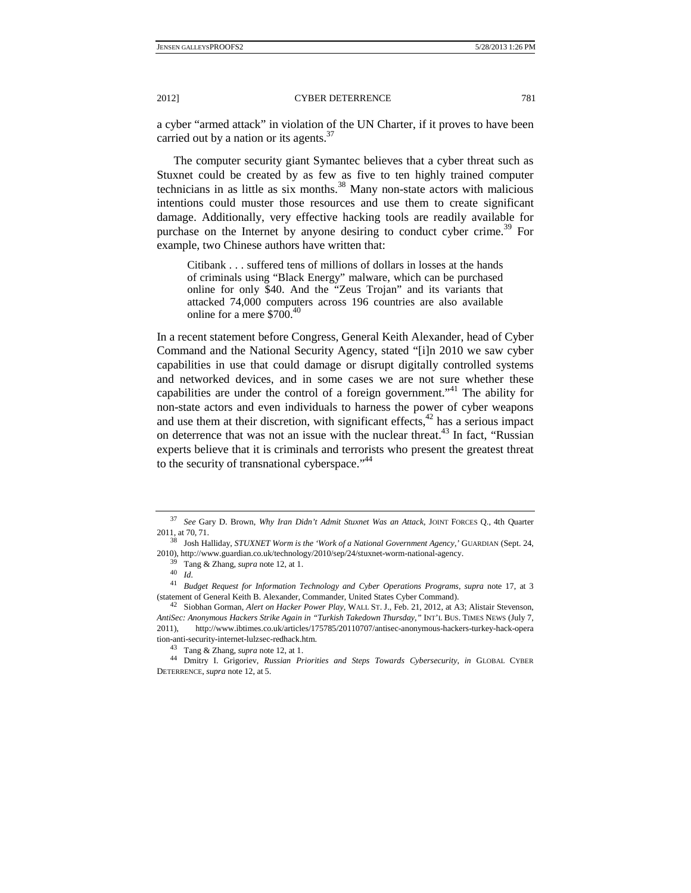a cyber "armed attack" in violation of the UN Charter, if it proves to have been carried out by a nation or its agents.  $37$ 

The computer security giant Symantec believes that a cyber threat such as Stuxnet could be created by as few as five to ten highly trained computer technicians in as little as six months.<sup>38</sup> Many non-state actors with malicious intentions could muster those resources and use them to create significant damage. Additionally, very effective hacking tools are readily available for purchase on the Internet by anyone desiring to conduct cyber crime.<sup>39</sup> For example, two Chinese authors have written that:

Citibank . . . suffered tens of millions of dollars in losses at the hands of criminals using "Black Energy" malware, which can be purchased online for only \$40. And the "Zeus Trojan" and its variants that attacked 74,000 computers across 196 countries are also available online for a mere \$700.<sup>40</sup>

In a recent statement before Congress, General Keith Alexander, head of Cyber Command and the National Security Agency, stated "[i]n 2010 we saw cyber capabilities in use that could damage or disrupt digitally controlled systems and networked devices, and in some cases we are not sure whether these capabilities are under the control of a foreign government."41 The ability for non-state actors and even individuals to harness the power of cyber weapons and use them at their discretion, with significant effects, $42$  has a serious impact on deterrence that was not an issue with the nuclear threat.<sup>43</sup> In fact, "Russian experts believe that it is criminals and terrorists who present the greatest threat to the security of transnational cyberspace."<sup>44</sup>

<sup>37</sup> *See* Gary D. Brown, *Why Iran Didn't Admit Stuxnet Was an Attack*, JOINT FORCES Q., 4th Quarter 2011, at 70, 71. 38 Josh Halliday, *STUXNET Worm is the 'Work of a National Government Agency*,*'* GUARDIAN (Sept. 24,

<sup>2010),</sup> http://www.guardian.co.uk/technology/2010/sep/24/stuxnet-worm-national-agency.

 <sup>39</sup> Tang & Zhang, *supra* note 12, at 1. 40 *Id.* 

<sup>41</sup> *Budget Request for Information Technology and Cyber Operations Programs*, *supra* note 17, at 3 (statement of General Keith B. Alexander, Commander, United States Cyber Command). 42 Siobhan Gorman, *Alert on Hacker Power Play*, WALL ST. J., Feb. 21, 2012, at A3; Alistair Stevenson,

*AntiSec: Anonymous Hackers Strike Again in "Turkish Takedown Thursday*,*"* INT'L BUS. TIMES NEWS (July 7, 2011), http://www.ibtimes.co.uk/articles/175785/20110707/antisec-anonymous-hackers-turkey-hack-opera

tion-anti-security-internet-lulzsec-redhack.htm. 43 Tang & Zhang, *supra* note 12, at 1. 44 Dmitry I. Grigoriev, *Russian Priorities and Steps Towards Cybersecurity*, *in* GLOBAL CYBER DETERRENCE, *supra* note 12, at 5.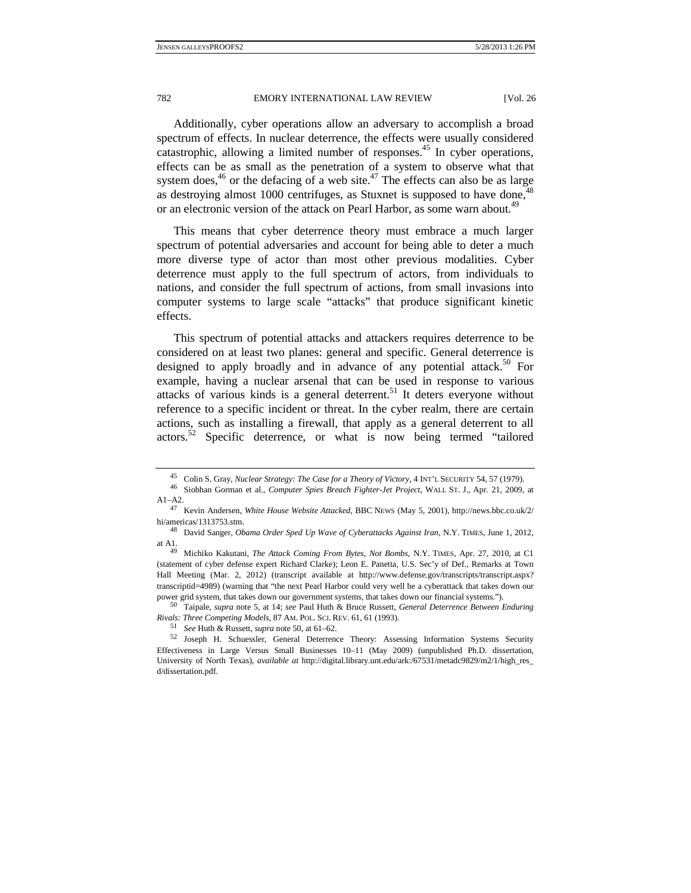Additionally, cyber operations allow an adversary to accomplish a broad spectrum of effects. In nuclear deterrence, the effects were usually considered catastrophic, allowing a limited number of responses.<sup>45</sup> In cyber operations, effects can be as small as the penetration of a system to observe what that system does, $46$  or the defacing of a web site. $47$  The effects can also be as large as destroying almost 1000 centrifuges, as Stuxnet is supposed to have done,<sup>4</sup> or an electronic version of the attack on Pearl Harbor, as some warn about.<sup>49</sup>

This means that cyber deterrence theory must embrace a much larger spectrum of potential adversaries and account for being able to deter a much more diverse type of actor than most other previous modalities. Cyber deterrence must apply to the full spectrum of actors, from individuals to nations, and consider the full spectrum of actions, from small invasions into computer systems to large scale "attacks" that produce significant kinetic effects.

This spectrum of potential attacks and attackers requires deterrence to be considered on at least two planes: general and specific. General deterrence is designed to apply broadly and in advance of any potential attack.<sup>50</sup> For example, having a nuclear arsenal that can be used in response to various attacks of various kinds is a general deterrent.<sup>51</sup> It deters everyone without reference to a specific incident or threat. In the cyber realm, there are certain actions, such as installing a firewall, that apply as a general deterrent to all actors.52 Specific deterrence, or what is now being termed "tailored

Rivals: Three Competing Models, 87 AM. POL. SCI. REV. 61, 61 (1993).<br>
<sup>51</sup> See Huth & Russett, *supra* note 50, at 61–62.<br>
<sup>52</sup> Joseph H. Schuessler, General Deterrence Theory: Assessing Information Systems Security

<sup>45</sup> Colin S. Gray, *Nuclear Strategy: The Case for a Theory of Victory*, 4 INT'L SECURITY 54, 57 (1979). 46 Siobhan Gorman et al., *Computer Spies Breach Fighter-Jet Project*, WALL ST. J., Apr. 21, 2009, at A1–A2. 47 Kevin Andersen, *White House Website Attacked*, BBC NEWS (May 5, 2001), http://news.bbc.co.uk/2/

hi/americas/1313753.stm. 48 David Sanger, *Obama Order Sped Up Wave of Cyberattacks Against Iran*, N.Y. TIMES, June 1, 2012,

at A1. 49 Michiko Kakutani, *The Attack Coming From Bytes, Not Bombs*, N.Y. TIMES, Apr. 27, 2010, at C1

<sup>(</sup>statement of cyber defense expert Richard Clarke); Leon E. Panetta, U.S. Sec'y of Def., Remarks at Town Hall Meeting (Mar. 2, 2012) (transcript available at http://www.defense.gov/transcripts/transcript.aspx? transcriptid=4989) (warning that "the next Pearl Harbor could very well be a cyberattack that takes down our power grid system, that takes down our government systems, that takes down our financial systems."). 50 Taipale, *supra* note 5, at 14; *see* Paul Huth & Bruce Russett, *General Deterrence Between Enduring* 

Effectiveness in Large Versus Small Businesses 10–11 (May 2009) (unpublished Ph.D. dissertation, University of North Texas), *available at* http://digital.library.unt.edu/ark:/67531/metadc9829/m2/1/high\_res\_ d/dissertation.pdf.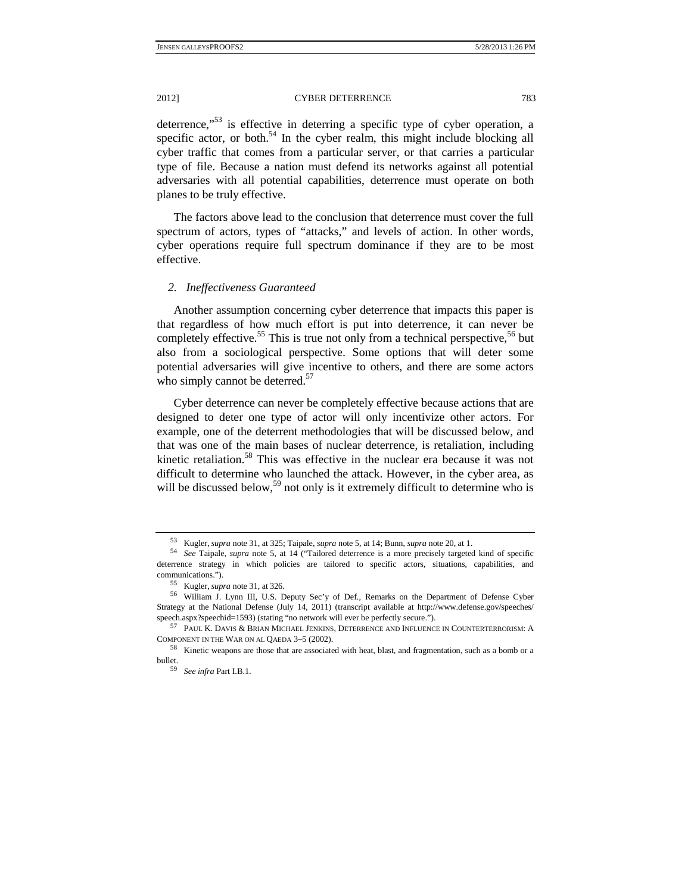deterrence,"<sup>53</sup> is effective in deterring a specific type of cyber operation, a specific actor, or both.<sup>54</sup> In the cyber realm, this might include blocking all cyber traffic that comes from a particular server, or that carries a particular type of file. Because a nation must defend its networks against all potential adversaries with all potential capabilities, deterrence must operate on both planes to be truly effective.

The factors above lead to the conclusion that deterrence must cover the full spectrum of actors, types of "attacks," and levels of action. In other words, cyber operations require full spectrum dominance if they are to be most effective.

#### *2. Ineffectiveness Guaranteed*

Another assumption concerning cyber deterrence that impacts this paper is that regardless of how much effort is put into deterrence, it can never be completely effective.<sup>55</sup> This is true not only from a technical perspective.<sup>56</sup> but also from a sociological perspective. Some options that will deter some potential adversaries will give incentive to others, and there are some actors who simply cannot be deterred.<sup>57</sup>

Cyber deterrence can never be completely effective because actions that are designed to deter one type of actor will only incentivize other actors. For example, one of the deterrent methodologies that will be discussed below, and that was one of the main bases of nuclear deterrence, is retaliation, including kinetic retaliation.<sup>58</sup> This was effective in the nuclear era because it was not difficult to determine who launched the attack. However, in the cyber area, as will be discussed below,<sup>59</sup> not only is it extremely difficult to determine who is

<sup>53</sup> Kugler, *supra* note 31, at 325; Taipale, *supra* note 5, at 14; Bunn, *supra* note 20, at 1.

<sup>54</sup> *See* Taipale, *supra* note 5, at 14 ("Tailored deterrence is a more precisely targeted kind of specific deterrence strategy in which policies are tailored to specific actors, situations, capabilities, and communications."). 55 Kugler, *supra* note 31, at 326. 56 William J. Lynn III, U.S. Deputy Sec'y of Def., Remarks on the Department of Defense Cyber

Strategy at the National Defense (July 14, 2011) (transcript available at http://www.defense.gov/speeches/ speech.aspx?speechid=1593) (stating "no network will ever be perfectly secure.").

 $^{57}$  PAUL K. DAVIS & BRIAN MICHAEL JENKINS, DETERRENCE AND INFLUENCE IN COUNTERTERRORISM: A COMPONENT IN THE WAR ON AL QAEDA  $3-5$  (2002).

 $58$  Kinetic weapons are those that are associated with heat, blast, and fragmentation, such as a bomb or a bullet. 59 *See infra* Part I.B.1.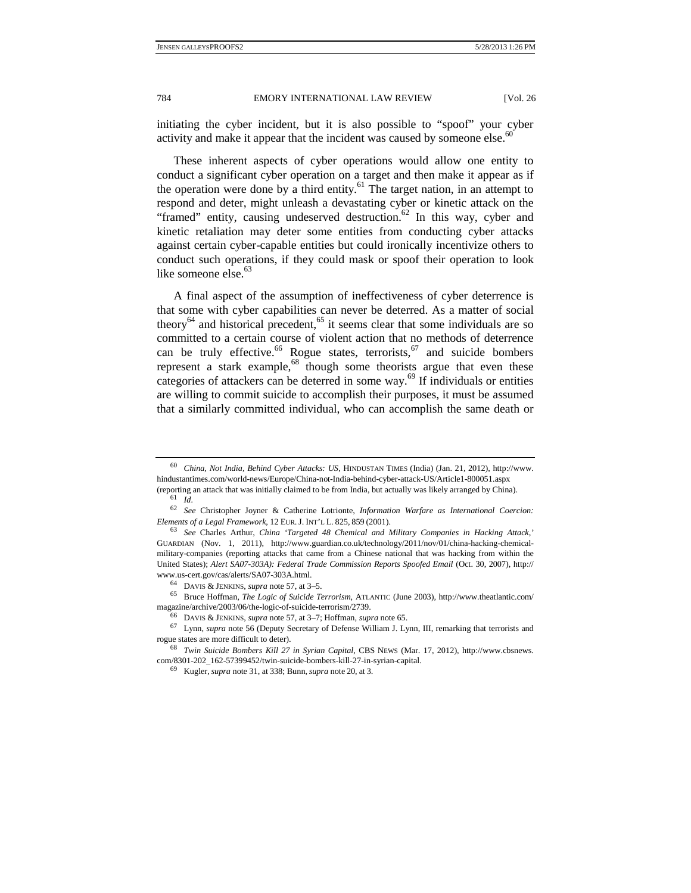initiating the cyber incident, but it is also possible to "spoof" your cyber activity and make it appear that the incident was caused by someone else.<sup>6</sup>

These inherent aspects of cyber operations would allow one entity to conduct a significant cyber operation on a target and then make it appear as if the operation were done by a third entity.<sup>61</sup> The target nation, in an attempt to respond and deter, might unleash a devastating cyber or kinetic attack on the "framed" entity, causing undeserved destruction.<sup>62</sup> In this way, cyber and kinetic retaliation may deter some entities from conducting cyber attacks against certain cyber-capable entities but could ironically incentivize others to conduct such operations, if they could mask or spoof their operation to look like someone else.<sup>63</sup>

A final aspect of the assumption of ineffectiveness of cyber deterrence is that some with cyber capabilities can never be deterred. As a matter of social theory<sup>64</sup> and historical precedent,<sup>65</sup> it seems clear that some individuals are so committed to a certain course of violent action that no methods of deterrence can be truly effective.<sup>66</sup> Rogue states, terrorists,  $67$  and suicide bombers represent a stark example, $68$  though some theorists argue that even these categories of attackers can be deterred in some way.<sup>69</sup> If individuals or entities are willing to commit suicide to accomplish their purposes, it must be assumed that a similarly committed individual, who can accomplish the same death or

<sup>60</sup> *China, Not India, Behind Cyber Attacks: US*, HINDUSTAN TIMES (India) (Jan. 21, 2012), http://www. hindustantimes.com/world-news/Europe/China-not-India-behind-cyber-attack-US/Article1-800051.aspx

<sup>(</sup>reporting an attack that was initially claimed to be from India, but actually was likely arranged by China). 61 *Id.*

<sup>62</sup>*See* Christopher Joyner & Catherine Lotrionte, *Information Warfare as International Coercion: Elements of a Legal Framework*, 12 EUR.J. INT'L L. 825, <sup>859</sup> (2001). 63 *See* Charles Arthur, *China 'Targeted 48 Chemical and Military Companies in Hacking Attack*,*'*

GUARDIAN (Nov. 1, 2011), http://www.guardian.co.uk/technology/2011/nov/01/china-hacking-chemicalmilitary-companies (reporting attacks that came from a Chinese national that was hacking from within the United States); *Alert SA07-303A): Federal Trade Commission Reports Spoofed Email* (Oct. 30, 2007), http://

www.us-cert.gov/cas/alerts/SA07-303A.html. 64 DAVIS & JENKINS, *supra* note 57, at 3–5. 65 Bruce Hoffman, *The Logic of Suicide Terrorism*, ATLANTIC (June 2003), http://www.theatlantic.com/ magazine/archive/2003/06/the-logic-of-suicide-terrorism/2739.

<sup>&</sup>lt;sup>66</sup> DAVIS & JENKINS, *supra* note 57, at 3–7; Hoffman, *supra* note 65.<br><sup>67</sup> Lynn, *supra* note 56 (Deputy Secretary of Defense William J. Lynn, III, remarking that terrorists and rogue states are more difficult to deter)

<sup>&</sup>lt;sup>68</sup> Twin Suicide Bombers Kill 27 in Syrian Capital, CBS NEWS (Mar. 17, 2012), http://www.cbsnews. com/8301-202\_162-57399452/twin-suicide-bombers-kill-27-in-syrian-capital. 69 Kugler, *supra* note 31, at 338; Bunn, *supra* note 20, at 3.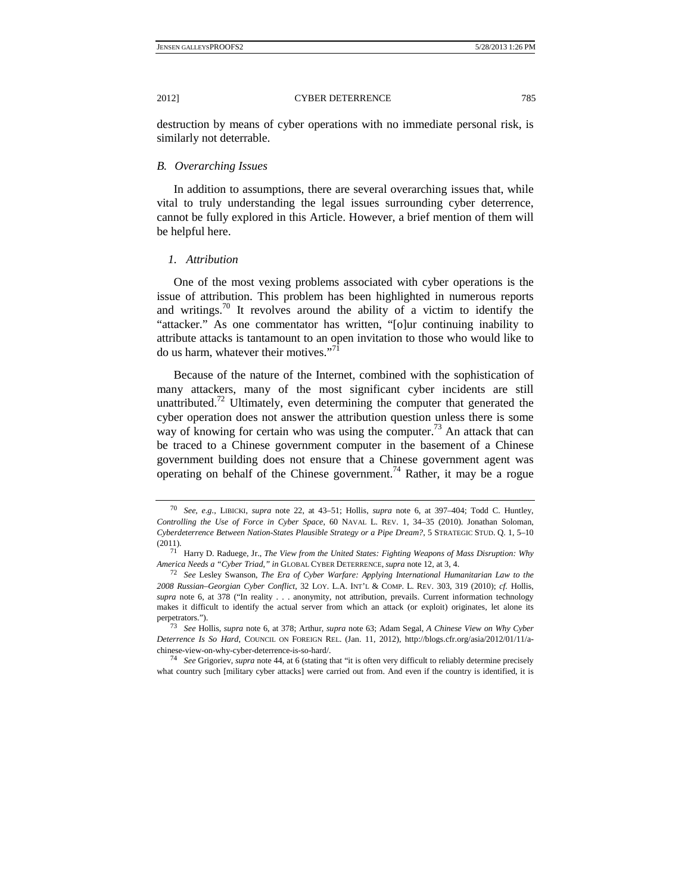destruction by means of cyber operations with no immediate personal risk, is similarly not deterrable.

## *B. Overarching Issues*

In addition to assumptions, there are several overarching issues that, while vital to truly understanding the legal issues surrounding cyber deterrence, cannot be fully explored in this Article. However, a brief mention of them will be helpful here.

#### *1. Attribution*

One of the most vexing problems associated with cyber operations is the issue of attribution. This problem has been highlighted in numerous reports and writings.<sup>70</sup> It revolves around the ability of a victim to identify the "attacker." As one commentator has written, "[o]ur continuing inability to attribute attacks is tantamount to an open invitation to those who would like to do us harm, whatever their motives. $"$ <sup>71</sup>

Because of the nature of the Internet, combined with the sophistication of many attackers, many of the most significant cyber incidents are still unattributed.<sup>72</sup> Ultimately, even determining the computer that generated the cyber operation does not answer the attribution question unless there is some way of knowing for certain who was using the computer.<sup>73</sup> An attack that can be traced to a Chinese government computer in the basement of a Chinese government building does not ensure that a Chinese government agent was operating on behalf of the Chinese government.<sup>74</sup> Rather, it may be a rogue

<sup>70</sup> *See, e.g.*, LIBICKI, *supra* note 22, at 43–51; Hollis, *supra* note 6, at 397–404; Todd C. Huntley, *Controlling the Use of Force in Cyber Space*, 60 NAVAL L. REV. 1, 34–35 (2010). Jonathan Soloman, *Cyberdeterrence Between Nation-States Plausible Strategy or a Pipe Dream?*, 5 STRATEGIC STUD. Q. 1, 5–10

<sup>(2011). 71</sup> Harry D. Raduege, Jr., *The View from the United States: Fighting Weapons of Mass Disruption: Why America Needs a "Cyber Triad*,*" in* GLOBAL CYBER DETERRENCE,*supra* note 12, at 3, 4. 72 *See* Lesley Swanson, *The Era of Cyber Warfare: Applying International Humanitarian Law to the* 

*<sup>2008</sup> Russian–Georgian Cyber Conflict*, 32 LOY. L.A. INT'L & COMP. L. REV. 303, 319 (2010); *cf.* Hollis, *supra* note 6, at 378 ("In reality . . . anonymity, not attribution, prevails. Current information technology makes it difficult to identify the actual server from which an attack (or exploit) originates, let alone its perpetrators."). 73 *See* Hollis, *supra* note 6, at 378; Arthur, *supra* note 63; Adam Segal, *A Chinese View on Why Cyber* 

*Deterrence Is So Hard*, COUNCIL ON FOREIGN REL. (Jan. 11, 2012), http://blogs.cfr.org/asia/2012/01/11/achinese-view-on-why-cyber-deterrence-is-so-hard/. 74 *See* Grigoriev, *supra* note 44, at 6 (stating that "it is often very difficult to reliably determine precisely

what country such [military cyber attacks] were carried out from. And even if the country is identified, it is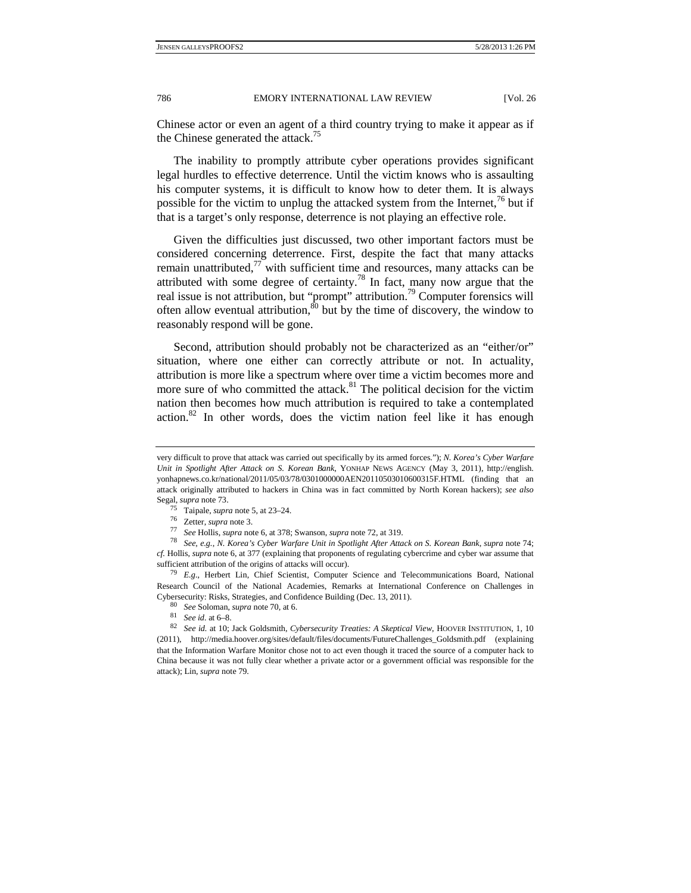Chinese actor or even an agent of a third country trying to make it appear as if the Chinese generated the attack.<sup>75</sup>

The inability to promptly attribute cyber operations provides significant legal hurdles to effective deterrence. Until the victim knows who is assaulting his computer systems, it is difficult to know how to deter them. It is always possible for the victim to unplug the attacked system from the Internet,  $\frac{7}{6}$  but if that is a target's only response, deterrence is not playing an effective role.

Given the difficulties just discussed, two other important factors must be considered concerning deterrence. First, despite the fact that many attacks remain unattributed, $^{77}$  with sufficient time and resources, many attacks can be attributed with some degree of certainty.<sup>78</sup> In fact, many now argue that the real issue is not attribution, but "prompt" attribution.<sup>79</sup> Computer forensics will often allow eventual attribution, ${}^{80}$  but by the time of discovery, the window to reasonably respond will be gone.

Second, attribution should probably not be characterized as an "either/or" situation, where one either can correctly attribute or not. In actuality, attribution is more like a spectrum where over time a victim becomes more and more sure of who committed the attack.<sup>81</sup> The political decision for the victim nation then becomes how much attribution is required to take a contemplated action.<sup>82</sup> In other words, does the victim nation feel like it has enough

very difficult to prove that attack was carried out specifically by its armed forces."); *N. Korea's Cyber Warfare Unit in Spotlight After Attack on S. Korean Bank*, YONHAP NEWS AGENCY (May 3, 2011), http://english. yonhapnews.co.kr/national/2011/05/03/78/0301000000AEN20110503010600315F.HTML (finding that an attack originally attributed to hackers in China was in fact committed by North Korean hackers); *see also* 

Segal, *supra* note 73.<br>
<sup>75</sup> Taipale, *supra* note 5, at 23–24.<br>
<sup>76</sup> Zetter, *supra* note 3.<br>
<sup>77</sup> See Hollis, *supra* note 6, at 378; Swanson, *supra* note 72, at 319.<br>
<sup>78</sup> See, e.g., N. Korea's Cyber Warfare Unit in S *cf.* Hollis, *supra* note 6, at 377 (explaining that proponents of regulating cybercrime and cyber war assume that sufficient attribution of the origins of attacks will occur). 79 *E.g.*, Herbert Lin, Chief Scientist, Computer Science and Telecommunications Board, National

Research Council of the National Academies, Remarks at International Conference on Challenges in Cybersecurity: Risks, Strategies, and Confidence Building (Dec. 13, 2011).<br>
<sup>80</sup> See Soloman, *supra* note 70, at 6.<br>
<sup>81</sup> See id. at 6–8.<br>
<sup>82</sup> See id. at 10; Jack Goldsmith, Cybersecurity Treaties: A Skeptical View, HOOV

<sup>(2011),</sup> http://media.hoover.org/sites/default/files/documents/FutureChallenges\_Goldsmith.pdf (explaining that the Information Warfare Monitor chose not to act even though it traced the source of a computer hack to China because it was not fully clear whether a private actor or a government official was responsible for the attack); Lin, *supra* note 79.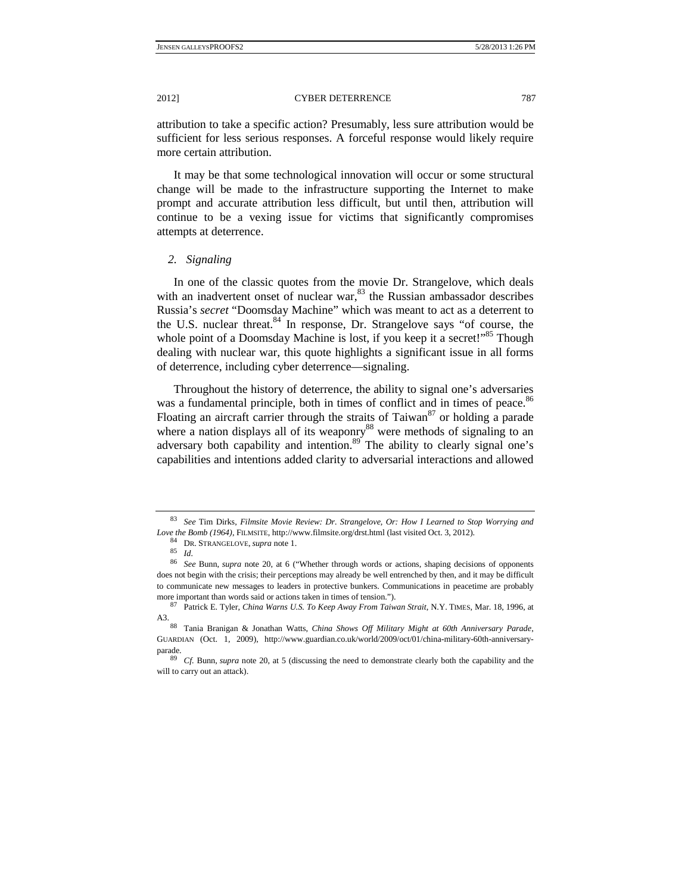attribution to take a specific action? Presumably, less sure attribution would be sufficient for less serious responses. A forceful response would likely require more certain attribution.

It may be that some technological innovation will occur or some structural change will be made to the infrastructure supporting the Internet to make prompt and accurate attribution less difficult, but until then, attribution will continue to be a vexing issue for victims that significantly compromises attempts at deterrence.

# *2. Signaling*

In one of the classic quotes from the movie Dr. Strangelove, which deals with an inadvertent onset of nuclear war, $^{83}$  the Russian ambassador describes Russia's *secret* "Doomsday Machine" which was meant to act as a deterrent to the U.S. nuclear threat.<sup>84</sup> In response, Dr. Strangelove says "of course, the whole point of a Doomsday Machine is lost, if you keep it a secret!"<sup>85</sup> Though dealing with nuclear war, this quote highlights a significant issue in all forms of deterrence, including cyber deterrence—signaling.

Throughout the history of deterrence, the ability to signal one's adversaries was a fundamental principle, both in times of conflict and in times of peace.<sup>86</sup> Floating an aircraft carrier through the straits of Taiwan<sup>87</sup> or holding a parade where a nation displays all of its weaponry<sup>88</sup> were methods of signaling to an adversary both capability and intention.<sup>89</sup> The ability to clearly signal one's capabilities and intentions added clarity to adversarial interactions and allowed

<sup>83</sup> *See* Tim Dirks, *Filmsite Movie Review: Dr. Strangelove, Or: How I Learned to Stop Worrying and Love the Bomb (1964)*, FILMSITE, http://www.filmsite.org/drst.html (last visited Oct. 3, 2012). 84 DR. STRANGELOVE, *supra* note 1. 85 *Id.*

<sup>86</sup> *See* Bunn, *supra* note 20, at 6 ("Whether through words or actions, shaping decisions of opponents does not begin with the crisis; their perceptions may already be well entrenched by then, and it may be difficult to communicate new messages to leaders in protective bunkers. Communications in peacetime are probably more important than words said or actions taken in times of tension."). 87 Patrick E. Tyler, *China Warns U.S. To Keep Away From Taiwan Strait*, N.Y. TIMES, Mar. 18, 1996, at

A3. 88 Tania Branigan & Jonathan Watts, *China Shows Off Military Might at 60th Anniversary Parade*, GUARDIAN (Oct. 1, 2009), http://www.guardian.co.uk/world/2009/oct/01/china-military-60th-anniversaryparade. 89 *Cf.* Bunn, *supra* note 20, at 5 (discussing the need to demonstrate clearly both the capability and the

will to carry out an attack).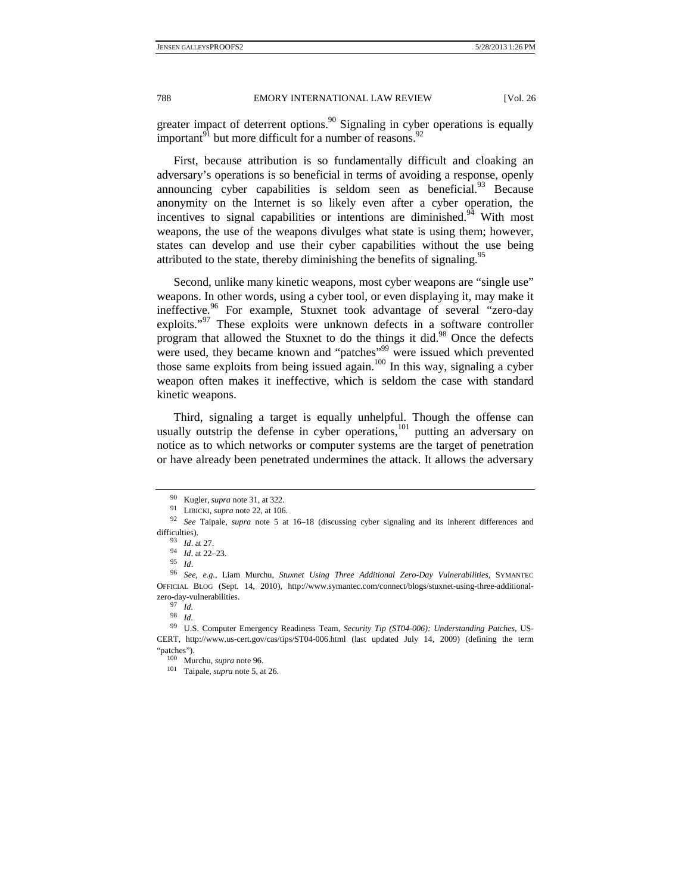greater impact of deterrent options.<sup>90</sup> Signaling in cyber operations is equally important<sup>91</sup> but more difficult for a number of reasons.<sup>92</sup>

First, because attribution is so fundamentally difficult and cloaking an adversary's operations is so beneficial in terms of avoiding a response, openly announcing cyber capabilities is seldom seen as beneficial. $93$  Because anonymity on the Internet is so likely even after a cyber operation, the incentives to signal capabilities or intentions are diminished.<sup>94</sup> With most weapons, the use of the weapons divulges what state is using them; however, states can develop and use their cyber capabilities without the use being attributed to the state, thereby diminishing the benefits of signaling.<sup>95</sup>

Second, unlike many kinetic weapons, most cyber weapons are "single use" weapons. In other words, using a cyber tool, or even displaying it, may make it ineffective.<sup>96</sup> For example, Stuxnet took advantage of several "zero-day exploits."<sup>97</sup> These exploits were unknown defects in a software controller program that allowed the Stuxnet to do the things it did.<sup>98</sup> Once the defects were used, they became known and "patches"<sup>99</sup> were issued which prevented those same exploits from being issued again.<sup>100</sup> In this way, signaling a cyber weapon often makes it ineffective, which is seldom the case with standard kinetic weapons.

Third, signaling a target is equally unhelpful. Though the offense can usually outstrip the defense in cyber operations, $101$  putting an adversary on notice as to which networks or computer systems are the target of penetration or have already been penetrated undermines the attack. It allows the adversary

98 *Id.*

<sup>90</sup> Kugler, *supra* note 31, at 322. 91 LIBICKI, *supra* note 22, at 106. 92 *See* Taipale, *supra* note 5 at 16–18 (discussing cyber signaling and its inherent differences and

difficulties). 93 *Id*. at 27. 94 *Id*. at 22–23. 95 *Id*. 96 *See, e.g.*, Liam Murchu, *Stuxnet Using Three Additional Zero-Day Vulnerabilities*, SYMANTEC OFFICIAL BLOG (Sept. 14, 2010), http://www.symantec.com/connect/blogs/stuxnet-using-three-additionalzero-day-vulnerabilities. 97 *Id.*

<sup>99</sup> U.S. Computer Emergency Readiness Team, *Security Tip (ST04-006): Understanding Patches*, US-CERT, http://www.us-cert.gov/cas/tips/ST04-006.html (last updated July 14, 2009) (defining the term "patches"). 100 Murchu, *supra* note 96. 101 Taipale, *supra* note 5, at 26.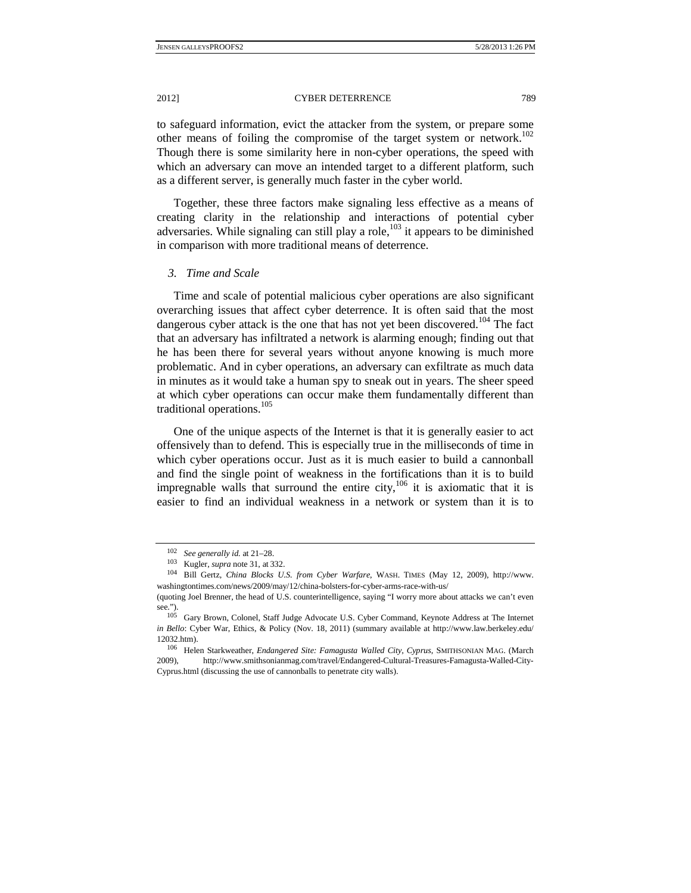2012] CYBER DETERRENCE 789

to safeguard information, evict the attacker from the system, or prepare some other means of foiling the compromise of the target system or network.102 Though there is some similarity here in non-cyber operations, the speed with which an adversary can move an intended target to a different platform, such as a different server, is generally much faster in the cyber world.

Together, these three factors make signaling less effective as a means of creating clarity in the relationship and interactions of potential cyber adversaries. While signaling can still play a role, $^{103}$  it appears to be diminished in comparison with more traditional means of deterrence.

# *3. Time and Scale*

Time and scale of potential malicious cyber operations are also significant overarching issues that affect cyber deterrence. It is often said that the most dangerous cyber attack is the one that has not yet been discovered.<sup>104</sup> The fact that an adversary has infiltrated a network is alarming enough; finding out that he has been there for several years without anyone knowing is much more problematic. And in cyber operations, an adversary can exfiltrate as much data in minutes as it would take a human spy to sneak out in years. The sheer speed at which cyber operations can occur make them fundamentally different than traditional operations.<sup>105</sup>

One of the unique aspects of the Internet is that it is generally easier to act offensively than to defend. This is especially true in the milliseconds of time in which cyber operations occur. Just as it is much easier to build a cannonball and find the single point of weakness in the fortifications than it is to build impregnable walls that surround the entire city, $106$  it is axiomatic that it is easier to find an individual weakness in a network or system than it is to

<sup>102</sup>*See generally id.* at 21–28. 103 Kugler, *supra* note 31, at 332. 104 Bill Gertz, *China Blocks U.S. from Cyber Warfare*, WASH. TIMES (May 12, 2009), http://www. washingtontimes.com/news/2009/may/12/china-bolsters-for-cyber-arms-race-with-us/

<sup>(</sup>quoting Joel Brenner, the head of U.S. counterintelligence, saying "I worry more about attacks we can't even see."). 105 Gary Brown, Colonel, Staff Judge Advocate U.S. Cyber Command, Keynote Address at The Internet

*in Bello*: Cyber War, Ethics, & Policy (Nov. 18, 2011) (summary available at http://www.law.berkeley.edu/

<sup>12032.</sup>htm). 106 Helen Starkweather, *Endangered Site: Famagusta Walled City, Cyprus*, SMITHSONIAN MAG. (March 2009), http://www.smithsonianmag.com/travel/Endangered-Cultural-Treasures-Famagusta-Walled-City-Cyprus.html (discussing the use of cannonballs to penetrate city walls).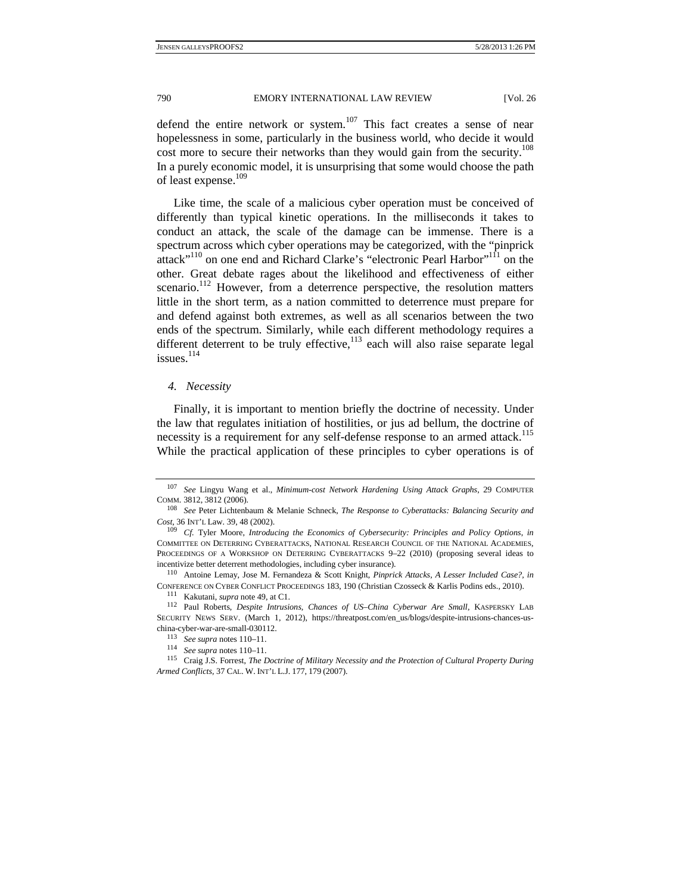defend the entire network or system.<sup>107</sup> This fact creates a sense of near hopelessness in some, particularly in the business world, who decide it would cost more to secure their networks than they would gain from the security.<sup>108</sup> In a purely economic model, it is unsurprising that some would choose the path of least expense.<sup>109</sup>

Like time, the scale of a malicious cyber operation must be conceived of differently than typical kinetic operations. In the milliseconds it takes to conduct an attack, the scale of the damage can be immense. There is a spectrum across which cyber operations may be categorized, with the "pinprick attack"<sup>110</sup> on one end and Richard Clarke's "electronic Pearl Harbor"<sup>111</sup> on the other. Great debate rages about the likelihood and effectiveness of either scenario.<sup>112</sup> However, from a deterrence perspective, the resolution matters little in the short term, as a nation committed to deterrence must prepare for and defend against both extremes, as well as all scenarios between the two ends of the spectrum. Similarly, while each different methodology requires a different deterrent to be truly effective, $113$  each will also raise separate legal issues.<sup>114</sup>

# *4. Necessity*

Finally, it is important to mention briefly the doctrine of necessity. Under the law that regulates initiation of hostilities, or jus ad bellum, the doctrine of necessity is a requirement for any self-defense response to an armed attack.<sup>115</sup> While the practical application of these principles to cyber operations is of

<sup>107</sup> *See* Lingyu Wang et al., *Minimum-cost Network Hardening Using Attack Graphs*, 29 COMPUTER COMM. 3812, 3812 (2006). 108 *See* Peter Lichtenbaum & Melanie Schneck, *The Response to Cyberattacks: Balancing Security and* 

*Cost*, 36 INT'L Law. 39, 48 (2002). 109 *Cf.* Tyler Moore, *Introducing the Economics of Cybersecurity: Principles and Policy Options*, *in*

COMMITTEE ON DETERRING CYBERATTACKS, NATIONAL RESEARCH COUNCIL OF THE NATIONAL ACADEMIES, PROCEEDINGS OF A WORKSHOP ON DETERRING CYBERATTACKS 9–22 (2010) (proposing several ideas to incentivize better deterrent methodologies, including cyber insurance). 110 Antoine Lemay, Jose M. Fernandeza & Scott Knight, *Pinprick Attacks, A Lesser Included Case?, in*

CONFERENCE ON CYBER CONFLICT PROCEEDINGS 183, 190 (Christian Czosseck & Karlis Podins eds., 2010).<br><sup>111</sup> Kakutani, *supra* note 49, at C1.<br><sup>112</sup> Paul Roberts, *Despite Intrusions, Chances of US-China Cyberwar Are Small*,

SECURITY NEWS SERV. (March 1, 2012), https://threatpost.com/en\_us/blogs/despite-intrusions-chances-us-

china-cyber-war-are-small-030112. 113 *See supra* notes 110–11. 114 *See supra* notes 110–11. 115 Craig J.S. Forrest, *The Doctrine of Military Necessity and the Protection of Cultural Property During Armed Conflicts,* 37 CAL. W. INT'L L.J. 177, 179 (2007).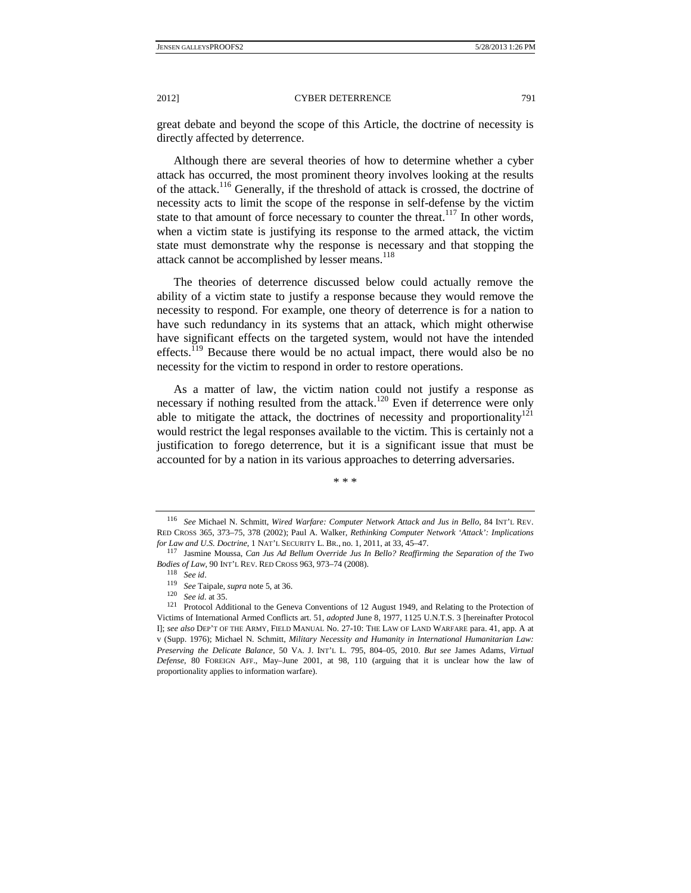great debate and beyond the scope of this Article, the doctrine of necessity is directly affected by deterrence.

Although there are several theories of how to determine whether a cyber attack has occurred, the most prominent theory involves looking at the results of the attack.116 Generally, if the threshold of attack is crossed, the doctrine of necessity acts to limit the scope of the response in self-defense by the victim state to that amount of force necessary to counter the threat.<sup>117</sup> In other words, when a victim state is justifying its response to the armed attack, the victim state must demonstrate why the response is necessary and that stopping the attack cannot be accomplished by lesser means.<sup>118</sup>

The theories of deterrence discussed below could actually remove the ability of a victim state to justify a response because they would remove the necessity to respond. For example, one theory of deterrence is for a nation to have such redundancy in its systems that an attack, which might otherwise have significant effects on the targeted system, would not have the intended effects.<sup> $119$ </sup> Because there would be no actual impact, there would also be no necessity for the victim to respond in order to restore operations.

As a matter of law, the victim nation could not justify a response as necessary if nothing resulted from the attack.<sup>120</sup> Even if deterrence were only able to mitigate the attack, the doctrines of necessity and proportionality<sup>121</sup> would restrict the legal responses available to the victim. This is certainly not a justification to forego deterrence, but it is a significant issue that must be accounted for by a nation in its various approaches to deterring adversaries.

\* \* \*

<sup>116</sup> *See* Michael N. Schmitt, *Wired Warfare: Computer Network Attack and Jus in Bello*, 84 INT'L REV. RED CROSS 365, 373–75, 378 (2002); Paul A. Walker, *Rethinking Computer Network 'Attack': Implications for Law and U.S. Doctrine*, 1 NAT'L SECURITY L. BR., no. 1, 2011, at 33, 45–47.<br><sup>117</sup> Jasmine Moussa, *Can Jus Ad Bellum Override Jus In Bello? Reaffirming the Separation of the Two* 

*Bodies of Law*, 90 INT'L REV. RED CROSS 963, 973–74 (2008). 118 *See id*. 119 *See* Taipale, *supra* note 5, at 36. 120 *See id.* at 35.

<sup>121</sup> Protocol Additional to the Geneva Conventions of 12 August 1949, and Relating to the Protection of Victims of International Armed Conflicts art. 51, *adopted* June 8, 1977, 1125 U.N.T.S. 3 [hereinafter Protocol I]; *see also* DEP'T OF THE ARMY, FIELD MANUAL No. 27-10: THE LAW OF LAND WARFARE para. 41, app. A at v (Supp. 1976); Michael N. Schmitt, *Military Necessity and Humanity in International Humanitarian Law: Preserving the Delicate Balance*, 50 VA. J. INT'L L. 795, 804–05, 2010. *But see* James Adams, *Virtual Defense*, 80 FOREIGN AFF., May–June 2001, at 98, 110 (arguing that it is unclear how the law of proportionality applies to information warfare).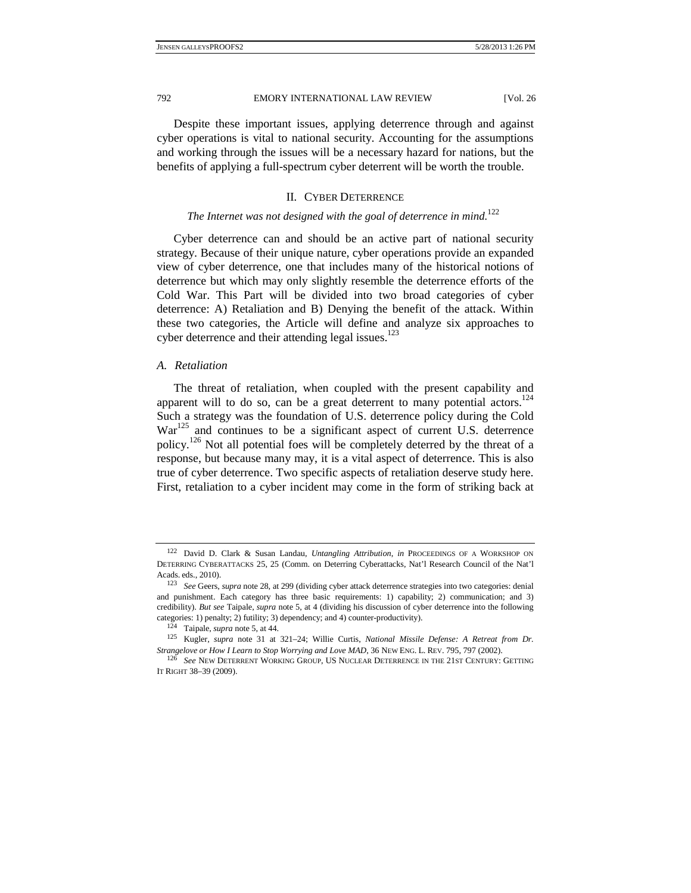Despite these important issues, applying deterrence through and against cyber operations is vital to national security. Accounting for the assumptions and working through the issues will be a necessary hazard for nations, but the benefits of applying a full-spectrum cyber deterrent will be worth the trouble.

## II. CYBER DETERRENCE

# *The Internet was not designed with the goal of deterrence in mind.*<sup>122</sup>

Cyber deterrence can and should be an active part of national security strategy. Because of their unique nature, cyber operations provide an expanded view of cyber deterrence, one that includes many of the historical notions of deterrence but which may only slightly resemble the deterrence efforts of the Cold War. This Part will be divided into two broad categories of cyber deterrence: A) Retaliation and B) Denying the benefit of the attack. Within these two categories, the Article will define and analyze six approaches to cyber deterrence and their attending legal issues.<sup>123</sup>

# *A. Retaliation*

The threat of retaliation, when coupled with the present capability and apparent will to do so, can be a great deterrent to many potential actors.<sup>124</sup> Such a strategy was the foundation of U.S. deterrence policy during the Cold War<sup>125</sup> and continues to be a significant aspect of current U.S. deterrence policy.<sup>126</sup> Not all potential foes will be completely deterred by the threat of a response, but because many may, it is a vital aspect of deterrence. This is also true of cyber deterrence. Two specific aspects of retaliation deserve study here. First, retaliation to a cyber incident may come in the form of striking back at

<sup>122</sup> David D. Clark & Susan Landau, *Untangling Attribution*, *in* PROCEEDINGS OF A WORKSHOP ON DETERRING CYBERATTACKS 25, 25 (Comm. on Deterring Cyberattacks, Nat'l Research Council of the Nat'l Acads. eds., 2010). 123 *See* Geers, *supra* note 28, at 299 (dividing cyber attack deterrence strategies into two categories: denial

and punishment. Each category has three basic requirements: 1) capability; 2) communication; and 3) credibility). *But see* Taipale, *supra* note 5, at 4 (dividing his discussion of cyber deterrence into the following categories: 1) penalty; 2) futility; 3) dependency; and 4) counter-productivity).<br><sup>124</sup> Taipale, *supra* note 5, at 44.<br><sup>125</sup> Kugler, *supra* note 31 at 321–24; Willie Curtis, *National Missile Defense: A Retreat from Dr.* 

*Strangelove or How I Learn to Stop Worrying and Love MAD*, 36 NEW ENG. L. REV. 795, 797 (2002). 126 *See* NEW DETERRENT WORKING GROUP, US NUCLEAR DETERRENCE IN THE 21ST CENTURY: GETTING

IT RIGHT 38–39 (2009).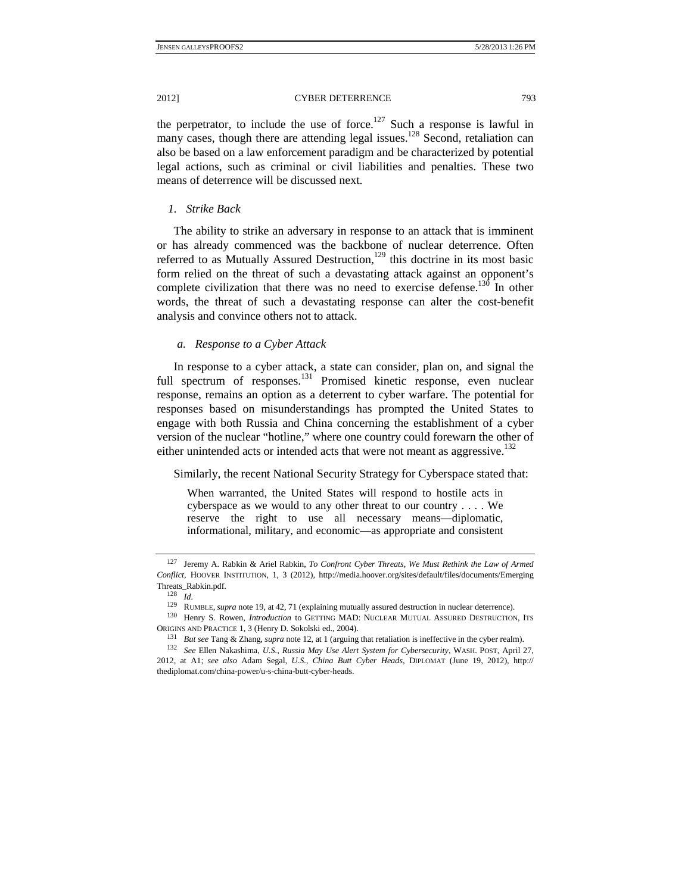the perpetrator, to include the use of force.<sup>127</sup> Such a response is lawful in many cases, though there are attending legal issues.<sup>128</sup> Second, retaliation can also be based on a law enforcement paradigm and be characterized by potential legal actions, such as criminal or civil liabilities and penalties. These two means of deterrence will be discussed next.

# *1. Strike Back*

The ability to strike an adversary in response to an attack that is imminent or has already commenced was the backbone of nuclear deterrence. Often referred to as Mutually Assured Destruction, $129$  this doctrine in its most basic form relied on the threat of such a devastating attack against an opponent's complete civilization that there was no need to exercise defense.<sup>130</sup> In other words, the threat of such a devastating response can alter the cost-benefit analysis and convince others not to attack.

# *a. Response to a Cyber Attack*

In response to a cyber attack, a state can consider, plan on, and signal the full spectrum of responses.<sup>131</sup> Promised kinetic response, even nuclear response, remains an option as a deterrent to cyber warfare. The potential for responses based on misunderstandings has prompted the United States to engage with both Russia and China concerning the establishment of a cyber version of the nuclear "hotline," where one country could forewarn the other of either unintended acts or intended acts that were not meant as aggressive.<sup>132</sup>

Similarly, the recent National Security Strategy for Cyberspace stated that:

When warranted, the United States will respond to hostile acts in cyberspace as we would to any other threat to our country . . . . We reserve the right to use all necessary means—diplomatic, informational, military, and economic—as appropriate and consistent

<sup>127</sup> Jeremy A. Rabkin & Ariel Rabkin, *To Confront Cyber Threats, We Must Rethink the Law of Armed Conflict*, HOOVER INSTITUTION, 1, 3 (2012), http://media.hoover.org/sites/default/files/documents/Emerging Threats\_Rabkin.pdf.

<sup>&</sup>lt;sup>128</sup> *Id.* **RUMBLE,** *supra* note 19, at 42, 71 (explaining mutually assured destruction in nuclear deterrence).

<sup>&</sup>lt;sup>130</sup> Henry S. Rowen, *Introduction* to GETTING MAD: NUCLEAR MUTUAL ASSURED DESTRUCTION, ITS ORIGINS AND PRACTICE 1, 3 (Henry D. Sokolski ed., 2004).<br><sup>131</sup> *But see* Tang & Zhang, *supra* note 12, at 1 (arguing that retaliation is ineffective in the cyber realm).<br><sup>132</sup> *See* Ellen Nakashima, *U.S., Russia May Use* 

<sup>2012,</sup> at A1; *see also* Adam Segal, *U.S., China Butt Cyber Heads*, DIPLOMAT (June 19, 2012), http:// thediplomat.com/china-power/u-s-china-butt-cyber-heads.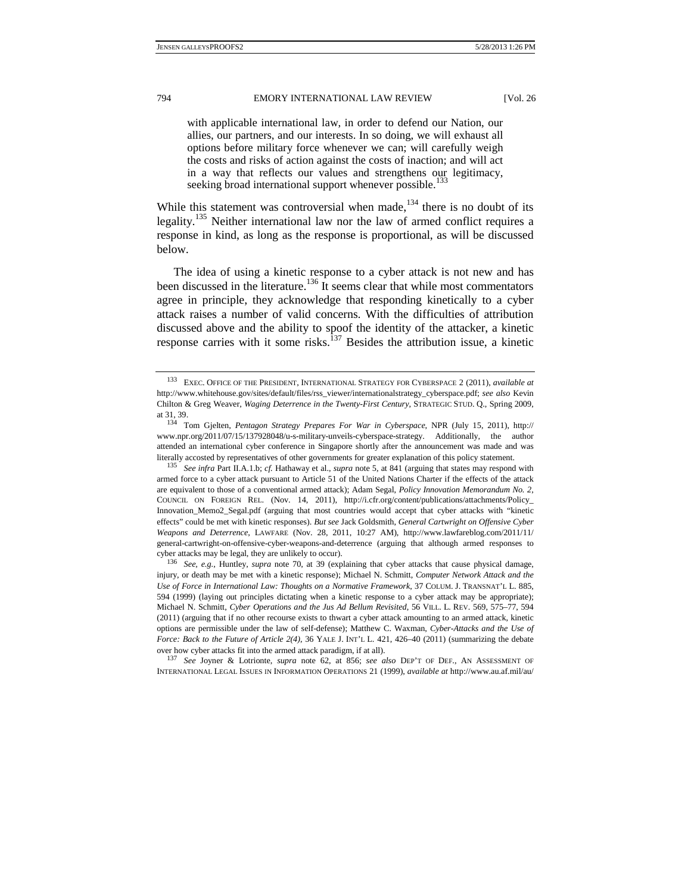with applicable international law, in order to defend our Nation, our allies, our partners, and our interests. In so doing, we will exhaust all options before military force whenever we can; will carefully weigh the costs and risks of action against the costs of inaction; and will act in a way that reflects our values and strengthens our legitimacy, seeking broad international support whenever possible.<sup>133</sup>

While this statement was controversial when made,  $134$  there is no doubt of its legality.<sup>135</sup> Neither international law nor the law of armed conflict requires a response in kind, as long as the response is proportional, as will be discussed below.

The idea of using a kinetic response to a cyber attack is not new and has been discussed in the literature.<sup>136</sup> It seems clear that while most commentators agree in principle, they acknowledge that responding kinetically to a cyber attack raises a number of valid concerns. With the difficulties of attribution discussed above and the ability to spoof the identity of the attacker, a kinetic response carries with it some risks.<sup>137</sup> Besides the attribution issue, a kinetic

INTERNATIONAL LEGAL ISSUES IN INFORMATION OPERATIONS 21 (1999), *available at* http://www.au.af.mil/au/

<sup>133</sup> EXEC. OFFICE OF THE PRESIDENT, INTERNATIONAL STRATEGY FOR CYBERSPACE 2 (2011), *available at*  http://www.whitehouse.gov/sites/default/files/rss\_viewer/internationalstrategy\_cyberspace.pdf; *see also* Kevin Chilton & Greg Weaver, *Waging Deterrence in the Twenty-First Century*, STRATEGIC STUD. Q., Spring 2009, at 31, 39. 134 Tom Gjelten, *Pentagon Strategy Prepares For War in Cyberspace*, NPR (July 15, 2011), http://

www.npr.org/2011/07/15/137928048/u-s-military-unveils-cyberspace-strategy. Additionally, the author attended an international cyber conference in Singapore shortly after the announcement was made and was literally accosted by representatives of other governments for greater explanation of this policy statement.<br><sup>135</sup> See infra Part II.A.1.b; cf. Hathaway et al., *supra* note 5, at 841 (arguing that states may respond with

armed force to a cyber attack pursuant to Article 51 of the United Nations Charter if the effects of the attack are equivalent to those of a conventional armed attack); Adam Segal, *Policy Innovation Memorandum No. 2*, COUNCIL ON FOREIGN REL. (Nov. 14, 2011), http://i.cfr.org/content/publications/attachments/Policy\_ Innovation\_Memo2\_Segal.pdf (arguing that most countries would accept that cyber attacks with "kinetic effects" could be met with kinetic responses). *But see* Jack Goldsmith, *General Cartwright on Offensive Cyber Weapons and Deterrence*, LAWFARE (Nov. 28, 2011, 10:27 AM), http://www.lawfareblog.com/2011/11/ general-cartwright-on-offensive-cyber-weapons-and-deterrence (arguing that although armed responses to cyber attacks may be legal, they are unlikely to occur). 136 *See, e.g.*, Huntley, *supra* note 70, at 39 (explaining that cyber attacks that cause physical damage,

injury, or death may be met with a kinetic response); Michael N. Schmitt, *Computer Network Attack and the Use of Force in International Law: Thoughts on a Normative Framework*, 37 COLUM. J. TRANSNAT'L L. 885, 594 (1999) (laying out principles dictating when a kinetic response to a cyber attack may be appropriate); Michael N. Schmitt, *Cyber Operations and the Jus Ad Bellum Revisited*, 56 VILL. L. REV. 569, 575–77, 594 (2011) (arguing that if no other recourse exists to thwart a cyber attack amounting to an armed attack, kinetic options are permissible under the law of self-defense); Matthew C. Waxman, *Cyber-Attacks and the Use of Force: Back to the Future of Article 2(4)*, 36 YALE J. INT'L L. 421, 426–40 (2011) (summarizing the debate over how cyber attacks fit into the armed attack paradigm, if at all). 137 *See* Joyner & Lotrionte, *supra* note 62, at 856; *see also* DEP'T OF DEF., AN ASSESSMENT OF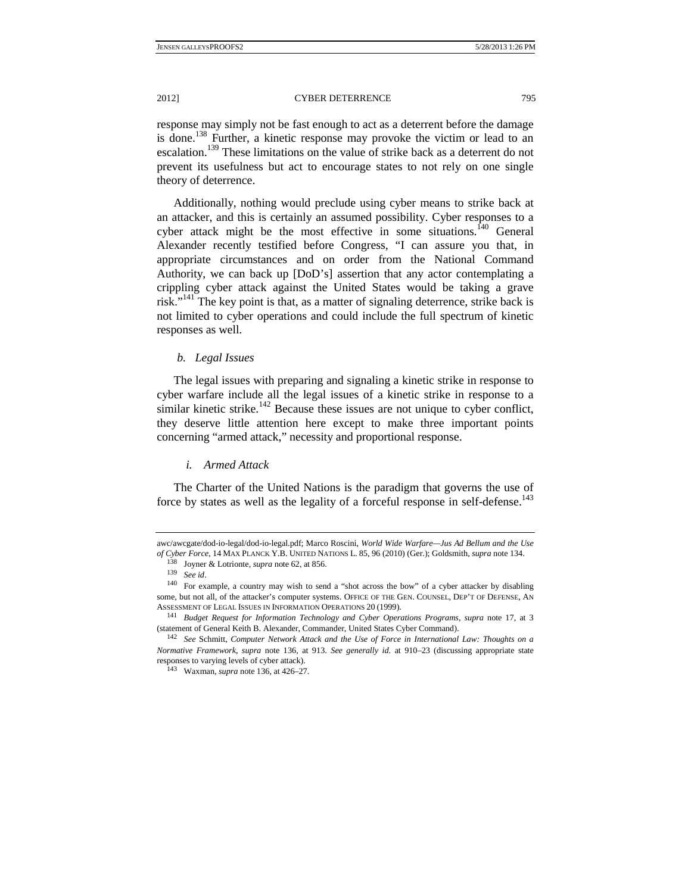response may simply not be fast enough to act as a deterrent before the damage is done.138 Further, a kinetic response may provoke the victim or lead to an escalation.139 These limitations on the value of strike back as a deterrent do not prevent its usefulness but act to encourage states to not rely on one single theory of deterrence.

Additionally, nothing would preclude using cyber means to strike back at an attacker, and this is certainly an assumed possibility. Cyber responses to a cyber attack might be the most effective in some situations.<sup>140</sup> General Alexander recently testified before Congress, "I can assure you that, in appropriate circumstances and on order from the National Command Authority, we can back up [DoD's] assertion that any actor contemplating a crippling cyber attack against the United States would be taking a grave risk."<sup>141</sup> The key point is that, as a matter of signaling deterrence, strike back is not limited to cyber operations and could include the full spectrum of kinetic responses as well.

### *b. Legal Issues*

The legal issues with preparing and signaling a kinetic strike in response to cyber warfare include all the legal issues of a kinetic strike in response to a similar kinetic strike.<sup>142</sup> Because these issues are not unique to cyber conflict, they deserve little attention here except to make three important points concerning "armed attack," necessity and proportional response.

# *i. Armed Attack*

The Charter of the United Nations is the paradigm that governs the use of force by states as well as the legality of a forceful response in self-defense.<sup>143</sup>

awc/awcgate/dod-io-legal/dod-io-legal.pdf; Marco Roscini, *World Wide Warfare—Jus Ad Bellum and the Use*  of Cyber Force, 14 MAX PLANCK Y.B. UNITED NATIONS L. 85, 96 (2010) (Ger.); Goldsmith, *supra* note 134.<br><sup>138</sup> Joyner & Lotrionte, *supra* note 62, at 856.<br><sup>139</sup> *See id.* For example, a country may wish to send a "shot acr

some, but not all, of the attacker's computer systems. OFFICE OF THE GEN, COUNSEL, DEP'T OF DEFENSE, AN ASSESSMENT OF LEGAL ISSUES IN INFORMATION OPERATIONS 20 (1999). 141 *Budget Request for Information Technology and Cyber Operations Programs*, *supra* note 17, at 3

<sup>(</sup>statement of General Keith B. Alexander, Commander, United States Cyber Command).

<sup>142</sup> *See* Schmitt, *Computer Network Attack and the Use of Force in International Law: Thoughts on a Normative Framework*, *supra* note 136, at 913. *See generally id.* at 910–23 (discussing appropriate state responses to varying levels of cyber attack).

 <sup>143</sup> Waxman, *supra* note 136, at 426–27.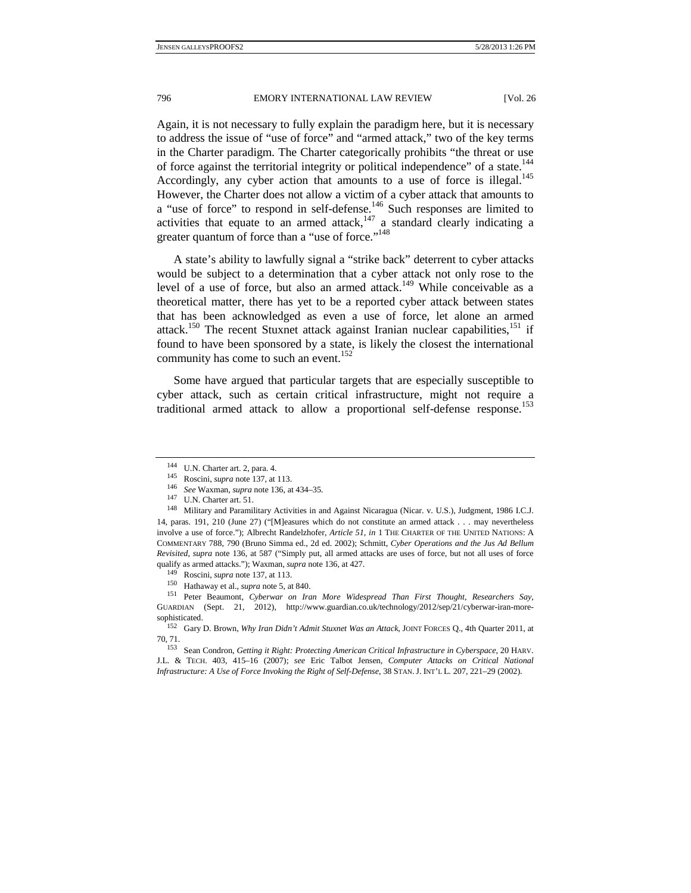Again, it is not necessary to fully explain the paradigm here, but it is necessary to address the issue of "use of force" and "armed attack," two of the key terms in the Charter paradigm. The Charter categorically prohibits "the threat or use of force against the territorial integrity or political independence" of a state.<sup>144</sup> Accordingly, any cyber action that amounts to a use of force is illegal.<sup>145</sup> However, the Charter does not allow a victim of a cyber attack that amounts to a "use of force" to respond in self-defense.<sup>146</sup> Such responses are limited to activities that equate to an armed attack, $147$  a standard clearly indicating a greater quantum of force than a "use of force."<sup>148</sup>

A state's ability to lawfully signal a "strike back" deterrent to cyber attacks would be subject to a determination that a cyber attack not only rose to the level of a use of force, but also an armed attack.<sup>149</sup> While conceivable as a theoretical matter, there has yet to be a reported cyber attack between states that has been acknowledged as even a use of force, let alone an armed attack.<sup>150</sup> The recent Stuxnet attack against Iranian nuclear capabilities, $151$  if found to have been sponsored by a state, is likely the closest the international community has come to such an event.<sup>152</sup>

Some have argued that particular targets that are especially susceptible to cyber attack, such as certain critical infrastructure, might not require a traditional armed attack to allow a proportional self-defense response.153

<sup>&</sup>lt;sup>144</sup> U.N. Charter art. 2, para. 4.<br>
<sup>145</sup> Roscini, *supra* note 137, at 113.<br>
<sup>146</sup> See Waxman, *supra* note 136, at 434–35.<br>
<sup>147</sup> U.N. Charter art. 51.<br>
<sup>148</sup> Military and Paramilitary Activities in and Against Nicarag 14, paras. 191, 210 (June 27) ("[M]easures which do not constitute an armed attack . . . may nevertheless involve a use of force."); Albrecht Randelzhofer, *Article 51*, *in* 1 THE CHARTER OF THE UNITED NATIONS: A COMMENTARY 788, 790 (Bruno Simma ed., 2d ed. 2002); Schmitt, *Cyber Operations and the Jus Ad Bellum Revisited, supra* note 136, at 587 ("Simply put, all armed attacks are uses of force, but not all uses of force

qualify as armed attacks."); Waxman, *supra* note 136, at 427.<br>
<sup>149</sup> Roscini, *supra* note 137, at 113.<br>
<sup>150</sup> Hathaway et al., *supra* note 5, at 840.<br>
<sup>151</sup> Peter Beaumont, *Cyberwar on Iran More Widespread Than First* GUARDIAN (Sept. 21, 2012), http://www.guardian.co.uk/technology/2012/sep/21/cyberwar-iran-moresophisticated. 152 Gary D. Brown, *Why Iran Didn't Admit Stuxnet Was an Attack*, JOINT FORCES Q., 4th Quarter 2011, at

<sup>70, 71. 153</sup> Sean Condron, *Getting it Right: Protecting American Critical Infrastructure in Cyberspace*, 20 HARV.

J.L. & TECH. 403, 415–16 (2007); *see* Eric Talbot Jensen, *Computer Attacks on Critical National Infrastructure: A Use of Force Invoking the Right of Self-Defense*, 38 STAN.J. INT'L L. 207, 221–29 (2002).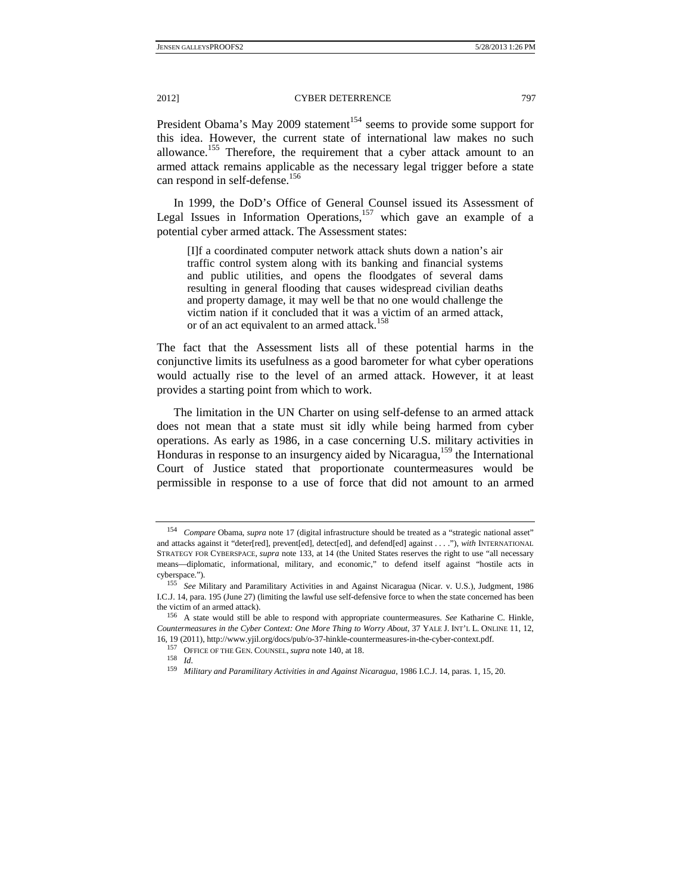President Obama's May 2009 statement<sup>154</sup> seems to provide some support for this idea. However, the current state of international law makes no such allowance.<sup>155</sup> Therefore, the requirement that a cyber attack amount to an armed attack remains applicable as the necessary legal trigger before a state can respond in self-defense.<sup>156</sup>

In 1999, the DoD's Office of General Counsel issued its Assessment of Legal Issues in Information Operations,  $157$  which gave an example of a potential cyber armed attack. The Assessment states:

[I]f a coordinated computer network attack shuts down a nation's air traffic control system along with its banking and financial systems and public utilities, and opens the floodgates of several dams resulting in general flooding that causes widespread civilian deaths and property damage, it may well be that no one would challenge the victim nation if it concluded that it was a victim of an armed attack, or of an act equivalent to an armed attack.<sup>158</sup>

The fact that the Assessment lists all of these potential harms in the conjunctive limits its usefulness as a good barometer for what cyber operations would actually rise to the level of an armed attack. However, it at least provides a starting point from which to work.

The limitation in the UN Charter on using self-defense to an armed attack does not mean that a state must sit idly while being harmed from cyber operations. As early as 1986, in a case concerning U.S. military activities in Honduras in response to an insurgency aided by Nicaragua,<sup>159</sup> the International Court of Justice stated that proportionate countermeasures would be permissible in response to a use of force that did not amount to an armed

<sup>154</sup> *Compare* Obama, *supra* note 17 (digital infrastructure should be treated as a "strategic national asset" and attacks against it "deter[red], prevent[ed], detect[ed], and defend[ed] against . . . ."), *with* INTERNATIONAL STRATEGY FOR CYBERSPACE, *supra* note 133, at 14 (the United States reserves the right to use "all necessary means—diplomatic, informational, military, and economic," to defend itself against "hostile acts in cyberspace."). 155 *See* Military and Paramilitary Activities in and Against Nicaragua (Nicar. v. U.S.), Judgment, 1986

I.C.J. 14, para. 195 (June 27) (limiting the lawful use self-defensive force to when the state concerned has been the victim of an armed attack). 156 A state would still be able to respond with appropriate countermeasures. *See* Katharine C. Hinkle,

*Countermeasures in the Cyber Context: One More Thing to Worry About*, 37 YALE J. INT'L L. ONLINE 11, 12, 16, 19 (2011), http://www.yjil.org/docs/pub/o-37-hinkle-countermeasures-in-the-cyber-context.pdf. 157 OFFICE OF THE GEN. COUNSEL,*supra* note 140, at 18. 158 *Id.*

<sup>159</sup> *Military and Paramilitary Activities in and Against Nicaragua*, 1986 I.C.J. 14, paras. 1, 15, 20.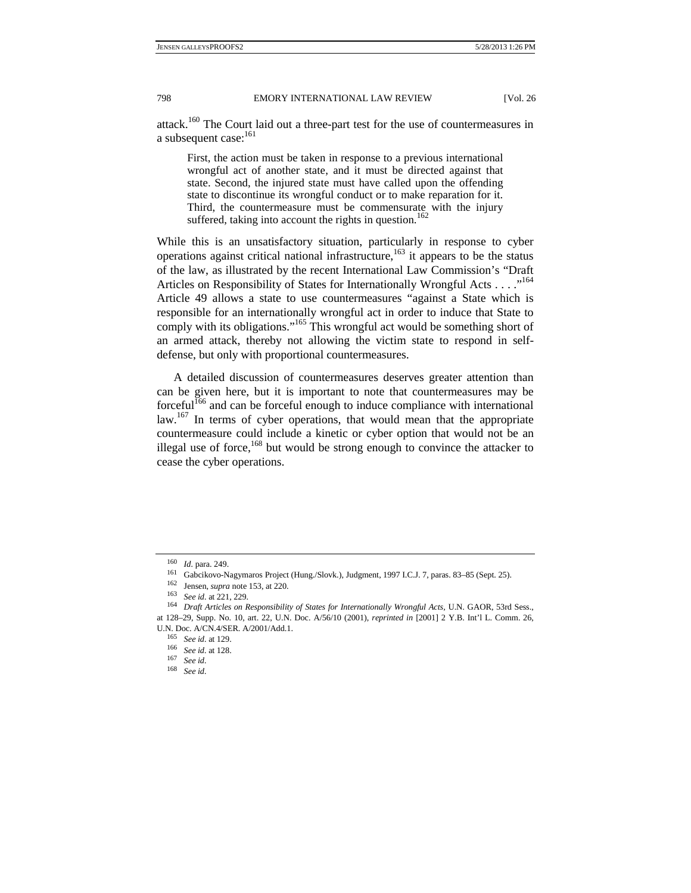attack.160 The Court laid out a three-part test for the use of countermeasures in a subsequent case:<sup>161</sup>

First, the action must be taken in response to a previous international wrongful act of another state, and it must be directed against that state. Second, the injured state must have called upon the offending state to discontinue its wrongful conduct or to make reparation for it. Third, the countermeasure must be commensurate with the injury suffered, taking into account the rights in question.<sup>162</sup>

While this is an unsatisfactory situation, particularly in response to cyber operations against critical national infrastructure, $163$  it appears to be the status of the law, as illustrated by the recent International Law Commission's "Draft Articles on Responsibility of States for Internationally Wrongful Acts . . . ."<sup>164</sup> Article 49 allows a state to use countermeasures "against a State which is responsible for an internationally wrongful act in order to induce that State to comply with its obligations."<sup>165</sup> This wrongful act would be something short of an armed attack, thereby not allowing the victim state to respond in selfdefense, but only with proportional countermeasures.

A detailed discussion of countermeasures deserves greater attention than can be given here, but it is important to note that countermeasures may be forceful<sup>166</sup> and can be forceful enough to induce compliance with international law.<sup>167</sup> In terms of cyber operations, that would mean that the appropriate countermeasure could include a kinetic or cyber option that would not be an illegal use of force, $168$  but would be strong enough to convince the attacker to cease the cyber operations.

<sup>160</sup> *Id.* para. 249.<br>
<sup>161</sup> Gabcikovo-Nagymaros Project (Hung./Slovk.), Judgment, 1997 I.C.J. 7, paras. 83–85 (Sept. 25).<br>
<sup>162</sup> Jensen, *supra* note 153, at 220.<br>
<sup>163</sup> See id. at 221, 229.<br>
<sup>163</sup> See id. at 221, 229.<br>
<sup>1</sup> at 128–29, Supp. No. 10, art. 22, U.N. Doc. A/56/10 (2001), *reprinted in* [2001] 2 Y.B. Int'l L. Comm. 26,

U.N. Doc. A/CN.4/SER. A/2001/Add.1. 165 *See id.* at 129. 166 *See id.* at 128. 167 *See id.*

<sup>168</sup> *See id.*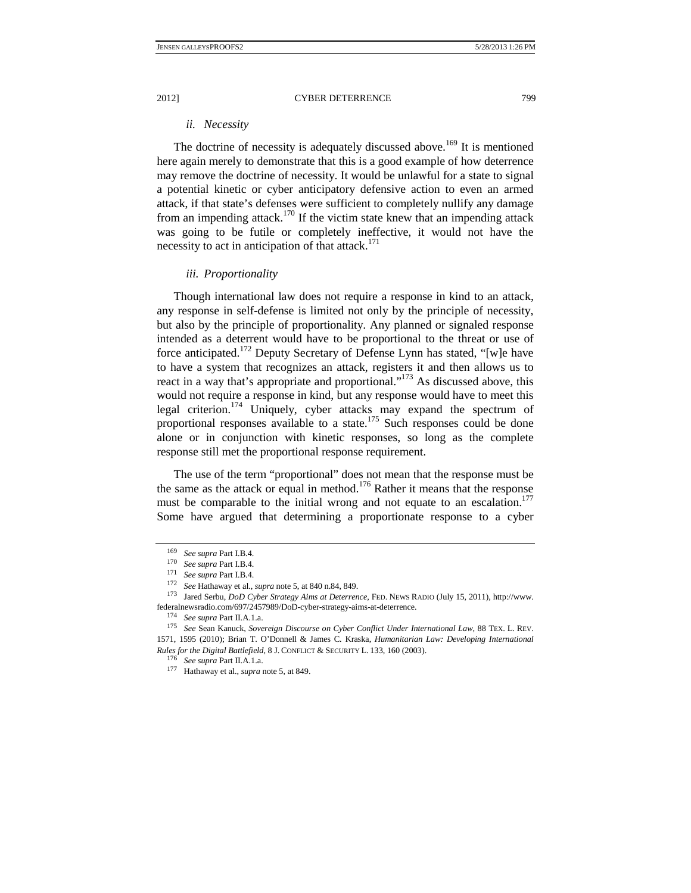#### *ii. Necessity*

The doctrine of necessity is adequately discussed above.<sup>169</sup> It is mentioned here again merely to demonstrate that this is a good example of how deterrence may remove the doctrine of necessity. It would be unlawful for a state to signal a potential kinetic or cyber anticipatory defensive action to even an armed attack, if that state's defenses were sufficient to completely nullify any damage from an impending attack.<sup>170</sup> If the victim state knew that an impending attack was going to be futile or completely ineffective, it would not have the necessity to act in anticipation of that attack. $171$ 

## *iii. Proportionality*

Though international law does not require a response in kind to an attack, any response in self-defense is limited not only by the principle of necessity, but also by the principle of proportionality. Any planned or signaled response intended as a deterrent would have to be proportional to the threat or use of force anticipated.<sup>172</sup> Deputy Secretary of Defense Lynn has stated, "[w]e have to have a system that recognizes an attack, registers it and then allows us to react in a way that's appropriate and proportional."<sup>173</sup> As discussed above, this would not require a response in kind, but any response would have to meet this legal criterion.<sup>174</sup> Uniquely, cyber attacks may expand the spectrum of proportional responses available to a state.<sup>175</sup> Such responses could be done alone or in conjunction with kinetic responses, so long as the complete response still met the proportional response requirement.

The use of the term "proportional" does not mean that the response must be the same as the attack or equal in method.<sup>176</sup> Rather it means that the response must be comparable to the initial wrong and not equate to an escalation.<sup>177</sup> Some have argued that determining a proportionate response to a cyber

<sup>&</sup>lt;sup>169</sup> See supra Part I.B.4.<br>
<sup>170</sup> See supra Part I.B.4.<br>
<sup>171</sup> See supra Part I.B.4.<br>
<sup>172</sup> See Hathaway et al., *supra* note 5, at 840 n.84, 849.<br>
<sup>173</sup> Jared Serbu, *DoD Cyber Strategy Aims at Deterrence*, FED. NEWS RA federalnewsradio.com/697/2457989/DoD-cyber-strategy-aims-at-deterrence. 174 *See supra* Part II.A.1.a. 175 *See* Sean Kanuck, *Sovereign Discourse on Cyber Conflict Under International Law*, 88 TEX. L. REV.

<sup>1571, 1595 (2010);</sup> Brian T. O'Donnell & James C. Kraska, *Humanitarian Law: Developing International Rules for the Digital Battlefield*, 8 J. CONFLICT & SECURITY L. 133, 160 (2003). 176 *See supra* Part II.A.1.a. 177 Hathaway et al., *supra* note 5, at 849.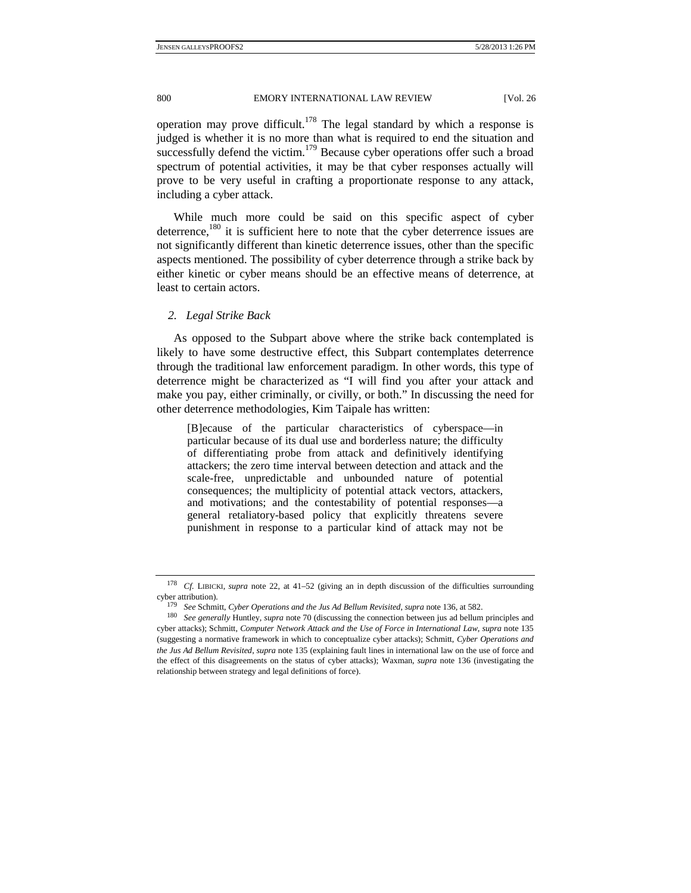operation may prove difficult.<sup>178</sup> The legal standard by which a response is judged is whether it is no more than what is required to end the situation and successfully defend the victim.<sup>179</sup> Because cyber operations offer such a broad spectrum of potential activities, it may be that cyber responses actually will prove to be very useful in crafting a proportionate response to any attack, including a cyber attack.

While much more could be said on this specific aspect of cyber deterrence,<sup>180</sup> it is sufficient here to note that the cyber deterrence issues are not significantly different than kinetic deterrence issues, other than the specific aspects mentioned. The possibility of cyber deterrence through a strike back by either kinetic or cyber means should be an effective means of deterrence, at least to certain actors.

#### *2. Legal Strike Back*

As opposed to the Subpart above where the strike back contemplated is likely to have some destructive effect, this Subpart contemplates deterrence through the traditional law enforcement paradigm. In other words, this type of deterrence might be characterized as "I will find you after your attack and make you pay, either criminally, or civilly, or both." In discussing the need for other deterrence methodologies, Kim Taipale has written:

[B]ecause of the particular characteristics of cyberspace—in particular because of its dual use and borderless nature; the difficulty of differentiating probe from attack and definitively identifying attackers; the zero time interval between detection and attack and the scale-free, unpredictable and unbounded nature of potential consequences; the multiplicity of potential attack vectors, attackers, and motivations; and the contestability of potential responses—a general retaliatory-based policy that explicitly threatens severe punishment in response to a particular kind of attack may not be

<sup>178</sup> *Cf.* LIBICKI, *supra* note 22, at 41–52 (giving an in depth discussion of the difficulties surrounding

cyber attribution).<br><sup>179</sup> See Schmitt, Cyber Operations and the Jus Ad Bellum Revisited, supra note 136, at 582.<br><sup>180</sup> See generally Huntley, supra note 70 (discussing the connection between jus ad bellum principles and cyber attacks); Schmitt, *Computer Network Attack and the Use of Force in International Law, supra* note 135 (suggesting a normative framework in which to conceptualize cyber attacks); Schmitt, *Cyber Operations and the Jus Ad Bellum Revisited*, *supra* note 135 (explaining fault lines in international law on the use of force and the effect of this disagreements on the status of cyber attacks); Waxman, *supra* note 136 (investigating the relationship between strategy and legal definitions of force).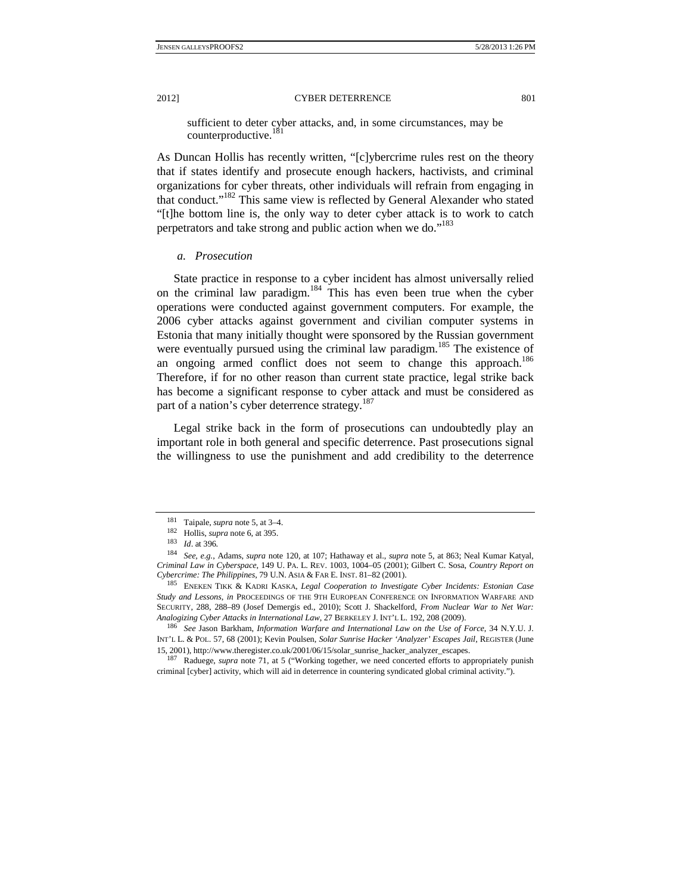sufficient to deter cyber attacks, and, in some circumstances, may be counterproductive.<sup>181</sup>

As Duncan Hollis has recently written, "[c]ybercrime rules rest on the theory that if states identify and prosecute enough hackers, hactivists, and criminal organizations for cyber threats, other individuals will refrain from engaging in that conduct."182 This same view is reflected by General Alexander who stated "[t]he bottom line is, the only way to deter cyber attack is to work to catch perpetrators and take strong and public action when we do."<sup>183</sup>

# *a. Prosecution*

State practice in response to a cyber incident has almost universally relied on the criminal law paradigm.184 This has even been true when the cyber operations were conducted against government computers. For example, the 2006 cyber attacks against government and civilian computer systems in Estonia that many initially thought were sponsored by the Russian government were eventually pursued using the criminal law paradigm.<sup>185</sup> The existence of an ongoing armed conflict does not seem to change this approach.<sup>186</sup> Therefore, if for no other reason than current state practice, legal strike back has become a significant response to cyber attack and must be considered as part of a nation's cyber deterrence strategy.<sup>187</sup>

Legal strike back in the form of prosecutions can undoubtedly play an important role in both general and specific deterrence. Past prosecutions signal the willingness to use the punishment and add credibility to the deterrence

<sup>&</sup>lt;sup>181</sup> Taipale, *supra* note 5, at 3–4.<br>
<sup>182</sup> Hollis, *supra* note 6, at 395.<br>
<sup>183</sup> *Id.* at 396.<br>
<sup>183</sup> *See, e.g.*, Adams, *supra* note 120, at 107; Hathaway et al., *supra* note 5, at 863; Neal Kumar Katyal, *Criminal Law in Cyberspace*, 149 U. PA. L. REV. 1003, 1004–05 (2001); Gilbert C. Sosa, *Country Report on Cybercrime: The Philippines*, 79 U.N. ASIA & FAR E. INST. 81–82 (2001). 185 ENEKEN TIKK & KADRI KASKA, *Legal Cooperation to Investigate Cyber Incidents: Estonian Case* 

*Study and Lessons*, *in* PROCEEDINGS OF THE 9TH EUROPEAN CONFERENCE ON INFORMATION WARFARE AND SECURITY, 288, 288–89 (Josef Demergis ed., 2010); Scott J. Shackelford, *From Nuclear War to Net War: Analogizing Cyber Attacks in International Law*, 27 BERKELEY J. INT'L L. 192, 208 (2009). 186 *See* Jason Barkham, *Information Warfare and International Law on the Use of Force*, 34 N.Y.U. J.

INT'L L. & POL. 57, 68 (2001); Kevin Poulsen, *Solar Sunrise Hacker 'Analyzer' Escapes Jail*, REGISTER (June 15, 2001), http://www.theregister.co.uk/2001/06/15/solar\_sunrise\_hacker\_analyzer\_escapes. 187 Raduege, *supra* note 71, at 5 ("Working together, we need concerted efforts to appropriately punish

criminal [cyber] activity, which will aid in deterrence in countering syndicated global criminal activity.").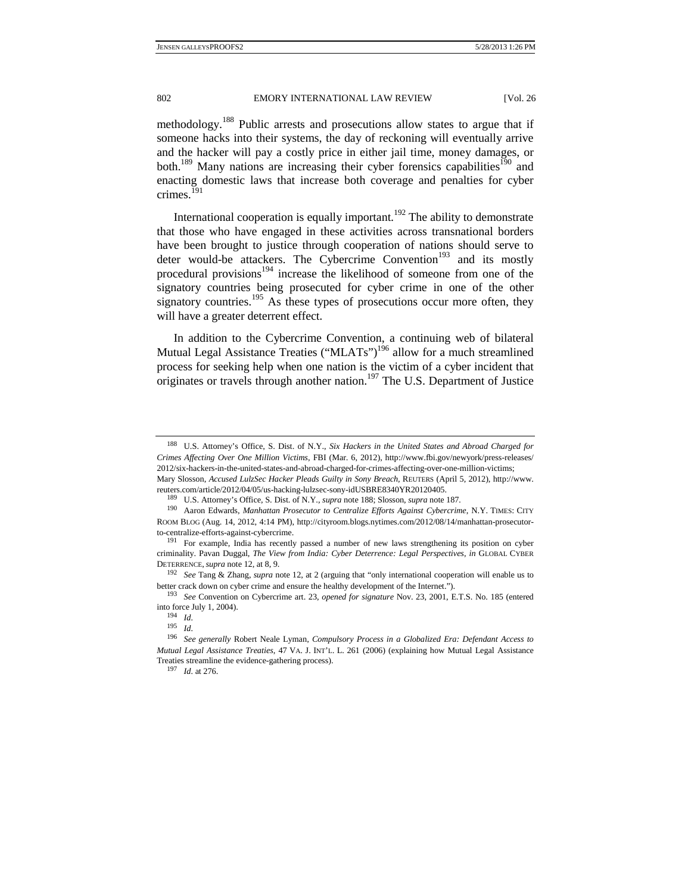methodology.188 Public arrests and prosecutions allow states to argue that if someone hacks into their systems, the day of reckoning will eventually arrive and the hacker will pay a costly price in either jail time, money damages, or both.<sup>189</sup> Many nations are increasing their cyber forensics capabilities<sup>190</sup> and enacting domestic laws that increase both coverage and penalties for cyber crimes.<sup>191</sup>

International cooperation is equally important.<sup>192</sup> The ability to demonstrate that those who have engaged in these activities across transnational borders have been brought to justice through cooperation of nations should serve to deter would-be attackers. The Cybercrime Convention<sup>193</sup> and its mostly procedural provisions<sup>194</sup> increase the likelihood of someone from one of the signatory countries being prosecuted for cyber crime in one of the other signatory countries.<sup>195</sup> As these types of prosecutions occur more often, they will have a greater deterrent effect.

In addition to the Cybercrime Convention, a continuing web of bilateral Mutual Legal Assistance Treaties ("MLATs")<sup>196</sup> allow for a much streamlined process for seeking help when one nation is the victim of a cyber incident that originates or travels through another nation.<sup>197</sup> The U.S. Department of Justice

<sup>197</sup>*Id.* at 276.

<sup>188</sup> U.S. Attorney's Office, S. Dist. of N.Y., *Six Hackers in the United States and Abroad Charged for Crimes Affecting Over One Million Victims*, FBI (Mar. 6, 2012), http://www.fbi.gov/newyork/press-releases/ 2012/six-hackers-in-the-united-states-and-abroad-charged-for-crimes-affecting-over-one-million-victims;

Mary Slosson, *Accused LulzSec Hacker Pleads Guilty in Sony Breach,* REUTERS (April 5, 2012), http://www. reuters.com/article/2012/04/05/us-hacking-lulzsec-sony-idUSBRE8340YR20120405. 189 U.S. Attorney's Office, S. Dist. of N.Y., *supra* note 188; Slosson, *supra* note 187*.*

<sup>190</sup> Aaron Edwards, *Manhattan Prosecutor to Centralize Efforts Against Cybercrime*, N.Y. TIMES: CITY ROOM BLOG (Aug. 14, 2012, 4:14 PM), http://cityroom.blogs.nytimes.com/2012/08/14/manhattan-prosecutorto-centralize-efforts-against-cybercrime.<br><sup>191</sup> For example, India has recently passed a number of new laws strengthening its position on cyber

criminality. Pavan Duggal, *The View from India: Cyber Deterrence: Legal Perspectives*, *in* GLOBAL CYBER DETERRENCE, *supra* note 12, at 8, 9.<br><sup>192</sup> See Tang & Zhang, *supra* note 12, at 2 (arguing that "only international cooperation will enable us to

better crack down on cyber crime and ensure the healthy development of the Internet."). 193 *See* Convention on Cybercrime art. 23, *opened for signature* Nov. 23, 2001, E.T.S. No. 185 (entered

into force July 1, 2004). 194 *Id.*

<sup>195</sup>*Id.*

<sup>196</sup> *See generally* Robert Neale Lyman, *Compulsory Process in a Globalized Era: Defendant Access to Mutual Legal Assistance Treaties*, 47 VA. J. INT'L. L. 261 (2006) (explaining how Mutual Legal Assistance Treaties streamline the evidence-gathering process).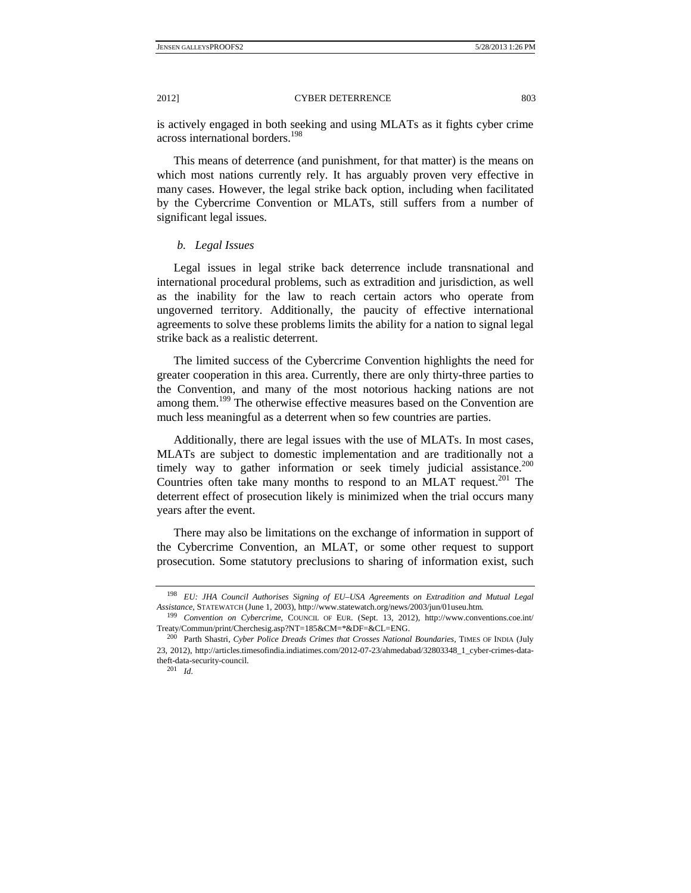is actively engaged in both seeking and using MLATs as it fights cyber crime across international borders.198

This means of deterrence (and punishment, for that matter) is the means on which most nations currently rely. It has arguably proven very effective in many cases. However, the legal strike back option, including when facilitated by the Cybercrime Convention or MLATs, still suffers from a number of significant legal issues.

# *b. Legal Issues*

Legal issues in legal strike back deterrence include transnational and international procedural problems, such as extradition and jurisdiction, as well as the inability for the law to reach certain actors who operate from ungoverned territory. Additionally, the paucity of effective international agreements to solve these problems limits the ability for a nation to signal legal strike back as a realistic deterrent.

The limited success of the Cybercrime Convention highlights the need for greater cooperation in this area. Currently, there are only thirty-three parties to the Convention, and many of the most notorious hacking nations are not among them.<sup>199</sup> The otherwise effective measures based on the Convention are much less meaningful as a deterrent when so few countries are parties.

Additionally, there are legal issues with the use of MLATs. In most cases, MLATs are subject to domestic implementation and are traditionally not a timely way to gather information or seek timely judicial assistance.<sup>200</sup> Countries often take many months to respond to an MLAT request.<sup>201</sup> The deterrent effect of prosecution likely is minimized when the trial occurs many years after the event.

There may also be limitations on the exchange of information in support of the Cybercrime Convention, an MLAT, or some other request to support prosecution. Some statutory preclusions to sharing of information exist, such

<sup>198</sup> *EU: JHA Council Authorises Signing of EU–USA Agreements on Extradition and Mutual Legal Assistance*, STATEWATCH (June 1, 2003), http://www.statewatch.org/news/2003/jun/01useu.htm*.* 199 *Convention on Cybercrime*, COUNCIL OF EUR. (Sept. 13, 2012), http://www.conventions.coe.int/

Treaty/Commun/print/Cherchesig.asp?NT=185&CM=\*&DF=&CL=ENG.

<sup>&</sup>lt;sup>200</sup> Parth Shastri, *Cyber Police Dreads Crimes that Crosses National Boundaries*, TIMES OF INDIA (July 23, 2012), http://articles.timesofindia.indiatimes.com/2012-07-23/ahmedabad/32803348\_1\_cyber-crimes-datatheft-data-security-council.

<sup>201</sup> *Id.*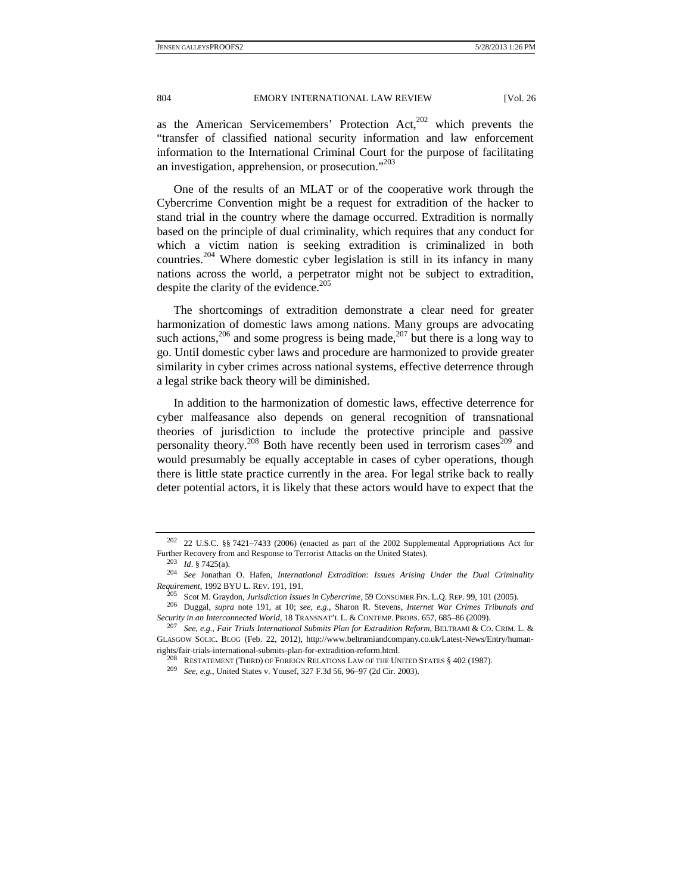as the American Servicemembers' Protection  $Act<sub>1</sub><sup>202</sup>$  which prevents the "transfer of classified national security information and law enforcement information to the International Criminal Court for the purpose of facilitating an investigation, apprehension, or prosecution."<sup>203</sup>

One of the results of an MLAT or of the cooperative work through the Cybercrime Convention might be a request for extradition of the hacker to stand trial in the country where the damage occurred. Extradition is normally based on the principle of dual criminality, which requires that any conduct for which a victim nation is seeking extradition is criminalized in both countries.<sup>204</sup> Where domestic cyber legislation is still in its infancy in many nations across the world, a perpetrator might not be subject to extradition, despite the clarity of the evidence.<sup>205</sup>

The shortcomings of extradition demonstrate a clear need for greater harmonization of domestic laws among nations. Many groups are advocating such actions,<sup>206</sup> and some progress is being made,<sup>207</sup> but there is a long way to go. Until domestic cyber laws and procedure are harmonized to provide greater similarity in cyber crimes across national systems, effective deterrence through a legal strike back theory will be diminished.

In addition to the harmonization of domestic laws, effective deterrence for cyber malfeasance also depends on general recognition of transnational theories of jurisdiction to include the protective principle and passive personality theory.<sup>208</sup> Both have recently been used in terrorism cases<sup>209</sup> and would presumably be equally acceptable in cases of cyber operations, though there is little state practice currently in the area. For legal strike back to really deter potential actors, it is likely that these actors would have to expect that the

<sup>202</sup> 22 U.S.C. §§ 7421–7433 (2006) (enacted as part of the 2002 Supplemental Appropriations Act for Further Recovery from and Response to Terrorist Attacks on the United States).<br><sup>203</sup> *Id.* § 7425(a).<br><sup>204</sup> *See* Jonathan O. Hafen, *International Extradition: Issues Arising Under the Dual Criminality* 

Requirement, 1992 BYU L. REV. 191, 191.<br><sup>205</sup> Scot M. Graydon, Jurisdiction Issues in Cybercrime, 59 CONSUMER FIN. L.Q. REP. 99, 101 (2005).<br><sup>206</sup> Duggal, *supra* note 191, at 10; *see, e.g.*, Sharon R. Stevens, *Internet* 

*Security in an Interconnected World*, 18 TRANSNAT'L L. & CONTEMP. PROBS. 657, 685–86 (2009). 207 *See, e.g.*, *Fair Trials International Submits Plan for Extradition Reform*, BELTRAMI & CO. CRIM. L. &

GLASGOW SOLIC. BLOG (Feb. 22, 2012), http://www.beltramiandcompany.co.uk/Latest-News/Entry/humanrights/fair-trials-international-submits-plan-for-extradition-reform.html.

<sup>208</sup> RESTATEMENT (THIRD) OF FOREIGN RELATIONS LAW OF THE UNITED STATES § 402 (1987). 209 *See, e.g.*, United States v. Yousef, 327 F.3d 56, 96–97 (2d Cir. 2003).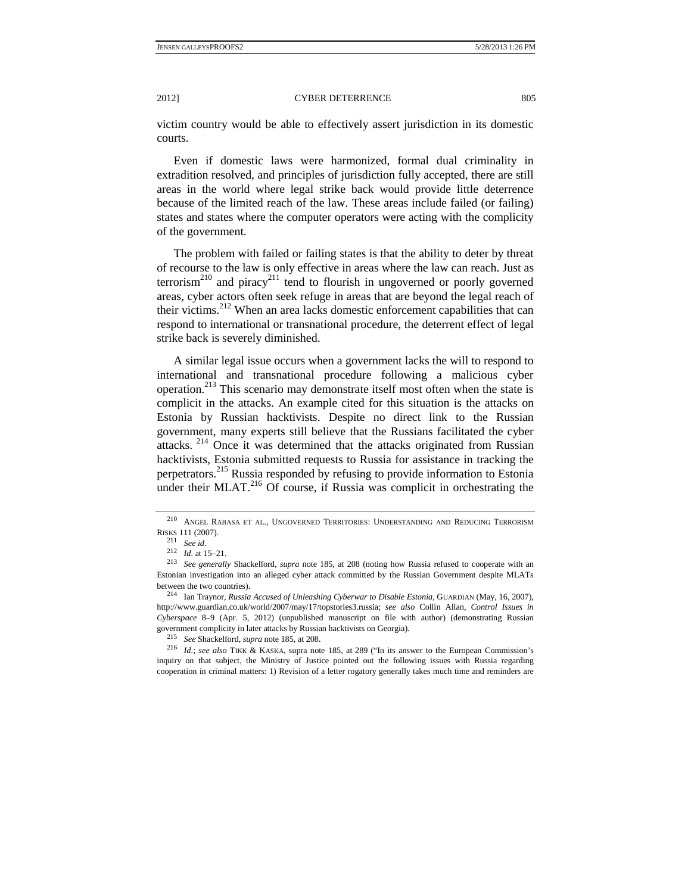victim country would be able to effectively assert jurisdiction in its domestic courts.

Even if domestic laws were harmonized, formal dual criminality in extradition resolved, and principles of jurisdiction fully accepted, there are still areas in the world where legal strike back would provide little deterrence because of the limited reach of the law. These areas include failed (or failing) states and states where the computer operators were acting with the complicity of the government.

The problem with failed or failing states is that the ability to deter by threat of recourse to the law is only effective in areas where the law can reach. Just as terrorism<sup>210</sup> and piracy<sup>211</sup> tend to flourish in ungoverned or poorly governed areas, cyber actors often seek refuge in areas that are beyond the legal reach of their victims.212 When an area lacks domestic enforcement capabilities that can respond to international or transnational procedure, the deterrent effect of legal strike back is severely diminished.

A similar legal issue occurs when a government lacks the will to respond to international and transnational procedure following a malicious cyber operation.213 This scenario may demonstrate itself most often when the state is complicit in the attacks. An example cited for this situation is the attacks on Estonia by Russian hacktivists. Despite no direct link to the Russian government, many experts still believe that the Russians facilitated the cyber attacks. 214 Once it was determined that the attacks originated from Russian hacktivists, Estonia submitted requests to Russia for assistance in tracking the perpetrators.<sup>215</sup> Russia responded by refusing to provide information to Estonia under their MLAT.<sup>216</sup> Of course, if Russia was complicit in orchestrating the

inquiry on that subject, the Ministry of Justice pointed out the following issues with Russia regarding cooperation in criminal matters: 1) Revision of a letter rogatory generally takes much time and reminders are

<sup>210</sup> ANGEL RABASA ET AL., UNGOVERNED TERRITORIES: UNDERSTANDING AND REDUCING TERRORISM

RISKS 111 (2007).<br><sup>211</sup> *See id.* 2007).<br><sup>212</sup> *Id.* at 15–21.<br><sup>213</sup> *See generally* Shackelford, *supra* note 185, at 208 (noting how Russia refused to cooperate with an Estonian investigation into an alleged cyber attack committed by the Russian Government despite MLATs between the two countries). 214 Ian Traynor, *Russia Accused of Unleashing Cyberwar to Disable Estonia*, GUARDIAN (May, 16, 2007),

http://www.guardian.co.uk/world/2007/may/17/topstories3.russia; *see also* Collin Allan, *Control Issues in Cyberspace* 8–9 (Apr. 5, 2012) (unpublished manuscript on file with author) (demonstrating Russian government complicity in later attacks by Russian hacktivists on Georgia).<br><sup>215</sup> See Shackelford, *supra* note 185, at 208.<br><sup>216</sup> *Id.; see also* TIKK & KASKA, supra note 185, at 289 ("In its answer to the European Commiss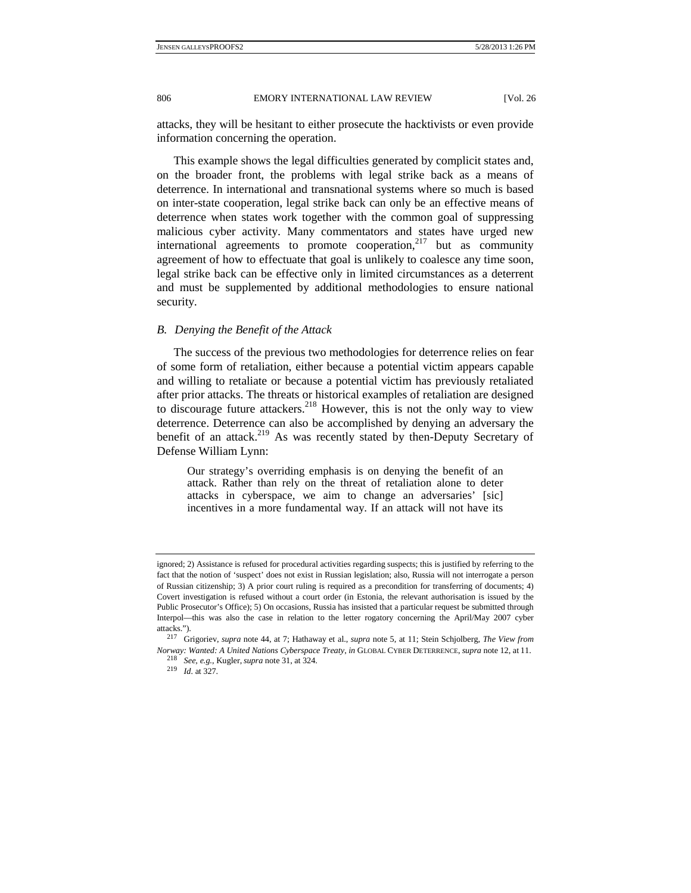attacks, they will be hesitant to either prosecute the hacktivists or even provide information concerning the operation.

This example shows the legal difficulties generated by complicit states and, on the broader front, the problems with legal strike back as a means of deterrence. In international and transnational systems where so much is based on inter-state cooperation, legal strike back can only be an effective means of deterrence when states work together with the common goal of suppressing malicious cyber activity. Many commentators and states have urged new international agreements to promote cooperation, $^{217}$  but as community agreement of how to effectuate that goal is unlikely to coalesce any time soon, legal strike back can be effective only in limited circumstances as a deterrent and must be supplemented by additional methodologies to ensure national security.

#### *B. Denying the Benefit of the Attack*

The success of the previous two methodologies for deterrence relies on fear of some form of retaliation, either because a potential victim appears capable and willing to retaliate or because a potential victim has previously retaliated after prior attacks. The threats or historical examples of retaliation are designed to discourage future attackers.<sup>218</sup> However, this is not the only way to view deterrence. Deterrence can also be accomplished by denying an adversary the benefit of an attack.<sup>219</sup> As was recently stated by then-Deputy Secretary of Defense William Lynn:

Our strategy's overriding emphasis is on denying the benefit of an attack. Rather than rely on the threat of retaliation alone to deter attacks in cyberspace, we aim to change an adversaries' [sic] incentives in a more fundamental way. If an attack will not have its

ignored; 2) Assistance is refused for procedural activities regarding suspects; this is justified by referring to the fact that the notion of 'suspect' does not exist in Russian legislation; also, Russia will not interrogate a person of Russian citizenship; 3) A prior court ruling is required as a precondition for transferring of documents; 4) Covert investigation is refused without a court order (in Estonia, the relevant authorisation is issued by the Public Prosecutor's Office); 5) On occasions, Russia has insisted that a particular request be submitted through Interpol—this was also the case in relation to the letter rogatory concerning the April/May 2007 cyber

attacks."). 217 Grigoriev, *supra* note 44, at 7; Hathaway et al., *supra* note 5, at 11; Stein Schjolberg, *The View from Norway: Wanted: A United Nations Cyberspace Treaty*, *in* GLOBAL CYBER DETERRENCE, *supra* note 12, at 11. 218 *See, e.g.*, Kugler, *supra* note 31, at 324. 219 *Id.* at 327.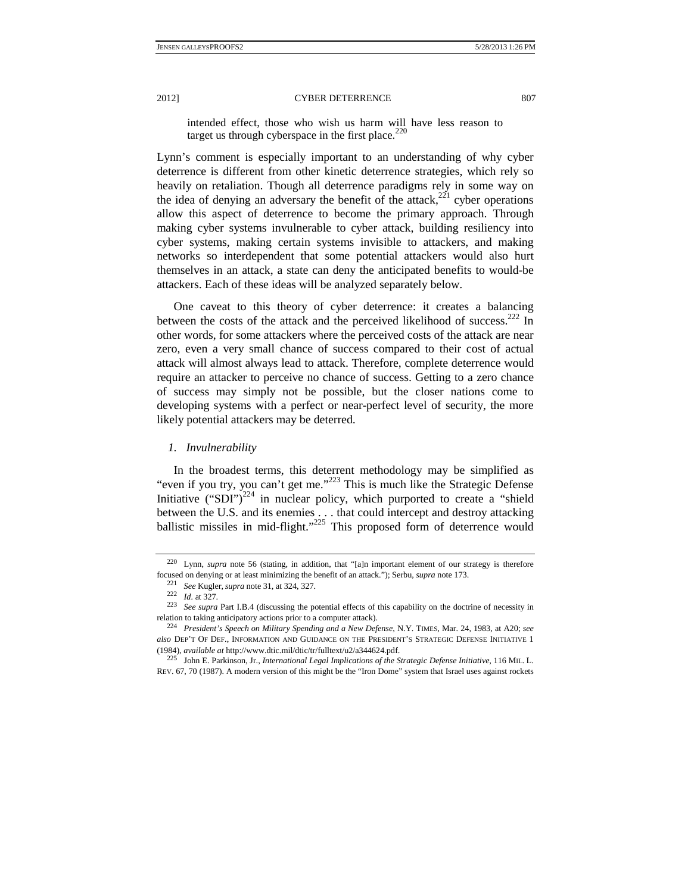intended effect, those who wish us harm will have less reason to target us through cyberspace in the first place. $220$ 

Lynn's comment is especially important to an understanding of why cyber deterrence is different from other kinetic deterrence strategies, which rely so heavily on retaliation. Though all deterrence paradigms rely in some way on the idea of denying an adversary the benefit of the attack,<sup>221</sup> cyber operations allow this aspect of deterrence to become the primary approach. Through making cyber systems invulnerable to cyber attack, building resiliency into cyber systems, making certain systems invisible to attackers, and making networks so interdependent that some potential attackers would also hurt themselves in an attack, a state can deny the anticipated benefits to would-be attackers. Each of these ideas will be analyzed separately below.

One caveat to this theory of cyber deterrence: it creates a balancing between the costs of the attack and the perceived likelihood of success.<sup>222</sup> In other words, for some attackers where the perceived costs of the attack are near zero, even a very small chance of success compared to their cost of actual attack will almost always lead to attack. Therefore, complete deterrence would require an attacker to perceive no chance of success. Getting to a zero chance of success may simply not be possible, but the closer nations come to developing systems with a perfect or near-perfect level of security, the more likely potential attackers may be deterred.

#### *1. Invulnerability*

In the broadest terms, this deterrent methodology may be simplified as "even if you try, you can't get me."223 This is much like the Strategic Defense Initiative ("SDI")<sup>224</sup> in nuclear policy, which purported to create a "shield" between the U.S. and its enemies . . . that could intercept and destroy attacking ballistic missiles in mid-flight."<sup>225</sup> This proposed form of deterrence would

<sup>220</sup> Lynn, *supra* note 56 (stating, in addition, that "[a]n important element of our strategy is therefore focused on denying or at least minimizing the benefit of an attack."); Serbu, *supra* note 173.<br><sup>221</sup> See Kugler, *supra* note 31, at 324, 327.<br><sup>222</sup> Id. at 327.<br><sup>223</sup> See supra Part I.B.4 (discussing the potential effects

relation to taking anticipatory actions prior to a computer attack). 224 *President's Speech on Military Spending and a New Defense*, N.Y. TIMES, Mar. 24, 1983, at A20; *see* 

*also* DEP'T OF DEF., INFORMATION AND GUIDANCE ON THE PRESIDENT'S STRATEGIC DEFENSE INITIATIVE 1 (1984), *available at* http://www.dtic.mil/dtic/tr/fulltext/u2/a344624.pdf. 225 John E. Parkinson, Jr., *International Legal Implications of the Strategic Defense Initiative*, 116 MIL. L.

REV. 67, 70 (1987). A modern version of this might be the "Iron Dome" system that Israel uses against rockets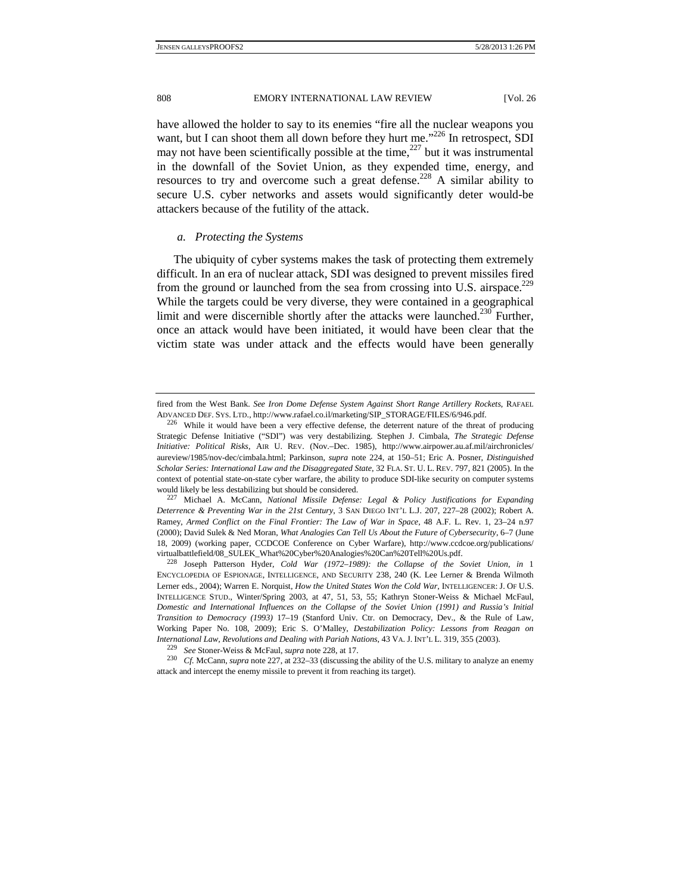have allowed the holder to say to its enemies "fire all the nuclear weapons you want, but I can shoot them all down before they hurt me."<sup>226</sup> In retrospect, SDI may not have been scientifically possible at the time, $227$  but it was instrumental in the downfall of the Soviet Union, as they expended time, energy, and resources to try and overcome such a great defense.<sup>228</sup> A similar ability to secure U.S. cyber networks and assets would significantly deter would-be attackers because of the futility of the attack.

## *a. Protecting the Systems*

The ubiquity of cyber systems makes the task of protecting them extremely difficult. In an era of nuclear attack, SDI was designed to prevent missiles fired from the ground or launched from the sea from crossing into U.S. airspace.<sup>229</sup> While the targets could be very diverse, they were contained in a geographical limit and were discernible shortly after the attacks were launched.<sup>230</sup> Further, once an attack would have been initiated, it would have been clear that the victim state was under attack and the effects would have been generally

*Deterrence & Preventing War in the 21st Century*, 3 SAN DIEGO INT'L L.J. 207, 227–28 (2002); Robert A. Ramey, *Armed Conflict on the Final Frontier: The Law of War in Space*, 48 A.F. L. Rev. 1, 23–24 n.97 (2000); David Sulek & Ned Moran, *What Analogies Can Tell Us About the Future of Cybersecurity*, 6–7 (June 18, 2009) (working paper, CCDCOE Conference on Cyber Warfare), http://www.ccdcoe.org/publications/ virtualbattlefield/08\_SULEK\_What%20Cyber%20Analogies%20Can%20Tell%20Us.pdf. 228 Joseph Patterson Hyder, *Cold War (1972–1989): the Collapse of the Soviet Union*, *in* <sup>1</sup>

ENCYCLOPEDIA OF ESPIONAGE, INTELLIGENCE, AND SECURITY 238, 240 (K. Lee Lerner & Brenda Wilmoth Lerner eds., 2004); Warren E. Norquist, *How the United States Won the Cold War*, INTELLIGENCER: J. OF U.S. INTELLIGENCE STUD., Winter/Spring 2003, at 47, 51, 53, 55; Kathryn Stoner-Weiss & Michael McFaul, *Domestic and International Influences on the Collapse of the Soviet Union (1991) and Russia's Initial Transition to Democracy (1993)* 17–19 (Stanford Univ. Ctr. on Democracy, Dev., & the Rule of Law, Working Paper No. 108, 2009); Eric S. O'Malley, *Destabilization Policy: Lessons from Reagan on*  International Law, Revolutions and Dealing with Pariah Nations, 43 VA. J. INT'L L. 319, 355 (2003).<br><sup>229</sup> See Stoner-Weiss & McFaul, *supra* note 228, at 17.<br><sup>230</sup> Cf. McCann, *supra* note 227, at 232–33 (discussing the ab

attack and intercept the enemy missile to prevent it from reaching its target).

fired from the West Bank. *See Iron Dome Defense System Against Short Range Artillery Rockets*, RAFAEL ADVANCED DEF. SYS. LTD., http://www.rafael.co.il/marketing/SIP\_STORAGE/FILES/6/946.pdf. 226 While it would have been a very effective defense, the deterrent nature of the threat of producing

Strategic Defense Initiative ("SDI") was very destabilizing. Stephen J. Cimbala, *The Strategic Defense Initiative: Political Risks*, AIR U. REV. (Nov.–Dec. 1985), http://www.airpower.au.af.mil/airchronicles/ aureview/1985/nov-dec/cimbala.html; Parkinson, *supra* note 224, at 150–51; Eric A. Posner, *Distinguished Scholar Series: International Law and the Disaggregated State*, 32 FLA. ST. U. L. REV. 797, 821 (2005). In the context of potential state-on-state cyber warfare, the ability to produce SDI-like security on computer systems would likely be less destabilizing but should be considered. 227 Michael A. McCann, *National Missile Defense: Legal & Policy Justifications for Expanding*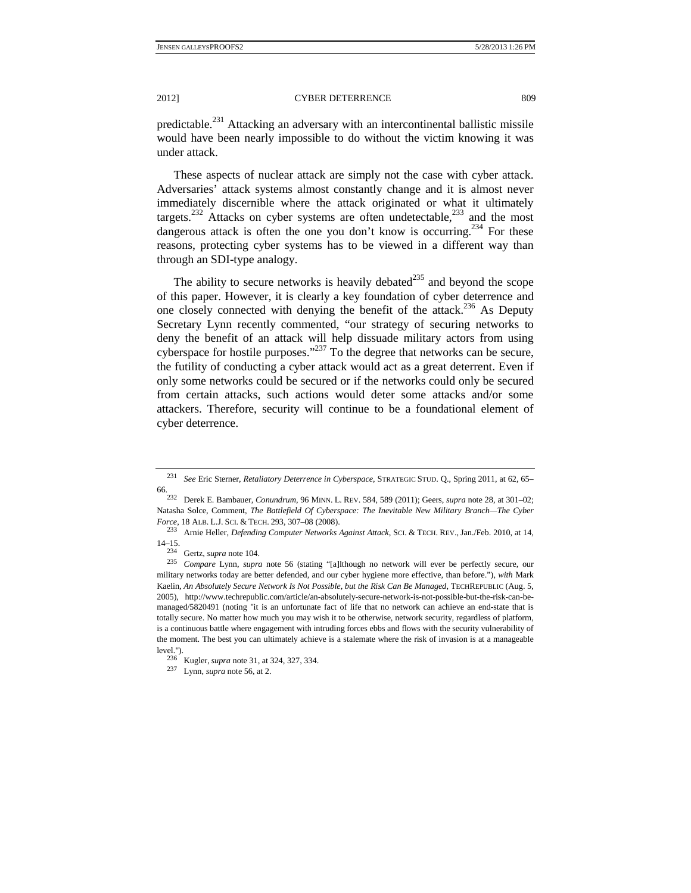predictable.231 Attacking an adversary with an intercontinental ballistic missile would have been nearly impossible to do without the victim knowing it was under attack.

These aspects of nuclear attack are simply not the case with cyber attack. Adversaries' attack systems almost constantly change and it is almost never immediately discernible where the attack originated or what it ultimately targets.<sup>232</sup> Attacks on cyber systems are often undetectable,<sup>233</sup> and the most dangerous attack is often the one you don't know is occurring.<sup>234</sup> For these reasons, protecting cyber systems has to be viewed in a different way than through an SDI-type analogy.

The ability to secure networks is heavily debated $^{235}$  and beyond the scope of this paper. However, it is clearly a key foundation of cyber deterrence and one closely connected with denying the benefit of the attack.<sup>236</sup> As Deputy Secretary Lynn recently commented, "our strategy of securing networks to deny the benefit of an attack will help dissuade military actors from using cyberspace for hostile purposes."237 To the degree that networks can be secure, the futility of conducting a cyber attack would act as a great deterrent. Even if only some networks could be secured or if the networks could only be secured from certain attacks, such actions would deter some attacks and/or some attackers. Therefore, security will continue to be a foundational element of cyber deterrence.

<sup>231</sup> *See* Eric Sterner, *Retaliatory Deterrence in Cyberspace*, STRATEGIC STUD. Q., Spring 2011, at 62, 65–

<sup>66. 232</sup> Derek E. Bambauer, *Conundrum*, 96 MINN. L. REV. 584, 589 (2011); Geers, *supra* note 28, at 301–02; Natasha Solce, Comment, *The Battlefield Of Cyberspace: The Inevitable New Military Branch—The Cyber* 

*Force*, 18 ALB. L.J. SCI. & TECH. 293, 307–08 (2008). 233 Arnie Heller, *Defending Computer Networks Against Attack*, SCI. & TECH. REV.,Jan./Feb. 2010, at 14,

<sup>14–15. 234</sup> Gertz, *supra* note 104. 235 *Compare* Lynn, *supra* note 56 (stating "[a]lthough no network will ever be perfectly secure, our military networks today are better defended, and our cyber hygiene more effective, than before."), *with* Mark Kaelin, *An Absolutely Secure Network Is Not Possible, but the Risk Can Be Managed*, TECHREPUBLIC (Aug. 5, 2005), http://www.techrepublic.com/article/an-absolutely-secure-network-is-not-possible-but-the-risk-can-bemanaged/5820491 (noting "it is an unfortunate fact of life that no network can achieve an end-state that is totally secure. No matter how much you may wish it to be otherwise, network security, regardless of platform, is a continuous battle where engagement with intruding forces ebbs and flows with the security vulnerability of the moment. The best you can ultimately achieve is a stalemate where the risk of invasion is at a manageable level."). 236 Kugler, *supra* note 31, at 324, 327, 334. 237 Lynn, *supra* note 56, at 2.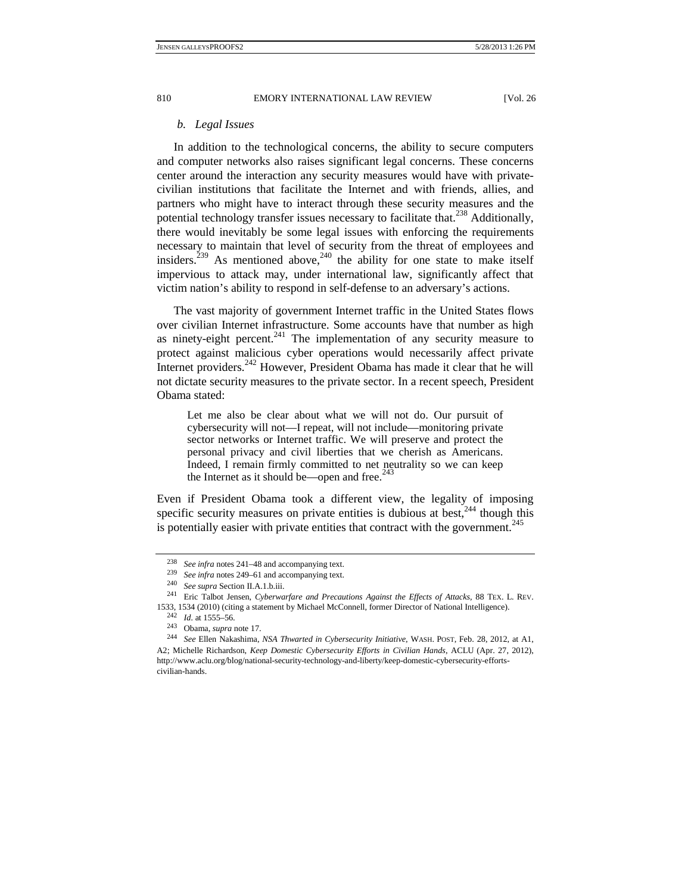## *b. Legal Issues*

In addition to the technological concerns, the ability to secure computers and computer networks also raises significant legal concerns. These concerns center around the interaction any security measures would have with privatecivilian institutions that facilitate the Internet and with friends, allies, and partners who might have to interact through these security measures and the potential technology transfer issues necessary to facilitate that.<sup>238</sup> Additionally, there would inevitably be some legal issues with enforcing the requirements necessary to maintain that level of security from the threat of employees and insiders.<sup>239</sup> As mentioned above,<sup>240</sup> the ability for one state to make itself impervious to attack may, under international law, significantly affect that victim nation's ability to respond in self-defense to an adversary's actions.

The vast majority of government Internet traffic in the United States flows over civilian Internet infrastructure. Some accounts have that number as high as ninety-eight percent. $241$  The implementation of any security measure to protect against malicious cyber operations would necessarily affect private Internet providers.<sup>242</sup> However, President Obama has made it clear that he will not dictate security measures to the private sector. In a recent speech, President Obama stated:

Let me also be clear about what we will not do. Our pursuit of cybersecurity will not—I repeat, will not include—monitoring private sector networks or Internet traffic. We will preserve and protect the personal privacy and civil liberties that we cherish as Americans. Indeed, I remain firmly committed to net neutrality so we can keep the Internet as it should be—open and free. $243$ 

Even if President Obama took a different view, the legality of imposing specific security measures on private entities is dubious at best, $244$  though this is potentially easier with private entities that contract with the government.<sup>245</sup>

<sup>&</sup>lt;sup>238</sup> See infra notes 241–48 and accompanying text.<br>
<sup>239</sup> See infra notes 249–61 and accompanying text.<br>
<sup>240</sup> See supra Section II.A.1.b.iii.<br>
<sup>241</sup> Eric Talbot Jensen, *Cyberwarfare and Precautions Against the Effects* 1533, 1534 (2010) (citing a statement by Michael McConnell, former Director of National Intelligence). 242 *Id.* at 1555–56.

<sup>&</sup>lt;sup>244</sup> See Ellen Nakashima, *NSA Thwarted in Cybersecurity Initiative*, WASH. POST, Feb. 28, 2012, at A1, A2; Michelle Richardson, *Keep Domestic Cybersecurity Efforts in Civilian Hands*, ACLU (Apr. 27, 2012), http://www.aclu.org/blog/national-security-technology-and-liberty/keep-domestic-cybersecurity-effortscivilian-hands.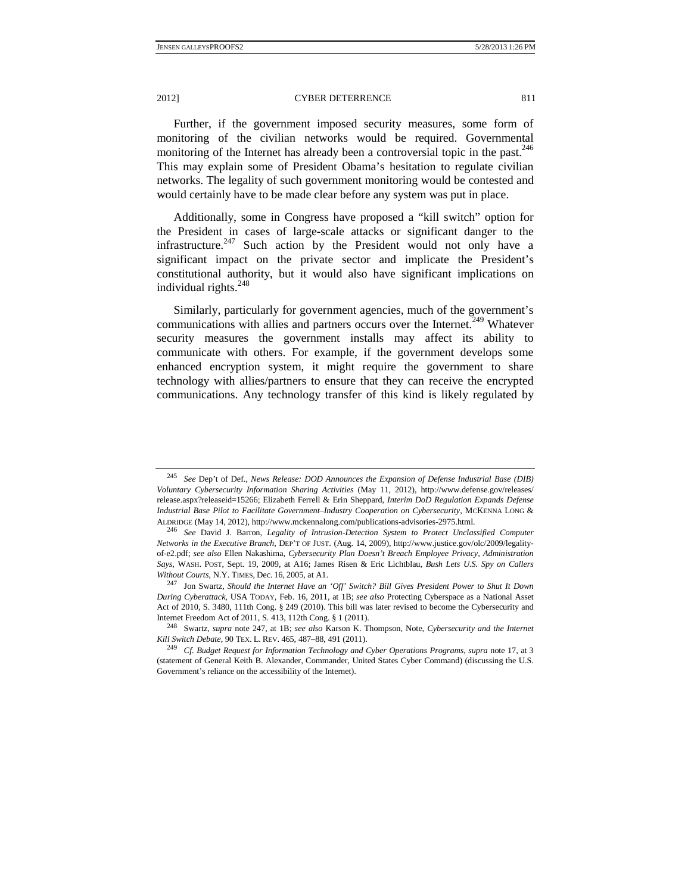Further, if the government imposed security measures, some form of monitoring of the civilian networks would be required. Governmental monitoring of the Internet has already been a controversial topic in the past.  $246$ This may explain some of President Obama's hesitation to regulate civilian networks. The legality of such government monitoring would be contested and would certainly have to be made clear before any system was put in place.

Additionally, some in Congress have proposed a "kill switch" option for the President in cases of large-scale attacks or significant danger to the infrastructure.<sup>247</sup> Such action by the President would not only have a significant impact on the private sector and implicate the President's constitutional authority, but it would also have significant implications on individual rights. $^{248}$ 

Similarly, particularly for government agencies, much of the government's communications with allies and partners occurs over the Internet.<sup>249</sup> Whatever security measures the government installs may affect its ability to communicate with others. For example, if the government develops some enhanced encryption system, it might require the government to share technology with allies/partners to ensure that they can receive the encrypted communications. Any technology transfer of this kind is likely regulated by

<sup>245</sup> *See* Dep't of Def., *News Release: DOD Announces the Expansion of Defense Industrial Base (DIB) Voluntary Cybersecurity Information Sharing Activities* (May 11, 2012), http://www.defense.gov/releases/ release.aspx?releaseid=15266; Elizabeth Ferrell & Erin Sheppard, *Interim DoD Regulation Expands Defense Industrial Base Pilot to Facilitate Government–Industry Cooperation on Cybersecurity*, MCKENNA LONG & ALDRIDGE (May 14, 2012), http://www.mckennalong.com/publications-advisories-2975.html. 246 *See* David J. Barron, *Legality of Intrusion-Detection System to Protect Unclassified Computer* 

*Networks in the Executive Branch*, DEP'T OF JUST. (Aug. 14, 2009), http://www.justice.gov/olc/2009/legalityof-e2.pdf; *see also* Ellen Nakashima, *Cybersecurity Plan Doesn't Breach Employee Privacy, Administration Says*, WASH. POST, Sept. 19, 2009, at A16; James Risen & Eric Lichtblau, *Bush Lets U.S. Spy on Callers Without Courts*, N.Y. TIMES, Dec. 16, 2005, at A1.<br><sup>247</sup> Jon Swartz, *Should the Internet Have an 'Off' Switch? Bill Gives President Power to Shut It Down* 

*During Cyberattack*, USA TODAY, Feb. 16, 2011, at 1B; *see also* Protecting Cyberspace as a National Asset Act of 2010, S. 3480, 111th Cong. § 249 (2010). This bill was later revised to become the Cybersecurity and

Internet Freedom Act of 2011, S. 413, 112th Cong. § 1 (2011). 248 Swartz, *supra* note 247, at 1B; *see also* Karson K. Thompson, Note, *Cybersecurity and the Internet* 

*Kill Switch Debate*, 90 TEX. L. REV. 465, 487–88, 491 (2011). 249 *Cf. Budget Request for Information Technology and Cyber Operations Programs*, *supra* note 17, at 3 (statement of General Keith B. Alexander, Commander, United States Cyber Command) (discussing the U.S. Government's reliance on the accessibility of the Internet).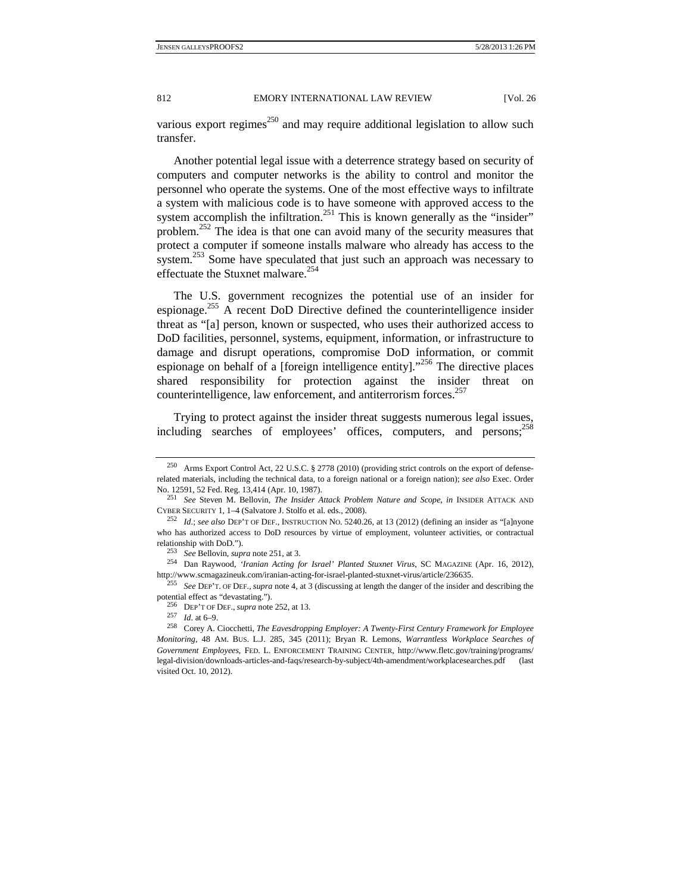various export regimes $^{250}$  and may require additional legislation to allow such transfer.

Another potential legal issue with a deterrence strategy based on security of computers and computer networks is the ability to control and monitor the personnel who operate the systems. One of the most effective ways to infiltrate a system with malicious code is to have someone with approved access to the system accomplish the infiltration.<sup>251</sup> This is known generally as the "insider" problem.252 The idea is that one can avoid many of the security measures that protect a computer if someone installs malware who already has access to the system.<sup>253</sup> Some have speculated that just such an approach was necessary to effectuate the Stuxnet malware. $254$ 

The U.S. government recognizes the potential use of an insider for espionage.255 A recent DoD Directive defined the counterintelligence insider threat as "[a] person, known or suspected, who uses their authorized access to DoD facilities, personnel, systems, equipment, information, or infrastructure to damage and disrupt operations, compromise DoD information, or commit espionage on behalf of a [foreign intelligence entity]."<sup>256</sup> The directive places shared responsibility for protection against the insider threat on counterintelligence, law enforcement, and antiterrorism forces.<sup>257</sup>

Trying to protect against the insider threat suggests numerous legal issues, including searches of employees' offices, computers, and persons;  $^{258}$ 

<sup>250</sup> Arms Export Control Act, 22 U.S.C. § 2778 (2010) (providing strict controls on the export of defenserelated materials, including the technical data, to a foreign national or a foreign nation); *see also* Exec. Order No. 12591, 52 Fed. Reg. 13,414 (Apr. 10, 1987). 251 *See* Steven M. Bellovin, *The Insider Attack Problem Nature and Scope*, *in* INSIDER ATTACK AND

CYBER SECURITY 1, 1–4 (Salvatore J. Stolfo et al. eds., 2008). 252 *Id.*; *see also* DEP'T OF DEF., INSTRUCTION NO. 5240.26, at 13 (2012) (defining an insider as "[a]nyone

who has authorized access to DoD resources by virtue of employment, volunteer activities, or contractual relationship with DoD."). 253 *See* Bellovin, *supra* note 251, at 3. 254 Dan Raywood, *'Iranian Acting for Israel' Planted Stuxnet Virus*, SC MAGAZINE (Apr. 16, 2012),

http://www.scmagazineuk.com/iranian-acting-for-israel-planted-stuxnet-virus/article/236635. 255 *See* DEP'T. OF DEF., *supra* note 4, at 3 (discussing at length the danger of the insider and describing the

potential effect as "devastating."). 256 DEP'T OF DEF.,*supra* note 252, at 13. 257 *Id.* at 6–9. 258 Corey A. Ciocchetti, *The Eavesdropping Employer: A Twenty-First Century Framework for Employee* 

*Monitoring*, 48 AM. BUS. L.J. 285, 345 (2011); Bryan R. Lemons, *Warrantless Workplace Searches of Government Employees*, FED. L. ENFORCEMENT TRAINING CENTER, http://www.fletc.gov/training/programs/ legal-division/downloads-articles-and-faqs/research-by-subject/4th-amendment/workplacesearches.pdf (last visited Oct. 10, 2012).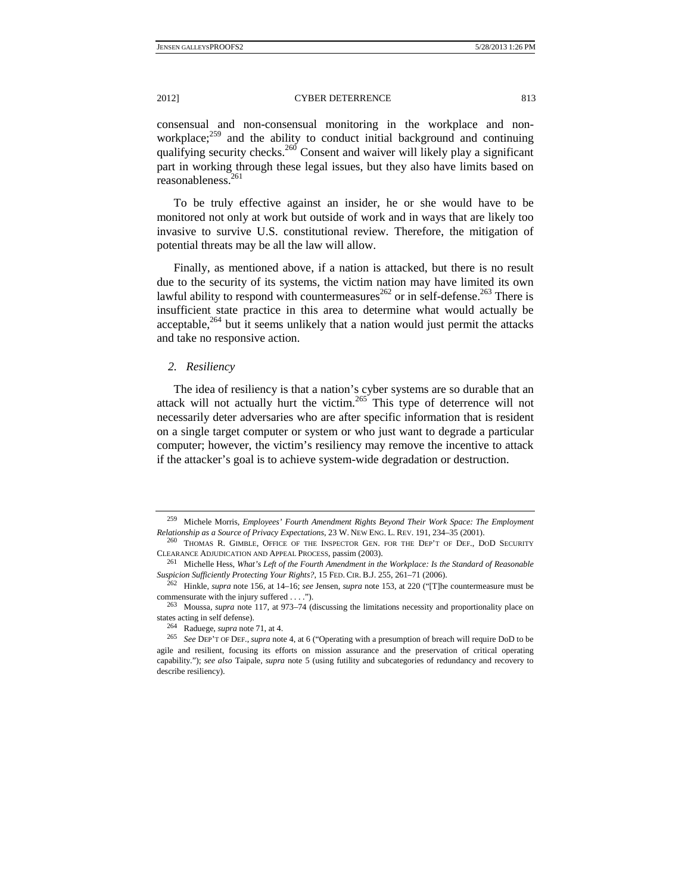consensual and non-consensual monitoring in the workplace and nonworkplace;<sup>259</sup> and the ability to conduct initial background and continuing qualifying security checks.<sup>260</sup> Consent and waiver will likely play a significant part in working through these legal issues, but they also have limits based on reasonableness.261

To be truly effective against an insider, he or she would have to be monitored not only at work but outside of work and in ways that are likely too invasive to survive U.S. constitutional review. Therefore, the mitigation of potential threats may be all the law will allow.

Finally, as mentioned above, if a nation is attacked, but there is no result due to the security of its systems, the victim nation may have limited its own lawful ability to respond with countermeasures<sup>262</sup> or in self-defense.<sup>263</sup> There is insufficient state practice in this area to determine what would actually be acceptable, $264$  but it seems unlikely that a nation would just permit the attacks and take no responsive action.

#### *2. Resiliency*

The idea of resiliency is that a nation's cyber systems are so durable that an attack will not actually hurt the victim.<sup>265</sup> This type of deterrence will not necessarily deter adversaries who are after specific information that is resident on a single target computer or system or who just want to degrade a particular computer; however, the victim's resiliency may remove the incentive to attack if the attacker's goal is to achieve system-wide degradation or destruction.

<sup>259</sup> Michele Morris, *Employees' Fourth Amendment Rights Beyond Their Work Space: The Employment Relationship as a Source of Privacy Expectations*, 23 W. NEW ENG. L. REV. 191, 234–35 (2001).<br><sup>260</sup> THOMAS R. GIMBLE, OFFICE OF THE INSPECTOR GEN. FOR THE DEP'T OF DEF., DOD SECURITY

CLEARANCE ADJUDICATION AND APPEAL PROCESS, passim (2003).

<sup>261</sup> Michelle Hess, *What's Left of the Fourth Amendment in the Workplace: Is the Standard of Reasonable Suspicion Sufficiently Protecting Your Rights?*, 15 FED. CIR. B.J. 255, 261–71 (2006). 262 Hinkle, *supra* note 156, at 14–16; *see* Jensen, *supra* note 153, at 220 ("[T]he countermeasure must be

commensurate with the injury suffered . . . .").<br><sup>263</sup> Moussa, *supra* note 117, at 973–74 (discussing the limitations necessity and proportionality place on

states acting in self defense).<br><sup>264</sup> Raduege, *supra* note 71, at 4.<br><sup>265</sup> See DEP'T OF DEF., *supra* note 4, at 6 ("Operating with a presumption of breach will require DoD to be

agile and resilient, focusing its efforts on mission assurance and the preservation of critical operating capability."); *see also* Taipale, *supra* note 5 (using futility and subcategories of redundancy and recovery to describe resiliency).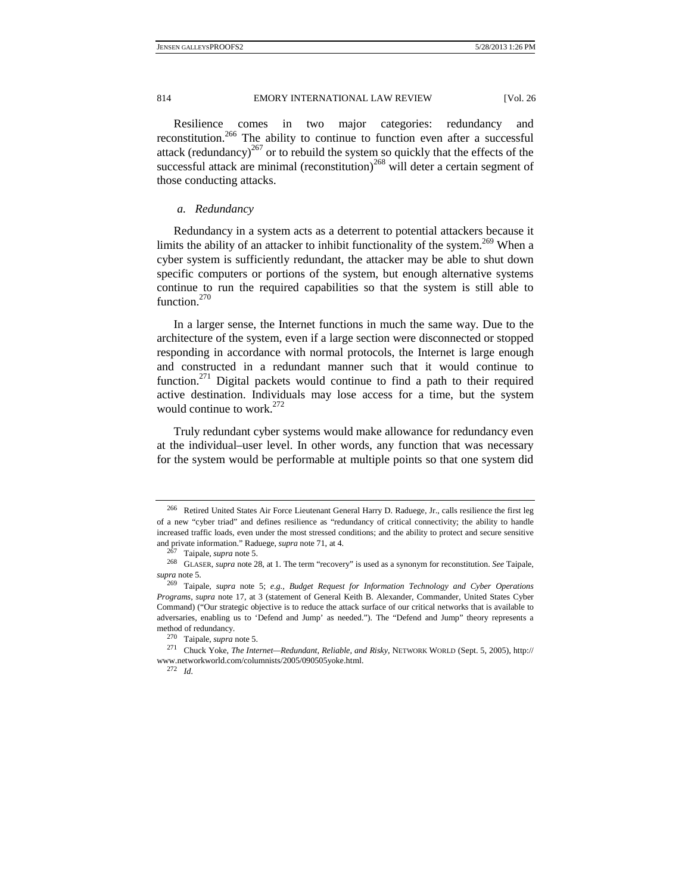Resilience comes in two major categories: redundancy and reconstitution.266 The ability to continue to function even after a successful attack (redundancy)<sup>267</sup> or to rebuild the system so quickly that the effects of the successful attack are minimal (reconstitution)<sup>268</sup> will deter a certain segment of those conducting attacks.

#### *a. Redundancy*

Redundancy in a system acts as a deterrent to potential attackers because it limits the ability of an attacker to inhibit functionality of the system.<sup>269</sup> When a cyber system is sufficiently redundant, the attacker may be able to shut down specific computers or portions of the system, but enough alternative systems continue to run the required capabilities so that the system is still able to function $^{270}$ 

In a larger sense, the Internet functions in much the same way. Due to the architecture of the system, even if a large section were disconnected or stopped responding in accordance with normal protocols, the Internet is large enough and constructed in a redundant manner such that it would continue to function.<sup>271</sup> Digital packets would continue to find a path to their required active destination. Individuals may lose access for a time, but the system would continue to work. $272$ 

Truly redundant cyber systems would make allowance for redundancy even at the individual–user level. In other words, any function that was necessary for the system would be performable at multiple points so that one system did

<sup>266</sup> Retired United States Air Force Lieutenant General Harry D. Raduege, Jr., calls resilience the first leg of a new "cyber triad" and defines resilience as "redundancy of critical connectivity; the ability to handle increased traffic loads, even under the most stressed conditions; and the ability to protect and secure sensitive

and private information." Raduege, *supra* note 71, at 4.<br><sup>267</sup> Taipale, *supra* note 5. 268 GLASER, *supra* note 28, at 1. The term "recovery" is used as a synonym for reconstitution. *See* Taipale,

*supra* note 5. 269 Taipale, *supra* note 5; *e.g.*, *Budget Request for Information Technology and Cyber Operations Programs*, *supra* note 17, at 3 (statement of General Keith B. Alexander, Commander, United States Cyber Command) ("Our strategic objective is to reduce the attack surface of our critical networks that is available to adversaries, enabling us to 'Defend and Jump' as needed."). The "Defend and Jump" theory represents a method of redundancy.<br><sup>270</sup> Taipale, *supra* note 5.<br><sup>271</sup> Chuck Yoke, *The Internet—Redundant, Reliable, and Risky*, NETWORK WORLD (Sept. 5, 2005), http://

www.networkworld.com/columnists/2005/090505yoke.html. 272 *Id.*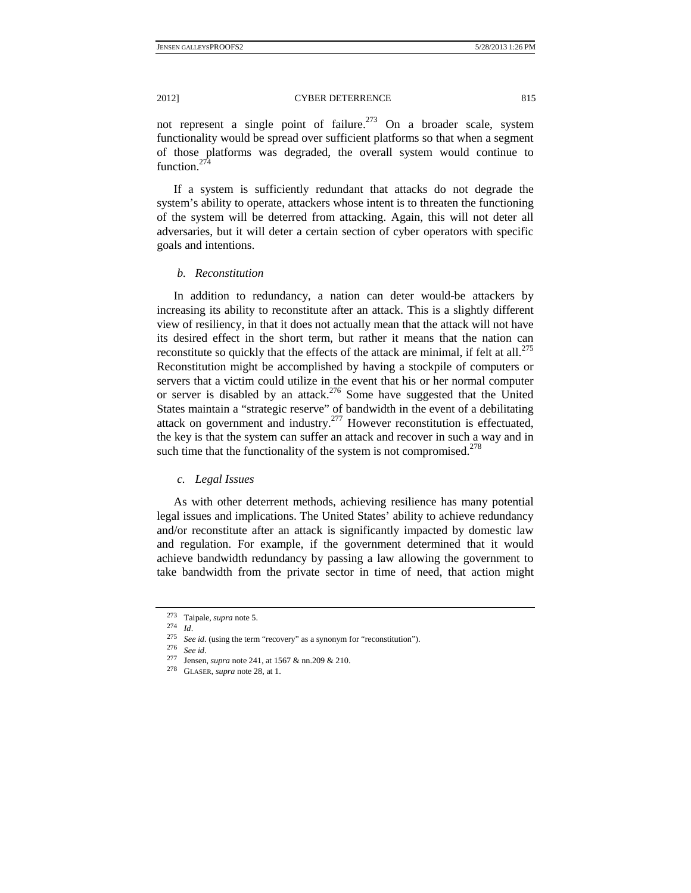not represent a single point of failure.<sup>273</sup> On a broader scale, system functionality would be spread over sufficient platforms so that when a segment of those platforms was degraded, the overall system would continue to function $^{274}$ 

If a system is sufficiently redundant that attacks do not degrade the system's ability to operate, attackers whose intent is to threaten the functioning of the system will be deterred from attacking. Again, this will not deter all adversaries, but it will deter a certain section of cyber operators with specific goals and intentions.

## *b. Reconstitution*

In addition to redundancy, a nation can deter would-be attackers by increasing its ability to reconstitute after an attack. This is a slightly different view of resiliency, in that it does not actually mean that the attack will not have its desired effect in the short term, but rather it means that the nation can reconstitute so quickly that the effects of the attack are minimal, if felt at all.<sup>275</sup> Reconstitution might be accomplished by having a stockpile of computers or servers that a victim could utilize in the event that his or her normal computer or server is disabled by an attack.<sup>276</sup> Some have suggested that the United States maintain a "strategic reserve" of bandwidth in the event of a debilitating attack on government and industry.277 However reconstitution is effectuated, the key is that the system can suffer an attack and recover in such a way and in such time that the functionality of the system is not compromised.<sup> $278$ </sup>

# *c. Legal Issues*

As with other deterrent methods, achieving resilience has many potential legal issues and implications. The United States' ability to achieve redundancy and/or reconstitute after an attack is significantly impacted by domestic law and regulation. For example, if the government determined that it would achieve bandwidth redundancy by passing a law allowing the government to take bandwidth from the private sector in time of need, that action might

<sup>&</sup>lt;sup>273</sup> Taipale, *supra* note 5.<br>
<sup>274</sup> *Id.*<br>
<sup>275</sup> *See id.* (using the term "recovery" as a synonym for "reconstitution").<br>
<sup>276</sup> *See id.*<br>
<sup>277</sup> Jensen, *supra* note 241, at 1567 & nn.209 & 210.<br>
<sup>278</sup> GLASER, *supra*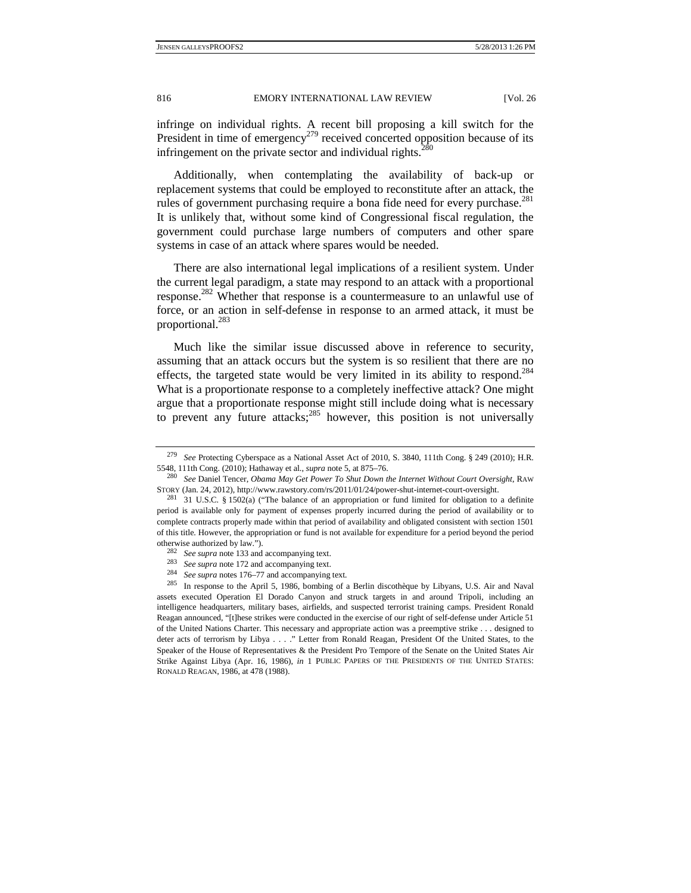infringe on individual rights. A recent bill proposing a kill switch for the President in time of emergency<sup>279</sup> received concerted opposition because of its infringement on the private sector and individual rights.<sup>280</sup>

Additionally, when contemplating the availability of back-up or replacement systems that could be employed to reconstitute after an attack, the rules of government purchasing require a bona fide need for every purchase.<sup>281</sup> It is unlikely that, without some kind of Congressional fiscal regulation, the government could purchase large numbers of computers and other spare systems in case of an attack where spares would be needed.

There are also international legal implications of a resilient system. Under the current legal paradigm, a state may respond to an attack with a proportional response.<sup>282</sup> Whether that response is a countermeasure to an unlawful use of force, or an action in self-defense in response to an armed attack, it must be proportional.283

Much like the similar issue discussed above in reference to security, assuming that an attack occurs but the system is so resilient that there are no effects, the targeted state would be very limited in its ability to respond.<sup>284</sup> What is a proportionate response to a completely ineffective attack? One might argue that a proportionate response might still include doing what is necessary to prevent any future attacks; $285$  however, this position is not universally

<sup>282</sup>*See supra* note 133 and accompanying text. 283 *See supra* note 172 and accompanying text. 284 *See supra* notes 176–77 and accompanying text*.*

<sup>279</sup> *See* Protecting Cyberspace as a National Asset Act of 2010, S. 3840, 111th Cong. § 249 (2010); H.R. 5548, 111th Cong. (2010); Hathaway et al., *supra* note 5, at 875–76. 280 *See* Daniel Tencer, *Obama May Get Power To Shut Down the Internet Without Court Oversight*, RAW

STORY (Jan. 24, 2012), http://www.rawstory.com/rs/2011/01/24/power-shut-internet-court-oversight.<br><sup>281</sup> 31 U.S.C. § 1502(a) ("The balance of an appropriation or fund limited for obligation to a definite period is available only for payment of expenses properly incurred during the period of availability or to complete contracts properly made within that period of availability and obligated consistent with section 1501 of this title. However, the appropriation or fund is not available for expenditure for a period beyond the period % otherwise authorized by law.").<br> $\frac{282}{\text{282}}$  See supra note 133 and accompanying text.

<sup>285</sup> In response to the April 5, 1986, bombing of a Berlin discothèque by Libyans, U.S. Air and Naval assets executed Operation El Dorado Canyon and struck targets in and around Tripoli, including an intelligence headquarters, military bases, airfields, and suspected terrorist training camps. President Ronald Reagan announced, "[t]hese strikes were conducted in the exercise of our right of self-defense under Article 51 of the United Nations Charter. This necessary and appropriate action was a preemptive strike . . . designed to deter acts of terrorism by Libya . . . ." Letter from Ronald Reagan, President Of the United States, to the Speaker of the House of Representatives & the President Pro Tempore of the Senate on the United States Air Strike Against Libya (Apr. 16, 1986), *in* 1 PUBLIC PAPERS OF THE PRESIDENTS OF THE UNITED STATES: RONALD REAGAN, 1986, at 478 (1988).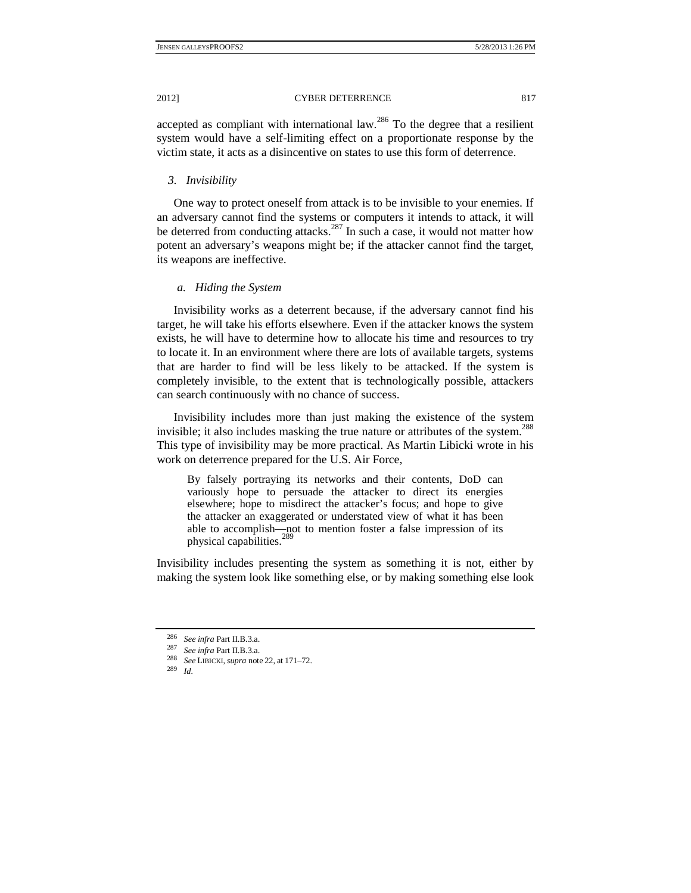accepted as compliant with international law.286 To the degree that a resilient system would have a self-limiting effect on a proportionate response by the victim state, it acts as a disincentive on states to use this form of deterrence.

# *3. Invisibility*

One way to protect oneself from attack is to be invisible to your enemies. If an adversary cannot find the systems or computers it intends to attack, it will be deterred from conducting attacks.<sup>287</sup> In such a case, it would not matter how potent an adversary's weapons might be; if the attacker cannot find the target, its weapons are ineffective.

# *a. Hiding the System*

Invisibility works as a deterrent because, if the adversary cannot find his target, he will take his efforts elsewhere. Even if the attacker knows the system exists, he will have to determine how to allocate his time and resources to try to locate it. In an environment where there are lots of available targets, systems that are harder to find will be less likely to be attacked. If the system is completely invisible, to the extent that is technologically possible, attackers can search continuously with no chance of success.

Invisibility includes more than just making the existence of the system invisible; it also includes masking the true nature or attributes of the system.<sup>288</sup> This type of invisibility may be more practical. As Martin Libicki wrote in his work on deterrence prepared for the U.S. Air Force,

By falsely portraying its networks and their contents, DoD can variously hope to persuade the attacker to direct its energies elsewhere; hope to misdirect the attacker's focus; and hope to give the attacker an exaggerated or understated view of what it has been able to accomplish—not to mention foster a false impression of its physical capabilities.<sup>289</sup>

Invisibility includes presenting the system as something it is not, either by making the system look like something else, or by making something else look

<sup>286</sup>*See infra* Part II.B.3.a.

<sup>287</sup> *See infra* Part II.B.3.a. 288 *See* LIBICKI, *supra* note 22, at 171–72. 289 *Id.*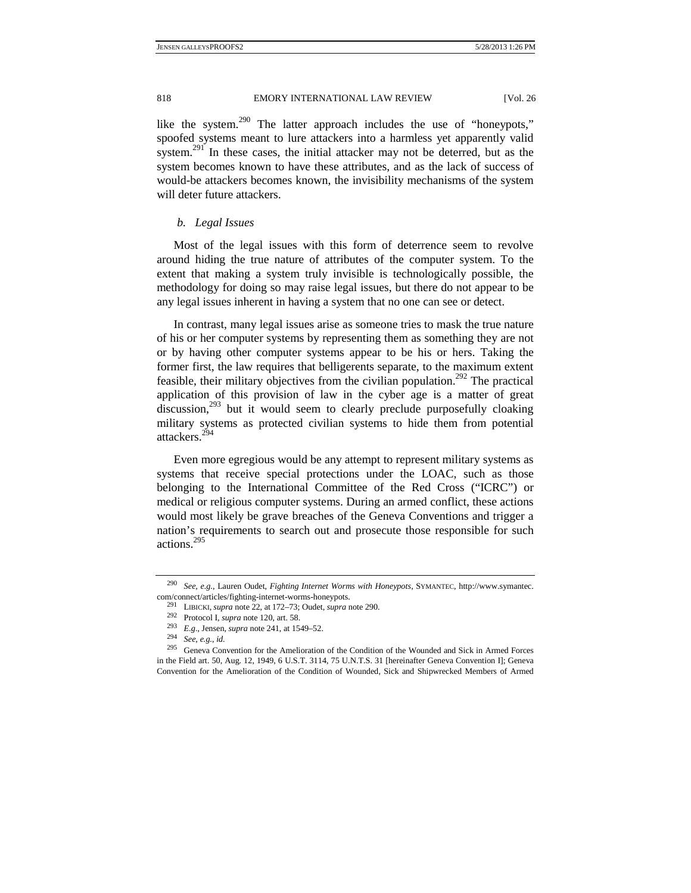like the system.<sup>290</sup> The latter approach includes the use of "honeypots," spoofed systems meant to lure attackers into a harmless yet apparently valid system.<sup>291</sup> In these cases, the initial attacker may not be deterred, but as the system becomes known to have these attributes, and as the lack of success of would-be attackers becomes known, the invisibility mechanisms of the system will deter future attackers.

# *b. Legal Issues*

Most of the legal issues with this form of deterrence seem to revolve around hiding the true nature of attributes of the computer system. To the extent that making a system truly invisible is technologically possible, the methodology for doing so may raise legal issues, but there do not appear to be any legal issues inherent in having a system that no one can see or detect.

In contrast, many legal issues arise as someone tries to mask the true nature of his or her computer systems by representing them as something they are not or by having other computer systems appear to be his or hers. Taking the former first, the law requires that belligerents separate, to the maximum extent feasible, their military objectives from the civilian population.<sup>292</sup> The practical application of this provision of law in the cyber age is a matter of great discussion,<sup>293</sup> but it would seem to clearly preclude purposefully cloaking military systems as protected civilian systems to hide them from potential attackers<sup>294</sup>

Even more egregious would be any attempt to represent military systems as systems that receive special protections under the LOAC, such as those belonging to the International Committee of the Red Cross ("ICRC") or medical or religious computer systems. During an armed conflict, these actions would most likely be grave breaches of the Geneva Conventions and trigger a nation's requirements to search out and prosecute those responsible for such actions.<sup>295</sup>

<sup>290</sup> *See, e.g.*, Lauren Oudet, *Fighting Internet Worms with Honeypots*, SYMANTEC, http://www.symantec. com/connect/articles/fighting-internet-worms-honeypots.

<sup>291</sup> LIBICKI, *supra* note 22, at 172–73; Oudet, *supra* note 290. 292 Protocol I, *supra* note 120, art. 58. 293 *E.g.*, Jensen, *supra* note 241, at 1549–52. 294 *See, e.g.*, *id.*

<sup>295</sup> Geneva Convention for the Amelioration of the Condition of the Wounded and Sick in Armed Forces in the Field art. 50, Aug. 12, 1949, 6 U.S.T. 3114, 75 U.N.T.S. 31 [hereinafter Geneva Convention I]; Geneva Convention for the Amelioration of the Condition of Wounded, Sick and Shipwrecked Members of Armed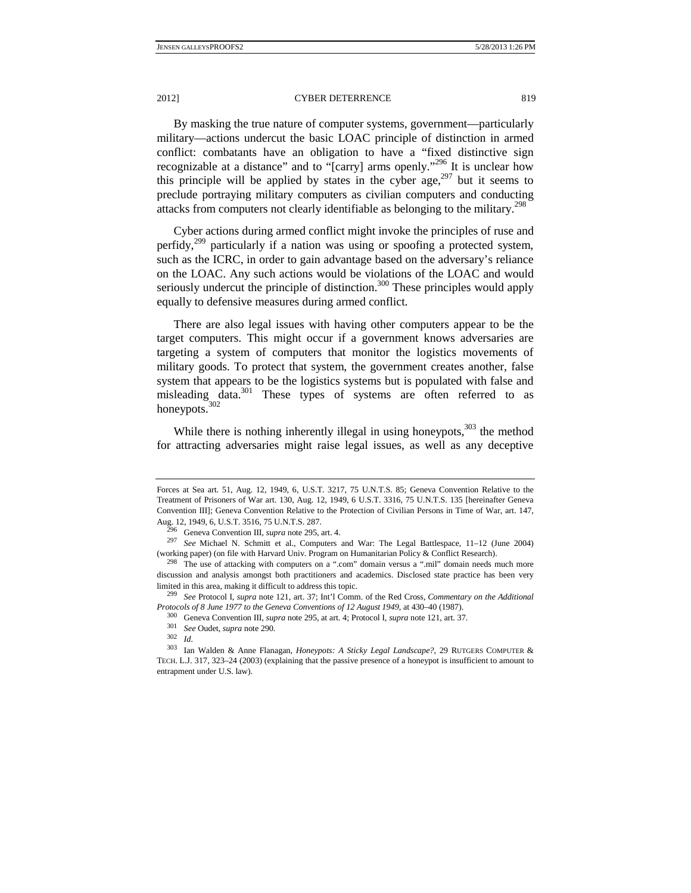2012] CYBER DETERRENCE 819

By masking the true nature of computer systems, government—particularly military—actions undercut the basic LOAC principle of distinction in armed conflict: combatants have an obligation to have a "fixed distinctive sign recognizable at a distance" and to "[carry] arms openly."296 It is unclear how this principle will be applied by states in the cyber  $age, <sup>297</sup>$  but it seems to preclude portraying military computers as civilian computers and conducting attacks from computers not clearly identifiable as belonging to the military.<sup>298</sup>

Cyber actions during armed conflict might invoke the principles of ruse and perfidy, $299$  particularly if a nation was using or spoofing a protected system, such as the ICRC, in order to gain advantage based on the adversary's reliance on the LOAC. Any such actions would be violations of the LOAC and would seriously undercut the principle of distinction.<sup>300</sup> These principles would apply equally to defensive measures during armed conflict.

There are also legal issues with having other computers appear to be the target computers. This might occur if a government knows adversaries are targeting a system of computers that monitor the logistics movements of military goods. To protect that system, the government creates another, false system that appears to be the logistics systems but is populated with false and misleading data.301 These types of systems are often referred to as honeypots.<sup>302</sup>

While there is nothing inherently illegal in using honeypots, $303$  the method for attracting adversaries might raise legal issues, as well as any deceptive

Forces at Sea art. 51, Aug. 12, 1949, 6, U.S.T. 3217, 75 U.N.T.S. 85; Geneva Convention Relative to the Treatment of Prisoners of War art. 130, Aug. 12, 1949, 6 U.S.T. 3316, 75 U.N.T.S. 135 [hereinafter Geneva Convention III]; Geneva Convention Relative to the Protection of Civilian Persons in Time of War, art. 147,

Aug. 12, 1949, 6, U.S.T. 3516, 75 U.N.T.S. 287. 296 Geneva Convention III, *supra* note 295, art. 4. 297 *See* Michael N. Schmitt et al., Computers and War: The Legal Battlespace, 11–12 (June 2004) (working paper) (on file with Harvard Univ. Program on Humanitarian Policy & Conflict Research).<br><sup>298</sup> The use of attacking with computers on a ".com" domain versus a ".mil" domain needs much more

discussion and analysis amongst both practitioners and academics. Disclosed state practice has been very limited in this area, making it difficult to address this topic. 299 *See* Protocol I, *supra* note 121, art. 37; Int'l Comm. of the Red Cross, *Commentary on the Additional* 

*Protocols of 8 June 1977 to the Geneva Conventions of 12 August 1949*, at 430–40 (1987).<br><sup>300</sup> Geneva Convention III, *supra* note 295, at art. 4; Protocol I, *supra* note 121, art. 37.<br><sup>301</sup> See Oudet, *supra* note 290.

<sup>302</sup> *Id.* 

<sup>303</sup> Ian Walden & Anne Flanagan, *Honeypots: A Sticky Legal Landscape?,* 29 RUTGERS COMPUTER & TECH. L.J. 317, 323–24 (2003) (explaining that the passive presence of a honeypot is insufficient to amount to entrapment under U.S. law).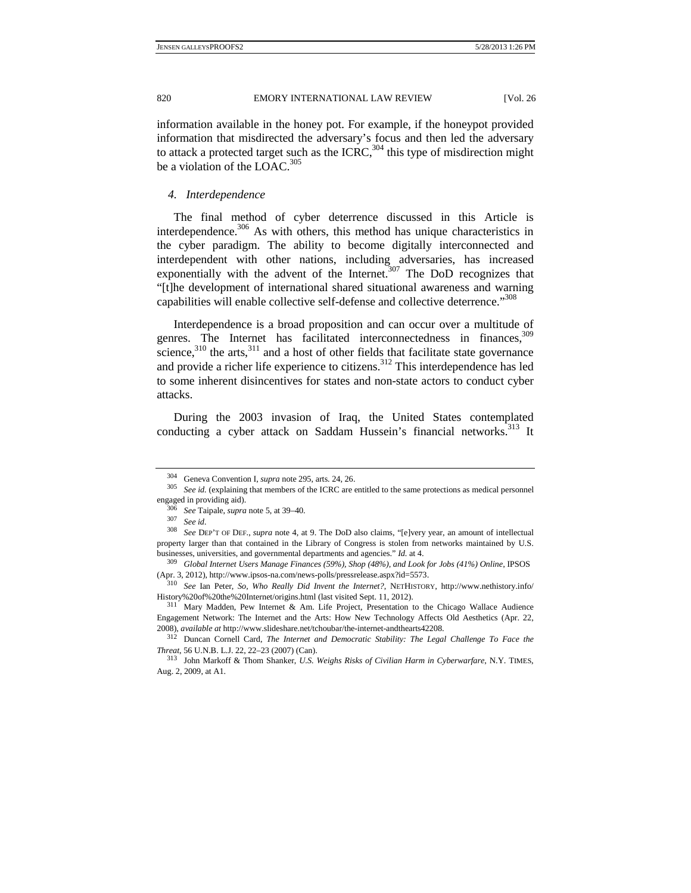information available in the honey pot. For example, if the honeypot provided information that misdirected the adversary's focus and then led the adversary to attack a protected target such as the ICRC,  $304$  this type of misdirection might be a violation of the LOAC.<sup>305</sup>

#### *4. Interdependence*

The final method of cyber deterrence discussed in this Article is interdependence. $306$  As with others, this method has unique characteristics in the cyber paradigm. The ability to become digitally interconnected and interdependent with other nations, including adversaries, has increased exponentially with the advent of the Internet. $307$  The DoD recognizes that "[t]he development of international shared situational awareness and warning capabilities will enable collective self-defense and collective deterrence."<sup>308</sup>

Interdependence is a broad proposition and can occur over a multitude of genres. The Internet has facilitated interconnectedness in finances,  $309$ science, $310$  the arts,  $311$  and a host of other fields that facilitate state governance and provide a richer life experience to citizens.<sup>312</sup> This interdependence has led to some inherent disincentives for states and non-state actors to conduct cyber attacks.

During the 2003 invasion of Iraq, the United States contemplated conducting a cyber attack on Saddam Hussein's financial networks.<sup>313</sup> It

<sup>&</sup>lt;sup>304</sup> Geneva Convention I, *supra* note 295, arts. 24, 26.<br><sup>305</sup> *See id.* (explaining that members of the ICRC are entitled to the same protections as medical personnel engaged in providing aid).

<sup>306</sup> *See* Taipale, *supra* note 5, at 39–40. 307 *See id.*

<sup>308</sup> *See* DEP'T OF DEF., *supra* note 4, at 9. The DoD also claims, "[e]very year, an amount of intellectual property larger than that contained in the Library of Congress is stolen from networks maintained by U.S.

businesses, universities, and governmental departments and agencies." *Id.* at 4. 309 *Global Internet Users Manage Finances (59%), Shop (48%), and Look for Jobs (41%) Online*, IPSOS (Apr. 3, 2012), http://www.ipsos-na.com/news-polls/pressrelease.aspx?id=5573. 310 *See* Ian Peter, *So, Who Really Did Invent the Internet?*, NETHISTORY, http://www.nethistory.info/

History%20of%20the%20Internet/origins.html (last visited Sept. 11, 2012). 311 Mary Madden, Pew Internet & Am. Life Project, Presentation to the Chicago Wallace Audience

Engagement Network: The Internet and the Arts: How New Technology Affects Old Aesthetics (Apr. 22, 2008), *available at* http://www.slideshare.net/tchoubar/the-internet-andthearts42208. 312 Duncan Cornell Card, *The Internet and Democratic Stability: The Legal Challenge To Face the* 

*Threat*, 56 U.N.B. L.J. 22, 22–23 (2007) (Can).

<sup>313</sup> John Markoff & Thom Shanker, *U.S. Weighs Risks of Civilian Harm in Cyberwarfare*, N.Y. TIMES, Aug. 2, 2009, at A1.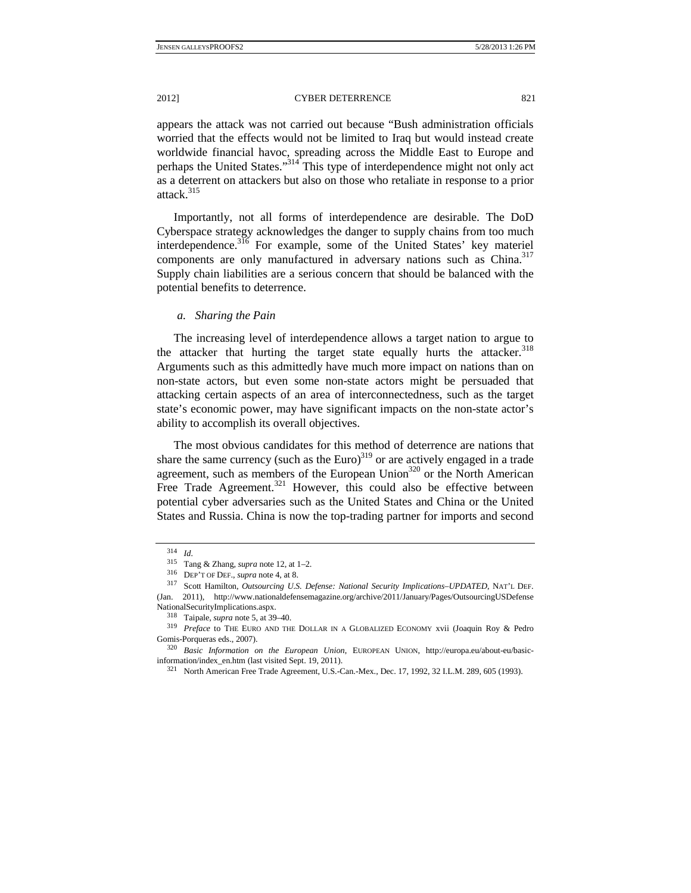appears the attack was not carried out because "Bush administration officials worried that the effects would not be limited to Iraq but would instead create worldwide financial havoc, spreading across the Middle East to Europe and perhaps the United States."314 This type of interdependence might not only act as a deterrent on attackers but also on those who retaliate in response to a prior attack.<sup>315</sup>

Importantly, not all forms of interdependence are desirable. The DoD Cyberspace strategy acknowledges the danger to supply chains from too much interdependence.<sup>316</sup> For example, some of the United States' key materiel components are only manufactured in adversary nations such as China.<sup>317</sup> Supply chain liabilities are a serious concern that should be balanced with the potential benefits to deterrence.

## *a. Sharing the Pain*

The increasing level of interdependence allows a target nation to argue to the attacker that hurting the target state equally hurts the attacker.<sup>318</sup> Arguments such as this admittedly have much more impact on nations than on non-state actors, but even some non-state actors might be persuaded that attacking certain aspects of an area of interconnectedness, such as the target state's economic power, may have significant impacts on the non-state actor's ability to accomplish its overall objectives.

The most obvious candidates for this method of deterrence are nations that share the same currency (such as the Euro) $319$  or are actively engaged in a trade agreement, such as members of the European Union<sup>320</sup> or the North American Free Trade Agreement.<sup>321</sup> However, this could also be effective between potential cyber adversaries such as the United States and China or the United States and Russia. China is now the top-trading partner for imports and second

<sup>314</sup> *Id.*

<sup>315</sup> Tang & Zhang, *supra* note 12, at 1–2. 316 DEP'T OF DEF., *supra* note 4, at 8. 317 Scott Hamilton, *Outsourcing U.S. Defense: National Security Implications–UPDATED*, NAT'L DEF. (Jan. 2011), http://www.nationaldefensemagazine.org/archive/2011/January/Pages/OutsourcingUSDefense NationalSecurityImplications.aspx.

 <sup>318</sup> Taipale, *supra* note 5, at 39–40.

<sup>319</sup> *Preface* to THE EURO AND THE DOLLAR IN A GLOBALIZED ECONOMY xvii (Joaquin Roy & Pedro

Gomis-Porqueras eds., 2007). 320 *Basic Information on the European Union*, EUROPEAN UNION, http://europa.eu/about-eu/basicinformation/index\_en.htm (last visited Sept. 19, 2011).<br><sup>321</sup> North American Free Trade Agreement, U.S.-Can.-Mex., Dec. 17, 1992, 32 I.L.M. 289, 605 (1993).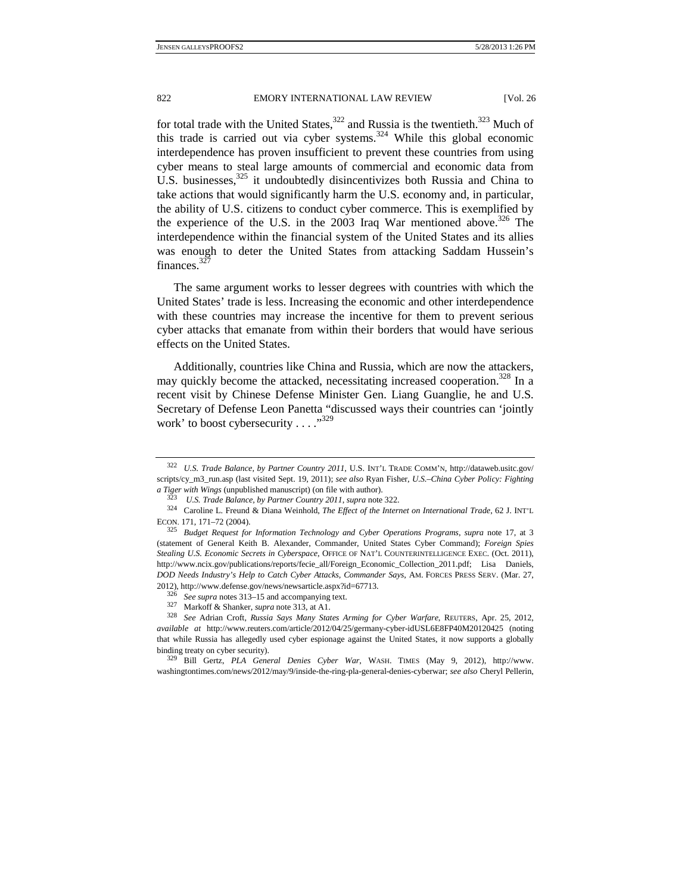for total trade with the United States, $322$  and Russia is the twentieth. $323$  Much of this trade is carried out via cyber systems.<sup>324</sup> While this global economic interdependence has proven insufficient to prevent these countries from using cyber means to steal large amounts of commercial and economic data from U.S. businesses, $325$  it undoubtedly disincentivizes both Russia and China to take actions that would significantly harm the U.S. economy and, in particular, the ability of U.S. citizens to conduct cyber commerce. This is exemplified by the experience of the U.S. in the 2003 Iraq War mentioned above.<sup>326</sup> The interdependence within the financial system of the United States and its allies was enough to deter the United States from attacking Saddam Hussein's finances.<sup>327</sup>

The same argument works to lesser degrees with countries with which the United States' trade is less. Increasing the economic and other interdependence with these countries may increase the incentive for them to prevent serious cyber attacks that emanate from within their borders that would have serious effects on the United States.

Additionally, countries like China and Russia, which are now the attackers, may quickly become the attacked, necessitating increased cooperation.<sup>328</sup> In a recent visit by Chinese Defense Minister Gen. Liang Guanglie, he and U.S. Secretary of Defense Leon Panetta "discussed ways their countries can 'jointly work' to boost cybersecurity  $\dots$ <sup>329</sup>

<sup>322</sup> *U.S. Trade Balance, by Partner Country 2011*, U.S. INT'L TRADE COMM'N, http://dataweb.usitc.gov/ scripts/cy\_m3\_run.asp (last visited Sept. 19, 2011); *see also* Ryan Fisher, *U.S.–China Cyber Policy: Fighting* 

*a Tiger with Wings* (unpublished manuscript) (on file with author).<br><sup>323</sup> U.S. Trade Balance, by Partner Country 2011, supra note 322.<br><sup>324</sup> Caroline L. Freund & Diana Weinhold, *The Effect of the Internet on Internation* ECON. 171, 171–72 (2004). 325 *Budget Request for Information Technology and Cyber Operations Programs*, *supra* note 17, at 3

<sup>(</sup>statement of General Keith B. Alexander, Commander, United States Cyber Command); *Foreign Spies Stealing U.S. Economic Secrets in Cyberspace*, OFFICE OF NAT'L COUNTERINTELLIGENCE EXEC. (Oct. 2011), http://www.ncix.gov/publications/reports/fecie\_all/Foreign\_Economic\_Collection\_2011.pdf; Lisa Daniels, *DOD Needs Industry's Help to Catch Cyber Attacks, Commander Says*, AM. FORCES PRESS SERV. (Mar. 27, 2012), http://www.defense.gov/news/newsarticle.aspx?id=67713.

<sup>&</sup>lt;sup>326</sup> See supra notes 313–15 and accompanying text.<br><sup>327</sup> Markoff & Shanker, *supra* note 313, at A1.

<sup>&</sup>lt;sup>328</sup> See Adrian Croft, *Russia Says Many States Arming for Cyber Warfare*, *REUTERS*, *Apr. 25*, 2012, *available at* http://www.reuters.com/article/2012/04/25/germany-cyber-idUSL6E8FP40M20120425 (noting that while Russia has allegedly used cyber espionage against the United States, it now supports a globally binding treaty on cyber security). 329 Bill Gertz, *PLA General Denies Cyber War*, WASH. TIMES (May 9, 2012), http://www.

washingtontimes.com/news/2012/may/9/inside-the-ring-pla-general-denies-cyberwar; *see also* Cheryl Pellerin,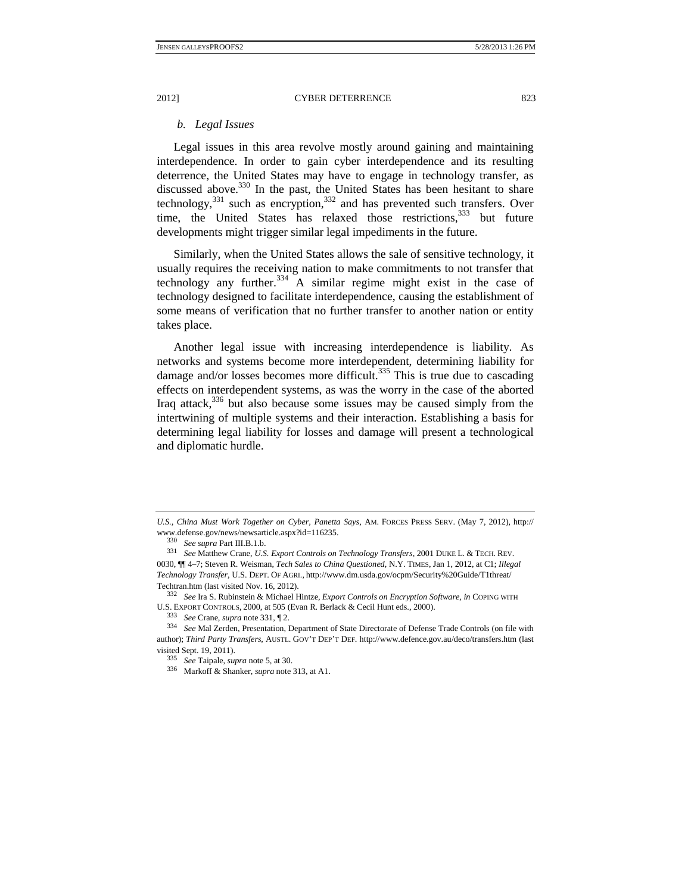# *b. Legal Issues*

Legal issues in this area revolve mostly around gaining and maintaining interdependence. In order to gain cyber interdependence and its resulting deterrence, the United States may have to engage in technology transfer, as discussed above.<sup>330</sup> In the past, the United States has been hesitant to share technology,  $331$  such as encryption,  $332$  and has prevented such transfers. Over time, the United States has relaxed those restrictions.<sup>333</sup> but future developments might trigger similar legal impediments in the future.

Similarly, when the United States allows the sale of sensitive technology, it usually requires the receiving nation to make commitments to not transfer that technology any further.<sup>334</sup> A similar regime might exist in the case of technology designed to facilitate interdependence, causing the establishment of some means of verification that no further transfer to another nation or entity takes place.

Another legal issue with increasing interdependence is liability. As networks and systems become more interdependent, determining liability for damage and/or losses becomes more difficult.<sup>335</sup> This is true due to cascading effects on interdependent systems, as was the worry in the case of the aborted Iraq attack,  $336$  but also because some issues may be caused simply from the intertwining of multiple systems and their interaction. Establishing a basis for determining legal liability for losses and damage will present a technological and diplomatic hurdle.

*U.S., China Must Work Together on Cyber, Panetta Says*, AM. FORCES PRESS SERV. (May 7, 2012), http:// www.defense.gov/news/newsarticle.aspx?id=116235.<br><sup>330</sup> *See supra* Part III.B.1.b. 331 *See* Matthew Crane, *U.S. Export Controls on Technology Transfers*, 2001 DUKE L. & TECH. REV.

<sup>0030, ¶¶ 4–7;</sup> Steven R. Weisman, *Tech Sales to China Questioned*, N.Y. TIMES, Jan 1, 2012, at C1; *Illegal Technology Transfer*, U.S. DEPT. OF AGRI., http://www.dm.usda.gov/ocpm/Security%20Guide/T1threat/

Techtran.htm (last visited Nov. 16, 2012). 332 *See* Ira S. Rubinstein & Michael Hintze, *Export Controls on Encryption Software, in* COPING WITH U.S. EXPORT CONTROLS, 2000, at 505 (Evan R. Berlack & Cecil Hunt eds., 2000). 333 *See* Crane, *supra* note 331, ¶ 2.

<sup>334</sup> *See* Mal Zerden, Presentation, Department of State Directorate of Defense Trade Controls (on file with author); *Third Party Transfers*, AUSTL. GOV'T DEP'T DEF. http://www.defence.gov.au/deco/transfers.htm (last visited Sept. 19, 2011).<br> $335$  See Taipale, supra note 5, at 30.

<sup>&</sup>lt;sup>336</sup> Markoff & Shanker, *supra* note 313, at A1.